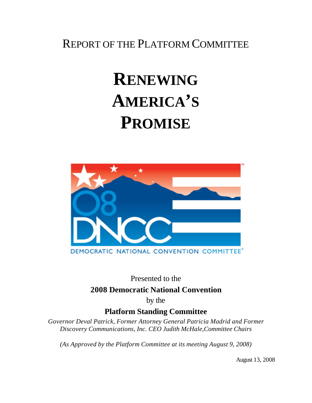REPORT OF THE PLATFORM COMMITTEE

# **RENEWING AMERICA'S PROMISE**



Presented to the

# **2008 Democratic National Convention**

by the

## **Platform Standing Committee**

*Governor Deval Patrick, Former Attorney General Patricia Madrid and Former Discovery Communications, Inc. CEO Judith McHale,Committee Chairs*

*(As Approved by the Platform Committee at its meeting August 9, 2008)*

August 13, 2008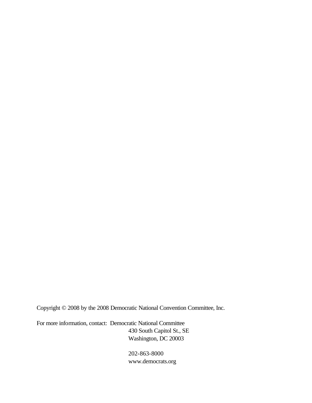Copyright © 2008 by the 2008 Democratic National Convention Committee, Inc.

For more information, contact: Democratic National Committee 430 South Capitol St., SE Washington, DC 20003

> 202-863-8000 www.democrats.org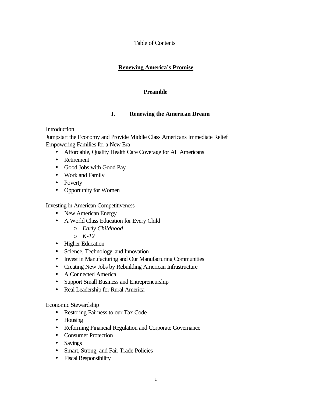Table of Contents

## **Renewing America's Promise**

## **Preamble**

## **I. Renewing the American Dream**

Introduction

Jumpstart the Economy and Provide Middle Class Americans Immediate Relief Empowering Families for a New Era

- Affordable, Quality Health Care Coverage for All Americans
- Retirement
- Good Jobs with Good Pay
- Work and Family
- Poverty
- Opportunity for Women

Investing in American Competitiveness

- New American Energy
- A World Class Education for Every Child
	- o *Early Childhood*
	- o *K-12*
- Higher Education
- Science, Technology, and Innovation
- Invest in Manufacturing and Our Manufacturing Communities
- Creating New Jobs by Rebuilding American Infrastructure
- A Connected America
- Support Small Business and Entrepreneurship
- Real Leadership for Rural America

## Economic Stewardship

- Restoring Fairness to our Tax Code
- Housing
- Reforming Financial Regulation and Corporate Governance
- Consumer Protection
- Savings
- Smart, Strong, and Fair Trade Policies
- Fiscal Responsibility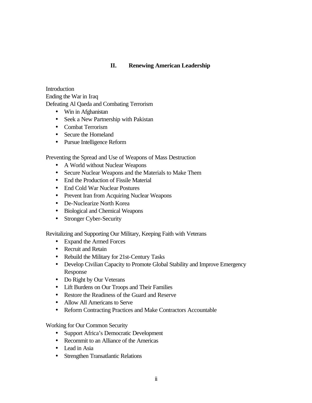## **II. Renewing American Leadership**

**Introduction** Ending the War in Iraq Defeating Al Qaeda and Combating Terrorism

- Win in Afghanistan
- Seek a New Partnership with Pakistan
- Combat Terrorism
- Secure the Homeland
- Pursue Intelligence Reform

Preventing the Spread and Use of Weapons of Mass Destruction

- A World without Nuclear Weapons
- Secure Nuclear Weapons and the Materials to Make Them
- End the Production of Fissile Material
- End Cold War Nuclear Postures
- Prevent Iran from Acquiring Nuclear Weapons
- De-Nuclearize North Korea
- Biological and Chemical Weapons
- Stronger Cyber-Security

Revitalizing and Supporting Our Military, Keeping Faith with Veterans

- Expand the Armed Forces
- Recruit and Retain
- Rebuild the Military for 21st-Century Tasks
- Develop Civilian Capacity to Promote Global Stability and Improve Emergency Response
- Do Right by Our Veterans
- Lift Burdens on Our Troops and Their Families
- Restore the Readiness of the Guard and Reserve
- Allow All Americans to Serve
- Reform Contracting Practices and Make Contractors Accountable

#### Working for Our Common Security

- Support Africa's Democratic Development
- Recommit to an Alliance of the Americas
- Lead in Asia
- Strengthen Transatlantic Relations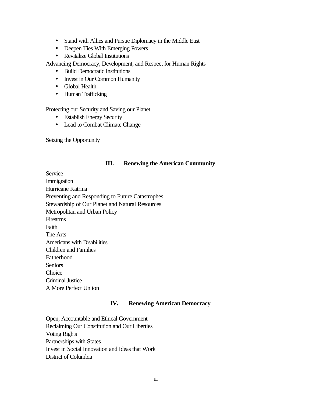- Stand with Allies and Pursue Diplomacy in the Middle East
- Deepen Ties With Emerging Powers
- Revitalize Global Institutions

Advancing Democracy, Development, and Respect for Human Rights

- Build Democratic Institutions
- Invest in Our Common Humanity
- Global Health
- Human Trafficking

Protecting our Security and Saving our Planet

- Establish Energy Security
- Lead to Combat Climate Change

Seizing the Opportunity

#### **III. Renewing the American Community**

**Service** 

Immigration Hurricane Katrina Preventing and Responding to Future Catastrophes Stewardship of Our Planet and Natural Resources Metropolitan and Urban Policy Firearms Faith The Arts Americans with Disabilities Children and Families Fatherhood Seniors **Choice** Criminal Justice A More Perfect Un ion

## **IV. Renewing American Democracy**

Open, Accountable and Ethical Government Reclaiming Our Constitution and Our Liberties Voting Rights Partnerships with States Invest in Social Innovation and Ideas that Work District of Columbia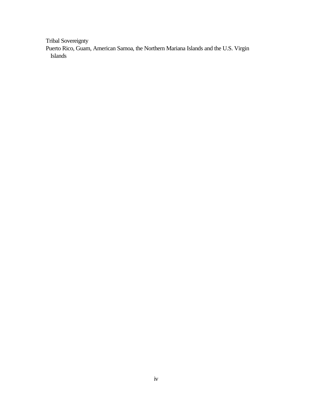Tribal Sovereignty Puerto Rico, Guam, American Samoa, the Northern Mariana Islands and the U.S. Virgin Islands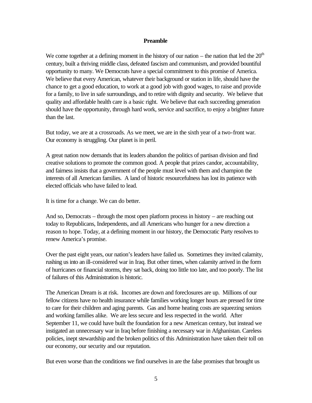#### **Preamble**

We come together at a defining moment in the history of our nation – the nation that led the  $20<sup>th</sup>$ century, built a thriving middle class, defeated fascism and communism, and provided bountiful opportunity to many. We Democrats have a special commitment to this promise of America. We believe that every American, whatever their background or station in life, should have the chance to get a good education, to work at a good job with good wages, to raise and provide for a family, to live in safe surroundings, and to retire with dignity and security. We believe that quality and affordable health care is a basic right. We believe that each succeeding generation should have the opportunity, through hard work, service and sacrifice, to enjoy a brighter future than the last.

But today, we are at a crossroads. As we meet, we are in the sixth year of a two-front war. Our economy is struggling. Our planet is in peril.

A great nation now demands that its leaders abandon the politics of partisan division and find creative solutions to promote the common good. A people that prizes candor, accountability, and fairness insists that a government of the people must level with them and champion the interests of all American families. A land of historic resourcefulness has lost its patience with elected officials who have failed to lead.

It is time for a change. We can do better.

And so, Democrats – through the most open platform process in history – are reaching out today to Republicans, Independents, and all Americans who hunger for a new direction a reason to hope. Today, at a defining moment in our history, the Democratic Party resolves to renew America's promise.

Over the past eight years, our nation's leaders have failed us. Sometimes they invited calamity, rushing us into an ill-considered war in Iraq. But other times, when calamity arrived in the form of hurricanes or financial storms, they sat back, doing too little too late, and too poorly. The list of failures of this Administration is historic.

The American Dream is at risk. Incomes are down and foreclosures are up. Millions of our fellow citizens have no health insurance while families working longer hours are pressed for time to care for their children and aging parents. Gas and home heating costs are squeezing seniors and working families alike. We are less secure and less respected in the world. After September 11, we could have built the foundation for a new American century, but instead we instigated an unnecessary war in Iraq before finishing a necessary war in Afghanistan. Careless policies, inept stewardship and the broken politics of this Administration have taken their toll on our economy, our security and our reputation.

But even worse than the conditions we find ourselves in are the false promises that brought us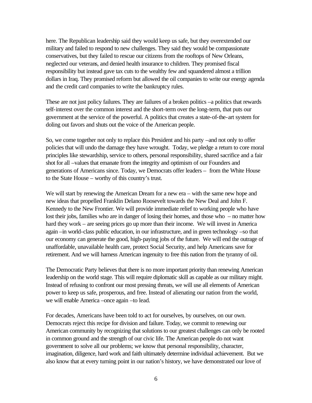here. The Republican leadership said they would keep us safe, but they overextended our military and failed to respond to new challenges. They said they would be compassionate conservatives, but they failed to rescue our citizens from the rooftops of New Orleans, neglected our veterans, and denied health insurance to children. They promised fiscal responsibility but instead gave tax cuts to the wealthy few and squandered almost a trillion dollars in Iraq. They promised reform but allowed the oil companies to write our energy agenda and the credit card companies to write the bankruptcy rules.

These are not just policy failures. They are failures of a broken politics –a politics that rewards self-interest over the common interest and the short-term over the long-term, that puts our government at the service of the powerful. A politics that creates a state-of-the-art system for doling out favors and shuts out the voice of the American people.

So, we come together not only to replace this President and his party –and not only to offer policies that will undo the damage they have wrought. Today, we pledge a return to core moral principles like stewardship, service to others, personal responsibility, shared sacrifice and a fair shot for all –values that emanate from the integrity and optimism of our Founders and generations of Americans since. Today, we Democrats offer leaders – from the White House to the State House – worthy of this country's trust.

We will start by renewing the American Dream for a new era – with the same new hope and new ideas that propelled Franklin Delano Roosevelt towards the New Deal and John F. Kennedy to the New Frontier. We will provide immediate relief to working people who have lost their jobs, families who are in danger of losing their homes, and those who – no matter how hard they work – are seeing prices go up more than their income. We will invest in America again –in world-class public education, in our infrastructure, and in green technology –so that our economy can generate the good, high-paying jobs of the future. We will end the outrage of unaffordable, unavailable health care, protect Social Security, and help Americans save for retirement. And we will harness American ingenuity to free this nation from the tyranny of oil.

The Democratic Party believes that there is no more important priority than renewing American leadership on the world stage. This will require diplomatic skill as capable as our military might. Instead of refusing to confront our most pressing threats, we will use all elements of American power to keep us safe, prosperous, and free. Instead of alienating our nation from the world, we will enable America –once again –to lead.

For decades, Americans have been told to act for ourselves, by ourselves, on our own. Democrats reject this recipe for division and failure. Today, we commit to renewing our American community by recognizing that solutions to our greatest challenges can only be rooted in common ground and the strength of our civic life. The American people do not want government to solve all our problems; we know that personal responsibility, character, imagination, diligence, hard work and faith ultimately determine individual achievement. But we also know that at every turning point in our nation's history, we have demonstrated our love of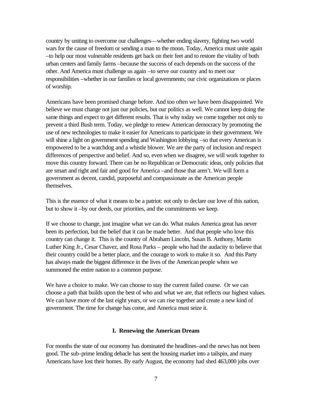country by uniting to overcome our challenges—whether ending slavery, fighting two world wars for the cause of freedom or sending a man to the moon. Today, America must unite again –to help our most vulnerable residents get back on their feet and to restore the vitality of both urban centers and family farms –because the success of each depends on the success of the other. And America must challenge us again –to serve our country and to meet our responsibilities –whether in our families or local governments; our civic organizations or places of worship.

Americans have been promised change before. And too often we have been disappointed. We believe we must change not just our policies, but our politics as well. We cannot keep doing the same things and expect to get different results. That is why today we come together not only to prevent a third Bush term. Today, we pledge to renew American democracy by promoting the use of new technologies to make it easier for Americans to participate in their government. We will shine a light on government spending and Washington lobbying –so that every American is empowered to be a watchdog and a whistle blower. We are the party of inclusion and respect differences of perspective and belief. And so, even when we disagree, we will work together to move this country forward. There can be no Republican or Democratic ideas, only policies that are smart and right and fair and good for America –and those that aren't. We will form a government as decent, candid, purposeful and compassionate as the American people themselves.

This is the essence of what it means to be a patriot: not only to declare our love of this nation, but to show it –by our deeds, our priorities, and the commitments we keep.

If we choose to change, just imagine what we can do. What makes America great has never been its perfection, but the belief that it can be made better. And that people who love this country can change it. This is the country of Abraham Lincoln, Susan B. Anthony, Martin Luther King Jr., Cesar Chavez, and Rosa Parks – people who had the audacity to believe that their country could be a better place, and the courage to work to make it so. And this Party has always made the biggest difference in the lives of the American people when we summoned the entire nation to a common purpose.

We have a choice to make. We can choose to stay the current failed course. Or we can choose a path that builds upon the best of who and what we are, that reflects our highest values. We can have more of the last eight years, or we can rise together and create a new kind of government. The time for change has come, and America must seize it.

#### **I. Renewing the American Dream**

For months the state of our economy has dominated the headlines–and the news has not been good. The sub-prime lending debacle has sent the housing market into a tailspin, and many Americans have lost their homes. By early August, the economy had shed 463,000 jobs over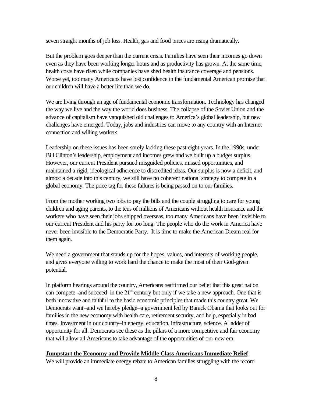seven straight months of job loss. Health, gas and food prices are rising dramatically.

But the problem goes deeper than the current crisis. Families have seen their incomes go down even as they have been working longer hours and as productivity has grown. At the same time, health costs have risen while companies have shed health insurance coverage and pensions. Worse yet, too many Americans have lost confidence in the fundamental American promise that our children will have a better life than we do.

We are living through an age of fundamental economic transformation. Technology has changed the way we live and the way the world does business. The collapse of the Soviet Union and the advance of capitalism have vanquished old challenges to America's global leadership, but new challenges have emerged. Today, jobs and industries can move to any country with an Internet connection and willing workers.

Leadership on these issues has been sorely lacking these past eight years. In the 1990s, under Bill Clinton's leadership, employment and incomes grew and we built up a budget surplus. However, our current President pursued misguided policies, missed opportunities, and maintained a rigid, ideological adherence to discredited ideas. Our surplus is now a deficit, and almost a decade into this century, we still have no coherent national strategy to compete in a global economy. The price tag for these failures is being passed on to our families.

From the mother working two jobs to pay the bills and the couple struggling to care for young children and aging parents, to the tens of millions of Americans without health insurance and the workers who have seen their jobs shipped overseas, too many Americans have been invisible to our current President and his party for too long. The people who do the work in America have never been invisible to the Democratic Party. It is time to make the American Dream real for them again.

We need a government that stands up for the hopes, values, and interests of working people, and gives everyone willing to work hard the chance to make the most of their God-given potential.

In platform hearings around the country, Americans reaffirmed our belief that this great nation can compete–and succeed–in the  $21<sup>st</sup>$  century but only if we take a new approach. One that is both innovative and faithful to the basic economic principles that made this country great. We Democrats want–and we hereby pledge–a government led by Barack Obama that looks out for families in the new economy with health care, retirement security, and help, especially in bad times. Investment in our country–in energy, education, infrastructure, science. A ladder of opportunity for all. Democrats see these as the pillars of a more competitive and fair economy that will allow all Americans to take advantage of the opportunities of our new era.

#### **Jumpstart the Economy and Provide Middle Class Americans Immediate Relief**

We will provide an immediate energy rebate to American families struggling with the record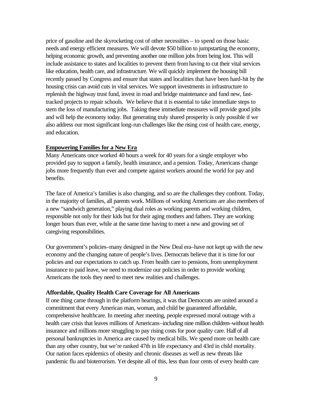price of gasoline and the skyrocketing cost of other necessities – to spend on those basic needs and energy efficient measures. We will devote \$50 billion to jumpstarting the economy, helping economic growth, and preventing another one million jobs from being lost. This will include assistance to states and localities to prevent them fromhaving to cut their vital services like education, health care, and infrastructure. We will quickly implement the housing bill recently passed by Congress and ensure that states and localities that have been hard-hit by the housing crisis can avoid cuts in vital services. We support investments in infrastructure to replenish the highway trust fund, invest in road and bridge maintenance and fund new, fasttracked projects to repair schools. We believe that it is essential to take immediate steps to stem the loss of manufacturing jobs. Taking these immediate measures will provide good jobs and will help the economy today. But generating truly shared prosperity is only possible if we also address our most significant long-run challenges like the rising cost of health care, energy, and education.

#### **Empowering Families for a New Era**

Many Americans once worked 40 hours a week for 40 years for a single employer who provided pay to support a family, health insurance, and a pension. Today, Americans change jobs more frequently than ever and compete against workers around the world for pay and benefits.

The face of America's families is also changing, and so are the challenges they confront. Today, in the majority of families, all parents work. Millions of working Americans are also members of a new "sandwich generation," playing dual roles as working parents and working children, responsible not only for their kids but for their aging mothers and fathers. They are working longer hours than ever, while at the same time having to meet a new and growing set of caregiving responsibilities.

Our government's policies–many designed in the New Deal era–have not kept up with the new economy and the changing nature of people's lives. Democrats believe that it is time for our policies and our expectations to catch up. From health care to pensions, from unemployment insurance to paid leave, we need to modernize our policies in order to provide working Americans the tools they need to meet new realities and challenges.

#### **Affordable, Quality Health Care Coverage for All Americans**

If one thing came through in the platform hearings, it was that Democrats are united around a commitment that every American man, woman, and child be guaranteed affordable, comprehensive healthcare. In meeting after meeting, people expressed moral outrage with a health care crisis that leaves millions of Americans–including nine million children–without health insurance and millions more struggling to pay rising costs for poor quality care. Half of all personal bankruptcies in America are caused by medical bills. We spend more on health care than any other country, but we're ranked 47th in life expectancy and 43rd in child mortality. Our nation faces epidemics of obesity and chronic diseases as well as new threats like pandemic flu and bioterrorism. Yet despite all of this, less than four cents of every health care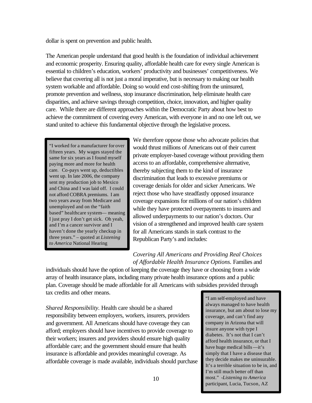dollar is spent on prevention and public health.

The American people understand that good health is the foundation of individual achievement and economic prosperity. Ensuring quality, affordable health care for every single American is essential to children's education, workers' productivity and businesses' competitiveness. We believe that covering all is not just a moral imperative, but is necessary to making our health system workable and affordable. Doing so would end cost-shifting from the uninsured, promote prevention and wellness, stop insurance discrimination, help eliminate health care disparities, and achieve savings through competition, choice, innovation, and higher quality care. While there are different approaches within the Democratic Party about how best to achieve the commitment of covering every American, with everyone in and no one left out, we stand united to achieve this fundamental objective through the legislative process.

"I worked for a manufacturer for over fifteen years. My wages stayed the same for six years as I found myself paying more and more for health care. Co-pays went up, deductibles went up. In late 2006, the company sent my production job to Mexico and China and I was laid off. I could not afford COBRA premiums. I am two years away from Medicare and unemployed and on the "faith based" healthcare system— meaning I just pray I don't get sick. Oh yeah, and I'm a cancer survivor and I haven't done the yearly checkup in three years." – quoted at *Listening to America* National Hearing

We therefore oppose those who advocate policies that would thrust millions of Americans out of their current private employer-based coverage without providing them access to an affordable, comprehensive alternative, thereby subjecting them to the kind of insurance discrimination that leads to excessive premiums or coverage denials for older and sicker Americans. We reject those who have steadfastly opposed insurance coverage expansions for millions of our nation's children while they have protected overpayments to insurers and allowed underpayments to our nation's doctors. Our vision of a strengthened and improved health care system for all Americans stands in stark contrast to the Republican Party's and includes:

*Covering All Americans and Providing Real Choices of Affordable Health Insurance Options.* Families and

individuals should have the option of keeping the coverage they have or choosing from a wide array of health insurance plans, including many private health insurance options and a public plan. Coverage should be made affordable for all Americans with subsidies provided through tax credits and other means.

*Shared Responsibility.* Health care should be a shared responsibility between employers, workers, insurers, providers and government. All Americans should have coverage they can afford; employers should have incentives to provide coverage to their workers; insurers and providers should ensure high quality affordable care; and the government should ensure that health insurance is affordable and provides meaningful coverage. As affordable coverage is made available, individuals should purchase

"I am self-employed and have always managed to have health insurance, but am about to lose my coverage, and can't find any company in Arizona that will insure anyone with type I diabetes. It's not that I can't afford health insurance, or that I have huge medical bills—it's simply that I have a disease that they decide makes me uninsurable. It's a terrible situation to be in, and I'm still much better off than most." -*Listening to America* participant, Lucia, Tucson, AZ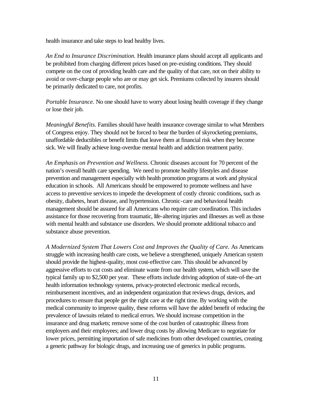health insurance and take steps to lead healthy lives.

*An End to Insurance Discrimination.* Health insurance plans should accept all applicants and be prohibited from charging different prices based on pre-existing conditions. They should compete on the cost of providing health care and the quality of that care, not on their ability to avoid or over-charge people who are or may get sick. Premiums collected by insurers should be primarily dedicated to care, not profits.

*Portable Insurance.* No one should have to worry about losing health coverage if they change or lose their job.

*Meaningful Benefits.* Families should have health insurance coverage similar to what Members of Congress enjoy. They should not be forced to bear the burden of skyrocketing premiums, unaffordable deductibles or benefit limits that leave them at financial risk when they become sick. We will finally achieve long-overdue mental health and addiction treatment parity.

*An Emphasis on Prevention and Wellness.* Chronic diseases account for 70 percent of the nation's overall health care spending. We need to promote healthy lifestyles and disease prevention and management especially with health promotion programs at work and physical education in schools. All Americans should be empowered to promote wellness and have access to preventive services to impede the development of costly chronic conditions, such as obesity, diabetes, heart disease, and hypertension. Chronic-care and behavioral health management should be assured for all Americans who require care coordination. This includes assistance for those recovering from traumatic, life-altering injuries and illnesses as well as those with mental health and substance use disorders. We should promote additional tobacco and substance abuse prevention.

*A Modernized System That Lowers Cost and Improves the Quality of Care.* As Americans struggle with increasing health care costs, we believe a strengthened, uniquely American system should provide the highest-quality, most cost-effective care. This should be advanced by aggressive efforts to cut costs and eliminate waste from our health system, which will save the typical family up to \$2,500 per year. These efforts include driving adoption of state-of-the-art health information technology systems, privacy-protected electronic medical records, reimbursement incentives, and an independent organization that reviews drugs, devices, and procedures to ensure that people get the right care at the right time. By working with the medical community to improve quality, these reforms will have the added benefit of reducing the prevalence of lawsuits related to medical errors. We should increase competition in the insurance and drug markets; remove some of the cost burden of catastrophic illness from employers and their employees; and lower drug costs by allowing Medicare to negotiate for lower prices, permitting importation of safe medicines from other developed countries, creating a generic pathway for biologic drugs, and increasing use of generics in public programs.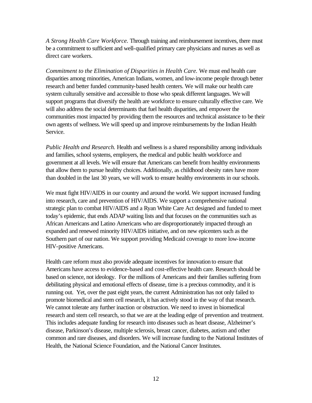*A Strong Health Care Workforce.* Through training and reimbursement incentives, there must be a commitment to sufficient and well-qualified primary care physicians and nurses as well as direct care workers.

*Commitment to the Elimination of Disparities in Health Care.* We must end health care disparities among minorities, American Indians, women, and low-income people through better research and better funded community-based health centers. We will make our health care system culturally sensitive and accessible to those who speak different languages. We will support programs that diversify the health are workforce to ensure culturally effective care. We will also address the social determinants that fuel health disparities, and empower the communities most impacted by providing them the resources and technical assistance to be their own agents of wellness.We will speed up and improve reimbursements by the Indian Health Service.

*Public Health and Research.* Health and wellness is a shared responsibility among individuals and families, school systems, employers, the medical and public health workforce and government at all levels. We will ensure that Americans can benefit from healthy environments that allow them to pursue healthy choices. Additionally, as childhood obesity rates have more than doubled in the last 30 years, we will work to ensure healthy environments in our schools.

We must fight HIV/AIDS in our country and around the world. We support increased funding into research, care and prevention of HIV/AIDS. We support a comprehensive national strategic plan to combat HIV/AIDS and a Ryan White Care Act designed and funded to meet today's epidemic, that ends ADAP waiting lists and that focuses on the communities such as African Americans and Latino Americans who are disproportionately impacted through an expanded and renewed minority HIV/AIDS initiative, and on new epicenters such as the Southern part of our nation. We support providing Medicaid coverage to more low-income HIV-positive Americans.

Health care reform must also provide adequate incentives for innovation to ensure that Americans have access to evidence-based and cost-effective health care. Research should be based on science, not ideology. For the millions of Americans and their families suffering from debilitating physical and emotional effects of disease, time is a precious commodity, and it is running out. Yet, over the past eight years, the current Administration has not only failed to promote biomedical and stem cell research, it has actively stood in the way of that research. We cannot tolerate any further inaction or obstruction. We need to invest in biomedical research and stem cell research, so that we are at the leading edge of prevention and treatment. This includes adequate funding for research into diseases such as heart disease, Alzheimer's disease, Parkinson's disease, multiple sclerosis, breast cancer, diabetes, autism and other common and rare diseases, and disorders. We will increase funding to the National Institutes of Health, the National Science Foundation, and the National Cancer Institutes.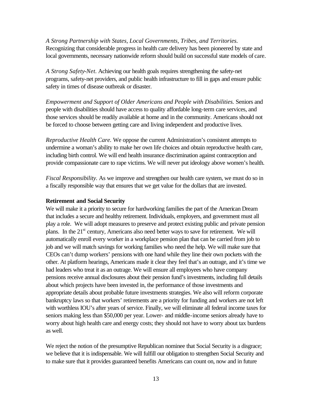*A Strong Partnership with States, Local Governments, Tribes, and Territories.*  Recognizing that considerable progress in health care delivery has been pioneered by state and local governments, necessary nationwide reform should build on successful state models of care.

*A Strong Safety-Net.* Achieving our health goals requires strengthening the safety-net programs, safety-net providers, and public health infrastructure to fill in gaps and ensure public safety in times of disease outbreak or disaster.

*Empowerment and Support of Older Americans and People with Disabilities.* Seniors and people with disabilities should have access to quality affordable long-term care services, and those services should be readily available at home and in the community. Americans should not be forced to choose between getting care and living independent and productive lives.

*Reproductive Health Care.* We oppose the current Administration's consistent attempts to undermine a woman's ability to make her own life choices and obtain reproductive health care, including birth control. We will end health insurance discrimination against contraception and provide compassionate care to rape victims. We will never put ideology above women's health.

*Fiscal Responsibility.* As we improve and strengthen our health care system, we must do so in a fiscally responsible way that ensures that we get value for the dollars that are invested.

#### **Retirement and Social Security**

We will make it a priority to secure for hardworking families the part of the American Dream that includes a secure and healthy retirement. Individuals, employers, and government must all play a role. We will adopt measures to preserve and protect existing public and private pension plans. In the  $21<sup>st</sup>$  century, Americans also need better ways to save for retirement. We will automatically enroll every worker in a workplace pension plan that can be carried from job to job and we will match savings for working families who need the help. We will make sure that CEOs can't dump workers' pensions with one hand while they line their own pockets with the other. At platform hearings, Americans made it clear they feel that's an outrage, and it's time we had leaders who treat it as an outrage. We will ensure all employees who have company pensions receive annual disclosures about their pension fund's investments, including full details about which projects have been invested in, the performance of those investments and appropriate details about probable future investments strategies. We also will reform corporate bankruptcy laws so that workers' retirements are a priority for funding and workers are not left with worthless IOU's after years of service. Finally, we will eliminate all federal income taxes for seniors making less than \$50,000 per year. Lower- and middle-income seniors already have to worry about high health care and energy costs; they should not have to worry about tax burdens as well.

We reject the notion of the presumptive Republican nominee that Social Security is a disgrace; we believe that it is indispensable. We will fulfill our obligation to strengthen Social Security and to make sure that it provides guaranteed benefits Americans can count on, now and in future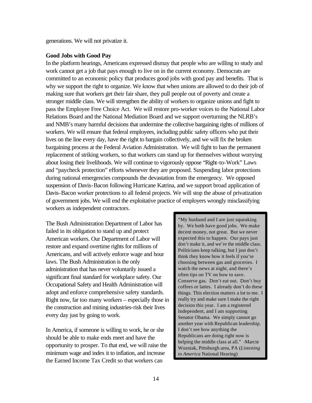generations. We will not privatize it.

#### **Good Jobs with Good Pay**

In the platform hearings, Americans expressed dismay that people who are willing to study and work cannot get a job that pays enough to live on in the current economy. Democrats are committed to an economic policy that produces good jobs with good pay and benefits. That is why we support the right to organize. We know that when unions are allowed to do their job of making sure that workers get their fair share, they pull people out of poverty and create a stronger middle class. We will strengthen the ability of workers to organize unions and fight to pass the Employee Free Choice Act.We will restore pro-worker voices to the National Labor Relations Board and the National Mediation Board and we support overturning the NLRB's and NMB's many harmful decisions that undermine the collective bargaining rights of millions of workers. We will ensure that federal employees, including public safety officers who put their lives on the line every day, have the right to bargain collectively, and we will fix the broken bargaining process at the Federal Aviation Administration. We will fight to ban the permanent replacement of striking workers, so that workers can stand up for themselves without worrying about losing their livelihoods. We will continue to vigorously oppose "Right-to-Work" Laws and "paycheck protection" efforts whenever they are proposed. Suspending labor protections during national emergencies compounds the devastation from the emergency. We opposed suspension of Davis-Bacon following Hurricane Katrina, and we support broad application of Davis-Bacon worker protections to all federal projects. We will stop the abuse of privatization of government jobs. We will end the exploitative practice of employers wrongly misclassifying workers as independent contractors.

The Bush Administration Department of Labor has failed in its obligation to stand up and protect American workers. Our Department of Labor will restore and expand overtime rights for millions of Americans, and will actively enforce wage and hour laws. The Bush Administration is the only administration that has never voluntarily issued a significant final standard for workplace safety. Our Occupational Safety and Health Administration will adopt and enforce comprehensive safety standards. Right now, far too many workers – especially those in the construction and mining industries-risk their lives every day just by going to work.

In America, if someone is willing to work, he or she should be able to make ends meet and have the opportunity to prosper. To that end, we will raise the minimum wage and index it to inflation, and increase the Earned Income Tax Credit so that workers can

"My husband and I are just squeaking by. We both have good jobs. We make decent money, not great. But we never expected this to happen. Our pays just don't make it, and we're the middle class. Politicians keep talking, but I just don't think they know how it feels if you're choosing between gas and groceries. I watch the news at night, and there's often tips on TV on how to save. Conserve gas. Don't eat out. Don't buy coffees or lattes. I already don't do these things. This election matters a lot to me. I really try and make sure I make the right decision this year. I am a registered Independent, and I am supporting Senator Obama. We simply cannot go another year with Republican leadership. I don't see how anything the Republicans are doing right now is helping the middle class at all." -Marcie Wozniak, Pittsburgh area, PA (*Listening to America* National Hearing)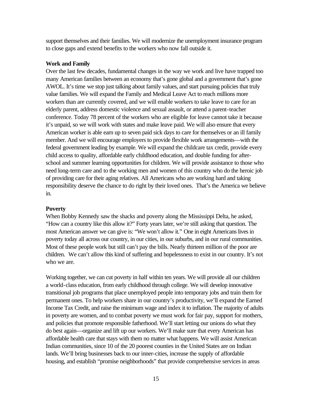support themselves and their families. We will modernize the unemployment insurance program to close gaps and extend benefits to the workers who now fall outside it.

#### **Work and Family**

Over the last few decades, fundamental changes in the way we work and live have trapped too many American families between an economy that's gone global and a government that's gone AWOL. It's time we stop just talking about family values, and start pursuing policies that truly value families. We will expand the Family and Medical Leave Act to reach millions more workers than are currently covered, and we will enable workers to take leave to care for an elderly parent, address domestic violence and sexual assault, or attend a parent-teacher conference. Today 78 percent of the workers who are eligible for leave cannot take it because it's unpaid, so we will work with states and make leave paid. We will also ensure that every American worker is able earn up to seven paid sick days to care for themselves or an ill family member. And we will encourage employers to provide flexible work arrangements—with the federal government leading by example. We will expand the childcare tax credit, provide every child access to quality, affordable early childhood education, and double funding for afterschool and summer learning opportunities for children. We will provide assistance to those who need long-term care and to the working men and women of this country who do the heroic job of providing care for their aging relatives. All Americans who are working hard and taking responsibility deserve the chance to do right by their loved ones. That's the America we believe in.

#### **Poverty**

When Bobby Kennedy saw the shacks and poverty along the Mississippi Delta, he asked, "How can a country like this allow it?" Forty years later, we're still asking that question. The most American answer we can give is: "We won't allow it." One in eight Americans lives in poverty today all across our country, in our cities, in our suburbs, and in our rural communities. Most of these people work but still can't pay the bills. Nearly thirteen million of the poor are children. We can't allow this kind of suffering and hopelessness to exist in our country. It's not who we are.

Working together, we can cut poverty in half within ten years. We will provide all our children a world-class education, from early childhood through college. We will develop innovative transitional job programs that place unemployed people into temporary jobs and train them for permanent ones. To help workers share in our country's productivity, we'll expand the Earned Income Tax Credit, and raise the minimum wage and index it to inflation. The majority of adults in poverty are women, and to combat poverty we must work for fair pay, support for mothers, and policies that promote responsible fatherhood. We'll start letting our unions do what they do best again—organize and lift up our workers. We'll make sure that every American has affordable health care that stays with them no matter what happens. We will assist American Indian communities, since 10 of the 20 poorest counties in the United States are on Indian lands. We'll bring businesses back to our inner-cities, increase the supply of affordable housing, and establish "promise neighborhoods" that provide comprehensive services in areas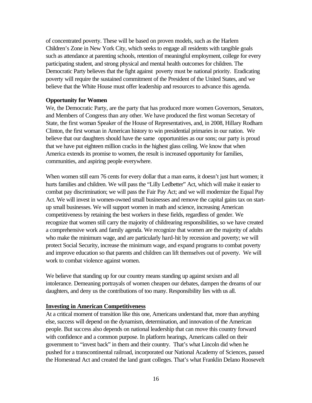of concentrated poverty. These will be based on proven models, such as the Harlem Children's Zone in New York City, which seeks to engage all residents with tangible goals such as attendance at parenting schools, retention of meaningful employment, college for every participating student, and strong physical and mental health outcomes for children. The Democratic Party believes that the fight against poverty must be national priority. Eradicating poverty will require the sustained commitment of the President of the United States, and we believe that the White House must offer leadership and resources to advance this agenda.

#### **Opportunity for Women**

We, the Democratic Party, are the party that has produced more women Governors, Senators, and Members of Congress than any other. We have produced the first woman Secretary of State, the first woman Speaker of the House of Representatives, and, in 2008, Hillary Rodham Clinton, the first woman in American history to win presidential primaries in our nation. We believe that our daughters should have the same opportunities as our sons; our party is proud that we have put eighteen million cracks in the highest glass ceiling. We know that when America extends its promise to women, the result is increased opportunity for families, communities, and aspiring people everywhere.

When women still earn 76 cents for every dollar that a man earns, it doesn't just hurt women; it hurts families and children. We will pass the "Lilly Ledbetter" Act, which will make it easier to combat pay discrimination; we will pass the Fair Pay Act; and we will modernize the Equal Pay Act. We will invest in women-owned small businesses and remove the capital gains tax on startup small businesses. We will support women in math and science, increasing American competitiveness by retaining the best workers in these fields, regardless of gender. We recognize that women still carry the majority of childrearing responsibilities, so we have created a comprehensive work and family agenda. We recognize that women are the majority of adults who make the minimum wage, and are particularly hard-hit by recession and poverty; we will protect Social Security, increase the minimum wage, and expand programs to combat poverty and improve education so that parents and children can lift themselves out of poverty. We will work to combat violence against women.

We believe that standing up for our country means standing up against sexism and all intolerance. Demeaning portrayals of women cheapen our debates, dampen the dreams of our daughters, and deny us the contributions of too many. Responsibility lies with us all.

#### **Investing in American Competitiveness**

At a critical moment of transition like this one, Americans understand that, more than anything else, success will depend on the dynamism, determination, and innovation of the American people. But success also depends on national leadership that can move this country forward with confidence and a common purpose. In platform hearings, Americans called on their government to "invest back" in them and their country. That's what Lincoln did when he pushed for a transcontinental railroad, incorporated our National Academy of Sciences, passed the Homestead Act and created the land grant colleges. That's what Franklin Delano Roosevelt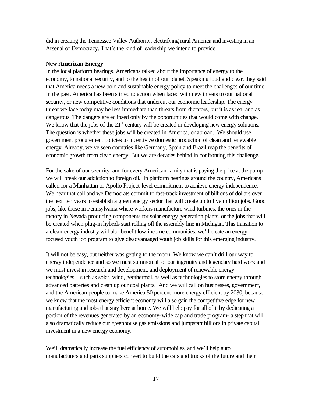did in creating the Tennessee Valley Authority, electrifying rural America and investing in an Arsenal of Democracy. That's the kind of leadership we intend to provide.

#### **New American Energy**

In the local platform hearings, Americans talked about the importance of energy to the economy, to national security, and to the health of our planet. Speaking loud and clear, they said that America needs a new bold and sustainable energy policy to meet the challenges of our time. In the past, America has been stirred to action when faced with new threats to our national security, or new competitive conditions that undercut our economic leadership. The energy threat we face today may be less immediate than threats from dictators, but it is as real and as dangerous. The dangers are eclipsed only by the opportunities that would come with change. We know that the jobs of the  $21<sup>st</sup>$  century will be created in developing new energy solutions. The question is whether these jobs will be created in America, or abroad. We should use government procurement policies to incentivize domestic production of clean and renewable energy. Already, we've seen countries like Germany, Spain and Brazil reap the benefits of economic growth from clean energy. But we are decades behind in confronting this challenge.

For the sake of our security–and for every American family that is paying the price at the pump– we will break our addiction to foreign oil. In platform hearings around the country, Americans called for a Manhattan or Apollo Project-level commitment to achieve energy independence. We hear that call and we Democrats commit to fast-track investment of billions of dollars over the next ten years to establish a green energy sector that will create up to five million jobs. Good jobs, like those in Pennsylvania where workers manufacture wind turbines, the ones in the factory in Nevada producing components for solar energy generation plants, or the jobs that will be created when plug-in hybrids start rolling off the assembly line in Michigan. This transition to a clean-energy industry will also benefit low-income communities: we'll create an energyfocused youth job program to give disadvantaged youth job skills for this emerging industry.

It will not be easy, but neither was getting to the moon. We know we can't drill our way to energy independence and so we must summon all of our ingenuity and legendary hard work and we must invest in research and development, and deployment of renewable energy technologies—such as solar, wind, geothermal, as well as technologies to store energy through advanced batteries and clean up our coal plants. And we will call on businesses, government, and the American people to make America 50 percent more energy efficient by 2030, because we know that the most energy efficient economy will also gain the competitive edge for new manufacturing and jobs that stay here at home. We will help pay for all of it by dedicating a portion of the revenues generated by an economy-wide cap and trade program- a step that will also dramatically reduce our greenhouse gas emissions and jumpstart billions in private capital investment in a new energy economy.

We'll dramatically increase the fuel efficiency of automobiles, and we'll help auto manufacturers and parts suppliers convert to build the cars and trucks of the future and their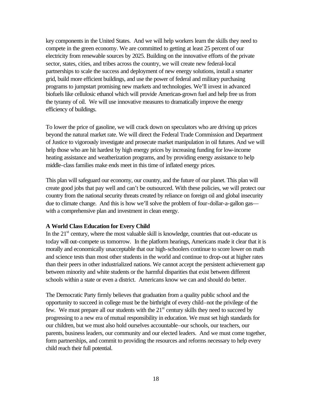key components in the United States. And we will help workers learn the skills they need to compete in the green economy. We are committed to getting at least 25 percent of our electricity from renewable sources by 2025. Building on the innovative efforts of the private sector, states, cities, and tribes across the country, we will create new federal-local partnerships to scale the success and deployment of new energy solutions, install a smarter grid, build more efficient buildings, and use the power of federal and military purchasing programs to jumpstart promising new markets and technologies. We'll invest in advanced biofuels like cellulosic ethanol which will provide American-grown fuel and help free us from the tyranny of oil. We will use innovative measures to dramatically improve the energy efficiency of buildings.

To lower the price of gasoline, we will crack down on speculators who are driving up prices beyond the natural market rate. We will direct the Federal Trade Commission and Department of Justice to vigorously investigate and prosecute market manipulation in oil futures. And we will help those who are hit hardest by high energy prices by increasing funding for low-income heating assistance and weatherization programs, and by providing energy assistance to help middle-class families make ends meet in this time of inflated energy prices.

This plan will safeguard our economy, our country, and the future of our planet. This plan will create good jobs that pay well and can't be outsourced. With these policies, we will protect our country from the national security threats created by reliance on foreign oil and global insecurity due to climate change. And this is how we'll solve the problem of four-dollar-a-gallon gas with a comprehensive plan and investment in clean energy.

#### **A World Class Education for Every Child**

In the  $21<sup>st</sup>$  century, where the most valuable skill is knowledge, countries that out-educate us today will out-compete us tomorrow. In the platform hearings, Americans made it clear that it is morally and economically unacceptable that our high-schoolers continue to score lower on math and science tests than most other students in the world and continue to drop-out at higher rates than their peers in other industrialized nations. We cannot accept the persistent achievement gap between minority and white students or the harmful disparities that exist between different schools within a state or even a district. Americans know we can and should do better.

The Democratic Party firmly believes that graduation from a quality public school and the opportunity to succeed in college must be the birthright of every child–not the privilege of the few. We must prepare all our students with the  $21<sup>st</sup>$  century skills they need to succeed by progressing to a new era of mutual responsibility in education. We must set high standards for our children, but we must also hold ourselves accountable–our schools, our teachers, our parents, business leaders, our community and our elected leaders. And we must come together, form partnerships, and commit to providing the resources and reforms necessary to help every child reach their full potential.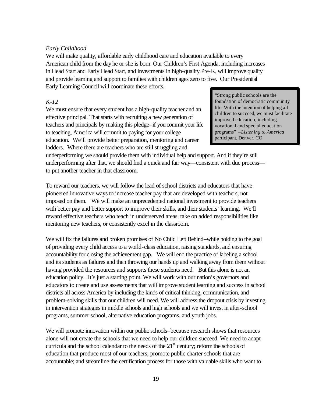## *Early Childhood*

We will make quality, affordable early childhood care and education available to every American child from the day he or she is born. Our Children's First Agenda, including increases in Head Start and Early Head Start, and investments in high-quality Pre-K, will improve quality and provide learning and support to families with children ages zero to five. Our Presidential Early Learning Council will coordinate these efforts.

## *K-12*

We must ensure that every student has a high-quality teacher and an effective principal. That starts with recruiting a new generation of teachers and principals by making this pledge–if you commit your life to teaching, America will commit to paying for your college education. We'll provide better preparation, mentoring and career ladders. Where there are teachers who are still struggling and

"Strong public schools are the foundation of democratic community life. With the intention of helping all children to succeed, we must facilitate improved education, including vocational and special education programs" –*Listening to America* participant, Denver, CO

underperforming we should provide them with individual help and support. And if they're still underperforming after that, we should find a quick and fair way—consistent with due process to put another teacher in that classroom.

To reward our teachers, we will follow the lead of school districts and educators that have pioneered innovative ways to increase teacher pay that are developed with teachers, not imposed on them. We will make an unprecedented national investment to provide teachers with better pay and better support to improve their skills, and their students' learning. We'll reward effective teachers who teach in underserved areas, take on added responsibilities like mentoring new teachers, or consistently excel in the classroom.

We will fix the failures and broken promises of No Child Left Behind–while holding to the goal of providing every child access to a world-class education, raising standards, and ensuring accountability for closing the achievement gap. We will end the practice of labeling a school and its students as failures and then throwing our hands up and walking away from them without having provided the resources and supports these students need. But this alone is not an education policy. It's just a starting point. We will work with our nation's governors and educators to create and use assessments that will improve student learning and success in school districts all across America by including the kinds of critical thinking, communication, and problem-solving skills that our children will need. We will address the dropout crisis by investing in intervention strategies in middle schools and high schools and we will invest in after-school programs, summer school, alternative education programs, and youth jobs.

We will promote innovation within our public schools–because research shows that resources alone will not create the schools that we need to help our children succeed. We need to adapt curricula and the school calendar to the needs of the  $21<sup>st</sup>$  century; reform the schools of education that produce most of our teachers; promote public charter schools that are accountable; and streamline the certification process for those with valuable skills who want to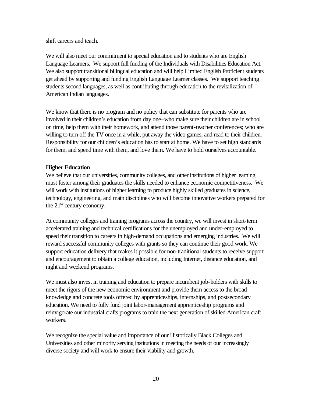shift careers and teach.

We will also meet our commitment to special education and to students who are English Language Learners. We support full funding of the Individuals with Disabilities Education Act. We also support transitional bilingual education and will help Limited English Proficient students get ahead by supporting and funding English Language Learner classes. We support teaching students second languages, as well as contributing through education to the revitalization of American Indian languages.

We know that there is no program and no policy that can substitute for parents who are involved in their children's education from day one–who make sure their children are in school on time, help them with their homework, and attend those parent-teacher conferences; who are willing to turn off the TV once in a while, put away the video games, and read to their children. Responsibility for our children's education has to start at home. We have to set high standards for them, and spend time with them, and love them. We have to hold ourselves accountable.

## **Higher Education**

We believe that our universities, community colleges, and other institutions of higher learning must foster among their graduates the skills needed to enhance economic competitiveness. We will work with institutions of higher learning to produce highly skilled graduates in science, technology, engineering, and math disciplines who will become innovative workers prepared for the  $21<sup>st</sup>$  century economy.

At community colleges and training programs across the country, we will invest in short-term accelerated training and technical certifications for the unemployed and under-employed to speed their transition to careers in high-demand occupations and emerging industries. We will reward successful community colleges with grants so they can continue their good work. We support education delivery that makes it possible for non-traditional students to receive support and encouragement to obtain a college education, including Internet, distance education, and night and weekend programs.

We must also invest in training and education to prepare incumbent job-holders with skills to meet the rigors of the new economic environment and provide them access to the broad knowledge and concrete tools offered by apprenticeships, internships, and postsecondary education. We need to fully fund joint labor-management apprenticeship programs and reinvigorate our industrial crafts programs to train the next generation of skilled American craft workers.

We recognize the special value and importance of our Historically Black Colleges and Universities and other minority serving institutions in meeting the needs of our increasingly diverse society and will work to ensure their viability and growth.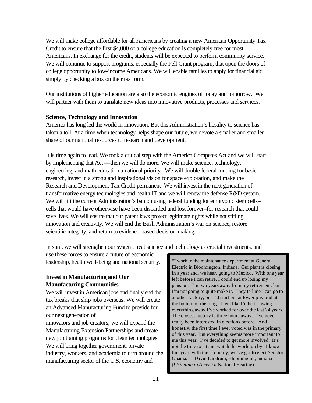We will make college affordable for all Americans by creating a new American Opportunity Tax Credit to ensure that the first \$4,000 of a college education is completely free for most Americans. In exchange for the credit, students will be expected to perform community service. We will continue to support programs, especially the Pell Grant program, that open the doors of college opportunity to low-income Americans. We will enable families to apply for financial aid simply by checking a box on their tax form.

Our institutions of higher education are also the economic engines of today and tomorrow. We will partner with them to translate new ideas into innovative products, processes and services.

#### **Science, Technology and Innovation**

America has long led the world in innovation. But this Administration's hostility to science has taken a toll. At a time when technology helps shape our future, we devote a smaller and smaller share of our national resources to research and development.

It is time again to lead. We took a critical step with the America Competes Act and we will start by implementing that Act —then we will do more. We will make science, technology, engineering, and math education a national priority. We will double federal funding for basic research, invest in a strong and inspirational vision for space exploration, and make the Research and Development Tax Credit permanent. We will invest in the next generation of transformative energy technologies and health IT and we will renew the defense R&D system. We will lift the current Administration's ban on using federal funding for embryonic stem cells– cells that would have otherwise have been discarded and lost forever–for research that could save lives. We will ensure that our patent laws protect legitimate rights while not stifling innovation and creativity. We will end the Bush Administration's war on science, restore scientific integrity, and return to evidence-based decision-making.

In sum, we will strengthen our system, treat science and technology as crucial investments, and

use these forces to ensure a future of economic leadership, health well-being and national security.

## **Invest in Manufacturing and Our Manufacturing Communities**

We will invest in American jobs and finally end the tax breaks that ship jobs overseas. We will create an Advanced Manufacturing Fund to provide for our next generation of innovators and job creators; we will expand the Manufacturing Extension Partnerships and create

new job training programs for clean technologies. We will bring together government, private industry, workers, and academia to turn around the manufacturing sector of the U.S. economy and

"I work in the maintenance department at General Electric in Bloomington, Indiana. Our plant is closing in a year and, we hear, going to Mexico. With one year left before I can retire, I could end up losing my pension. I'm two years away from my retirement, but I'm not going to quite make it. They tell me I can go to another factory, but I'd start out at lower pay and at the bottom of the rung. I feel like I'd be throwing everything away I've worked for over the last 24 years. The closest factory is three hours away. I've never really been interested in elections before. And honestly, the first time I ever voted was in the primary of this year. But everything seems more important to me this year. I've decided to get more involved. It's not the time to sit and watch the world go by. I know this year, with the economy, we've got to elect Senator Obama." –David Landrum, Bloomington, Indiana (*Listening to America* National Hearing)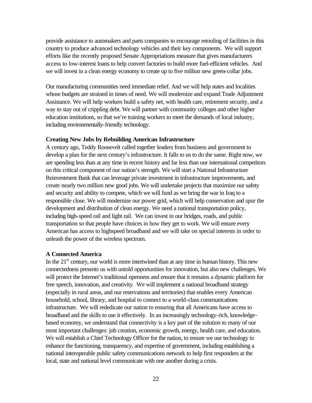provide assistance to automakers and parts companies to encourage retooling of facilities in this country to produce advanced technology vehicles and their key components. We will support efforts like the recently proposed Senate Appropriations measure that gives manufacturers access to low-interest loans to help convert factories to build more fuel-efficient vehicles. And we will invest in a clean energy economy to create up to five million new green-collar jobs.

Our manufacturing communities need immediate relief. And we will help states and localities whose budgets are strained in times of need. We will modernize and expand Trade Adjustment Assistance. We will help workers build a safety net, with health care, retirement security, and a way to stay out of crippling debt. We will partner with community colleges and other higher education institutions, so that we're training workers to meet the demands of local industry, including environmentally-friendly technology.

#### **Creating New Jobs by Rebuilding American Infrastructure**

A century ago, Teddy Roosevelt called together leaders from business and government to develop a plan for the next century's infrastructure. It falls to us to do the same. Right now, we are spending less than at any time in recent history and far less than our international competitors on this critical component of our nation's strength. We will start a National Infrastructure Reinvestment Bank that can leverage private investment in infrastructure improvements, and create nearly two million new good jobs. We will undertake projects that maximize our safety and security and ability to compete, which we will fund as we bring the war in Iraq to a responsible close. We will modernize our power grid, which will help conservation and spur the development and distribution of clean energy. We need a national transportation policy, including high-speed rail and light rail. We can invest in our bridges, roads, and public transportation so that people have choices in how they get to work. We will ensure every American has access to highspeed broadband and we will take on special interests in order to unleash the power of the wireless spectrum.

#### **A Connected America**

In the  $21<sup>st</sup>$  century, our world is more intertwined than at any time in human history. This new connectedness presents us with untold opportunities for innovation, but also new challenges. We will protect the Internet's traditional openness and ensure that it remains a dynamic platform for free speech, innovation, and creativity. We will implement a national broadband strategy (especially in rural areas, and our reservations and territories) that enables every American household, school, library, and hospital to connect to a world-class communications infrastructure. We will rededicate our nation to ensuring that all Americans have access to broadband and the skills to use it effectively. In an increasingly technology-rich, knowledgebased economy, we understand that connectivity is a key part of the solution to many of our most important challenges: job creation, economic growth, energy, health care, and education. We will establish a Chief Technology Officer for the nation, to ensure we use technology to enhance the functioning, transparency, and expertise of government, including establishing a national interoperable public safety communications network to help first responders at the local, state and national level communicate with one another during a crisis.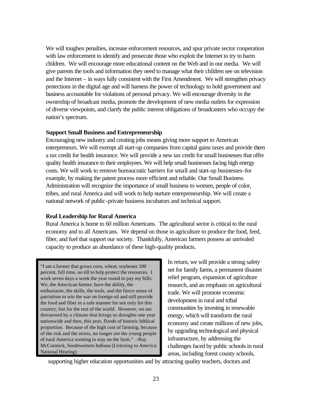We will toughen penalties, increase enforcement resources, and spur private sector cooperation with law enforcement to identify and prosecute those who exploit the Internet to try to harm children. We will encourage more educational content on the Web and in our media. We will give parents the tools and information they need to manage what their children see on television and the Internet – in ways fully consistent with the First Amendment. We will strengthen privacy protections in the digital age and will harness the power of technology to hold government and business accountable for violations of personal privacy. We will encourage diversity in the ownership of broadcast media, promote the development of new media outlets for expression of diverse viewpoints, and clarify the public interest obligations of broadcasters who occupy the nation's spectrum.

## **Support Small Business and Entrepreneurship**

Encouraging new industry and creating jobs means giving more support to American entrepreneurs. We will exempt all start-up companies from capital gains taxes and provide them a tax credit for health insurance. We will provide a new tax credit for small businesses that offer quality health insurance to their employees. We will help small businesses facing high energy costs. We will work to remove bureaucratic barriers for small and start-up businesses–for example, by making the patent process more efficient and reliable. Our Small Business Administration will recognize the importance of small business to women, people of color, tribes, and rural America and will work to help nurture entrepreneurship. We will create a national network of public-private business incubators and technical support.

## **Real Leadership for Rural America**

Rural America is home to 60 million Americans. The agricultural sector is critical to the rural economy and to all Americans. We depend on those in agriculture to produce the food, feed, fiber, and fuel that support our society. Thankfully, American farmers possess an unrivaled capacity to produce an abundance of these high-quality products.

"I am a farmer that grows corn, wheat, soybeans 100 percent, full time, no till to help protect the resources. I work seven days a week the year round to pay my bills. We, the American farmer, have the ability, the enthusiasm, the skills, the tools, and the fierce sense of patriotism to win the war on foreign oil and still provide the food and fiber in a safe manner for not only for this country, but for the rest of the world. However, we are threatened by a climate that brings us droughts one year nationwide and then, this year, floods of historic biblical proportion. Because of the high cost of farming, because of the risk and the stress, no longer are the young people of rural America wanting to stay on the farm." –Ray McCormick, Southwestern Indiana (*Listening to America* National Hearing)

In return, we will provide a strong safety net for family farms, a permanent disaster relief program, expansion of agriculture research, and an emphasis on agricultural trade. We will promote economic development in rural and tribal communities by investing in renewable energy, which will transform the rural economy and create millions of new jobs, by upgrading technological and physical infrastructure, by addressing the challenges faced by public schools in rural areas, including forest county schools,

supporting higher education opportunities and by attracting quality teachers, doctors and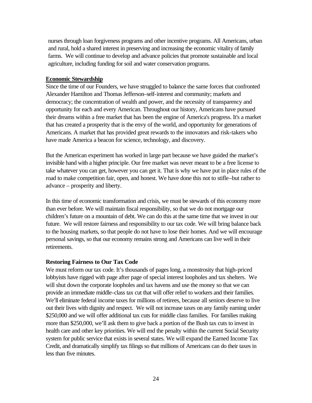nurses through loan forgiveness programs and other incentive programs. All Americans, urban and rural, hold a shared interest in preserving and increasing the economic vitality of family farms. We will continue to develop and advance policies that promote sustainable and local agriculture, including funding for soil and water conservation programs.

#### **Economic Stewardship**

Since the time of our Founders, we have struggled to balance the same forces that confronted Alexander Hamilton and Thomas Jefferson–self-interest and community; markets and democracy; the concentration of wealth and power, and the necessity of transparency and opportunity for each and every American. Throughout our history, Americans have pursued their dreams within a free market that has been the engine of America's progress. It's a market that has created a prosperity that is the envy of the world, and opportunity for generations of Americans. A market that has provided great rewards to the innovators and risk-takers who have made America a beacon for science, technology, and discovery.

But the American experiment has worked in large part because we have guided the market's invisible hand with a higher principle. Our free market was never meant to be a free license to take whatever you can get, however you can get it. That is why we have put in place rules of the road to make competition fair, open, and honest. We have done this not to stifle–but rather to advance – prosperity and liberty.

In this time of economic transformation and crisis, we must be stewards of this economy more than ever before. We will maintain fiscal responsibility, so that we do not mortgage our children's future on a mountain of debt. We can do this at the same time that we invest in our future. We will restore fairness and responsibility to our tax code. We will bring balance back to the housing markets, so that people do not have to lose their homes. And we will encourage personal savings, so that our economy remains strong and Americans can live well in their retirements.

#### **Restoring Fairness to Our Tax Code**

We must reform our tax code. It's thousands of pages long, a monstrosity that high-priced lobbyists have rigged with page after page of special interest loopholes and tax shelters. We will shut down the corporate loopholes and tax havens and use the money so that we can provide an immediate middle-class tax cut that will offer relief to workers and their families. We'll eliminate federal income taxes for millions of retirees, because all seniors deserve to live out their lives with dignity and respect. We will not increase taxes on any family earning under \$250,000 and we will offer additional tax cuts for middle class families. For families making more than \$250,000, we'll ask them to give back a portion of the Bush tax cuts to invest in health care and other key priorities. We will end the penalty within the current Social Security system for public service that exists in several states. We will expand the Earned Income Tax Credit, and dramatically simplify tax filings so that millions of Americans can do their taxes in less than five minutes.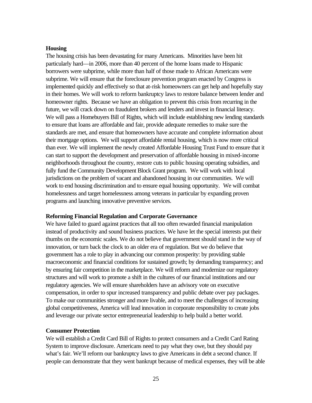#### **Housing**

The housing crisis has been devastating for many Americans. Minorities have been hit particularly hard—in 2006, more than 40 percent of the home loans made to Hispanic borrowers were subprime, while more than half of those made to African Americans were subprime. We will ensure that the foreclosure prevention program enacted by Congress is implemented quickly and effectively so that at-risk homeowners can get help and hopefully stay in their homes. We will work to reform bankruptcy laws to restore balance between lender and homeowner rights. Because we have an obligation to prevent this crisis from recurring in the future, we will crack down on fraudulent brokers and lenders and invest in financial literacy. We will pass a Homebuyers Bill of Rights, which will include establishing new lending standards to ensure that loans are affordable and fair, provide adequate remedies to make sure the standards are met, and ensure that homeowners have accurate and complete information about their mortgage options. We will support affordable rental housing, which is now more critical than ever. We will implement the newly created Affordable Housing Trust Fund to ensure that it can start to support the development and preservation of affordable housing in mixed-income neighborhoods throughout the country, restore cuts to public housing operating subsidies, and fully fund the Community Development Block Grant program. We will work with local jurisdictions on the problem of vacant and abandoned housing in our communities. We will work to end housing discrimination and to ensure equal housing opportunity. We will combat homelessness and target homelessness among veterans in particular by expanding proven programs and launching innovative preventive services.

#### **Reforming Financial Regulation and Corporate Governance**

We have failed to guard against practices that all too often rewarded financial manipulation instead of productivity and sound business practices. We have let the special interests put their thumbs on the economic scales. We do not believe that government should stand in the way of innovation, or turn back the clock to an older era of regulation. But we do believe that government has a role to play in advancing our common prosperity: by providing stable macroeconomic and financial conditions for sustained growth; by demanding transparency; and by ensuring fair competition in the marketplace. We will reform and modernize our regulatory structures and will work to promote a shift in the cultures of our financial institutions and our regulatory agencies. We will ensure shareholders have an advisory vote on executive compensation, in order to spur increased transparency and public debate over pay packages. To make our communities stronger and more livable, and to meet the challenges of increasing global competitiveness, America will lead innovation in corporate responsibility to create jobs and leverage our private sector entrepreneurial leadership to help build a better world.

#### **Consumer Protection**

We will establish a Credit Card Bill of Rights to protect consumers and a Credit Card Rating System to improve disclosure. Americans need to pay what they owe, but they should pay what's fair. We'll reform our bankruptcy laws to give Americans in debt a second chance. If people can demonstrate that they went bankrupt because of medical expenses, they will be able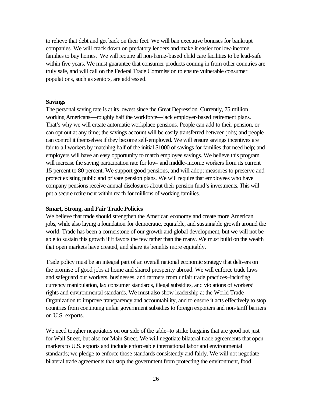to relieve that debt and get back on their feet. We will ban executive bonuses for bankrupt companies. We will crack down on predatory lenders and make it easier for low-income families to buy homes. We will require all non-home-based child care facilities to be lead-safe within five years. We must guarantee that consumer products coming in from other countries are truly safe, and will call on the Federal Trade Commission to ensure vulnerable consumer populations, such as seniors, are addressed.

#### **Savings**

The personal saving rate is at its lowest since the Great Depression. Currently, 75 million working Americans—roughly half the workforce—lack employer-based retirement plans. That's why we will create automatic workplace pensions. People can add to their pension, or can opt out at any time; the savings account will be easily transferred between jobs; and people can control it themselves if they become self-employed. We will ensure savings incentives are fair to all workers by matching half of the initial \$1000 of savings for families that need help; and employers will have an easy opportunity to match employee savings. We believe this program will increase the saving participation rate for low- and middle-income workers from its current 15 percent to 80 percent. We support good pensions, and will adopt measures to preserve and protect existing public and private pension plans. We will require that employees who have company pensions receive annual disclosures about their pension fund's investments. This will put a secure retirement within reach for millions of working families.

#### **Smart, Strong, and Fair Trade Policies**

We believe that trade should strengthen the American economy and create more American jobs, while also laying a foundation for democratic, equitable, and sustainable growth around the world. Trade has been a cornerstone of our growth and global development, but we will not be able to sustain this growth if it favors the few rather than the many. We must build on the wealth that open markets have created, and share its benefits more equitably.

Trade policy must be an integral part of an overall national economic strategy that delivers on the promise of good jobs at home and shared prosperity abroad. We will enforce trade laws and safeguard our workers, businesses, and farmers from unfair trade practices–including currency manipulation, lax consumer standards, illegal subsidies, and violations of workers' rights and environmental standards. We must also show leadership at the World Trade Organization to improve transparency and accountability, and to ensure it acts effectively to stop countries from continuing unfair government subsidies to foreign exporters and non-tariff barriers on U.S. exports.

We need tougher negotiators on our side of the table–to strike bargains that are good not just for Wall Street, but also for Main Street. We will negotiate bilateral trade agreements that open markets to U.S. exports and include enforceable international labor and environmental standards; we pledge to enforce those standards consistently and fairly. We will not negotiate bilateral trade agreements that stop the government from protecting the environment, food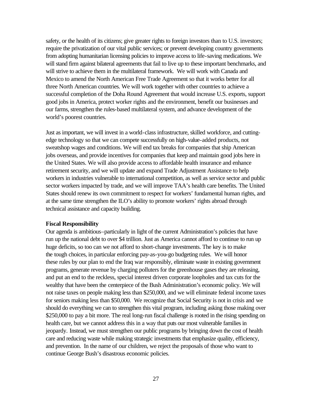safety, or the health of its citizens; give greater rights to foreign investors than to U.S. investors; require the privatization of our vital public services; or prevent developing country governments from adopting humanitarian licensing policies to improve access to life-saving medications. We will stand firm against bilateral agreements that fail to live up to these important benchmarks, and will strive to achieve them in the multilateral framework. We will work with Canada and Mexico to amend the North American Free Trade Agreement so that it works better for all three North American countries. We will work together with other countries to achieve a successful completion of the Doha Round Agreement that would increase U.S. exports, support good jobs in America, protect worker rights and the environment, benefit our businesses and our farms, strengthen the rules-based multilateral system, and advance development of the world's poorest countries.

Just as important, we will invest in a world-class infrastructure, skilled workforce, and cuttingedge technology so that we can compete successfully on high-value-added products, not sweatshop wages and conditions. We will end tax breaks for companies that ship American jobs overseas, and provide incentives for companies that keep and maintain good jobs here in the United States. We will also provide access to affordable health insurance and enhance retirement security, and we will update and expand Trade Adjustment Assistance to help workers in industries vulnerable to international competition, as well as service sector and public sector workers impacted by trade, and we will improve TAA's health care benefits. The United States should renew its own commitment to respect for workers' fundamental human rights, and at the same time strengthen the ILO's ability to promote workers' rights abroad through technical assistance and capacity building.

#### **Fiscal Responsibility**

Our agenda is ambitious–particularly in light of the current Administration's policies that have run up the national debt to over \$4 trillion. Just as America cannot afford to continue to run up huge deficits, so too can we not afford to short-change investments. The key is to make the tough choices, in particular enforcing pay-as-you-go budgeting rules. We will honor these rules by our plan to end the Iraq war responsibly, eliminate waste in existing government programs, generate revenue by charging polluters for the greenhouse gases they are releasing, and put an end to the reckless, special interest driven corporate loopholes and tax cuts for the wealthy that have been the centerpiece of the Bush Administration's economic policy. We will not raise taxes on people making less than \$250,000, and we will eliminate federal income taxes for seniors making less than \$50,000. We recognize that Social Security is not in crisis and we should do everything we can to strengthen this vital program, including asking those making over \$250,000 to pay a bit more. The real long-run fiscal challenge is rooted in the rising spending on health care, but we cannot address this in a way that puts our most vulnerable families in jeopardy. Instead, we must strengthen our public programs by bringing down the cost of health care and reducing waste while making strategic investments that emphasize quality, efficiency, and prevention. In the name of our children, we reject the proposals of those who want to continue George Bush's disastrous economic policies.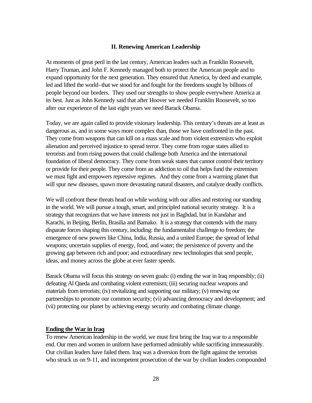#### **II. Renewing American Leadership**

At moments of great peril in the last century, American leaders such as Franklin Roosevelt, Harry Truman, and John F. Kennedy managed both to protect the American people and to expand opportunity for the next generation. They ensured that America, by deed and example, led and lifted the world–that we stood for and fought for the freedoms sought by billions of people beyond our borders. They used our strengths to show people everywhere America at its best. Just as John Kennedy said that after Hoover we needed Franklin Roosevelt, so too after our experience of the last eight years we need Barack Obama.

Today, we are again called to provide visionary leadership. This century's threats are at least as dangerous as, and in some ways more complex than, those we have confronted in the past. They come from weapons that can kill on a mass scale and from violent extremists who exploit alienation and perceived injustice to spread terror. They come from rogue states allied to terrorists and from rising powers that could challenge both America and the international foundation of liberal democracy. They come from weak states that cannot control their territory or provide for their people. They come from an addiction to oil that helps fund the extremism we must fight and empowers repressive regimes. And they come from a warming planet that will spur new diseases, spawn more devastating natural disasters, and catalyze deadly conflicts.

We will confront these threats head on while working with our allies and restoring our standing in the world. We will pursue a tough, smart, and principled national security strategy. It is a strategy that recognizes that we have interests not just in Baghdad, but in Kandahar and Karachi, in Beijing, Berlin, Brasilia and Bamako. It is a strategy that contends with the many disparate forces shaping this century, including: the fundamentalist challenge to freedom; the emergence of new powers like China, India, Russia, and a united Europe; the spread of lethal weapons; uncertain supplies of energy, food, and water; the persistence of poverty and the growing gap between rich and poor; and extraordinary new technologies that send people, ideas, and money across the globe at ever faster speeds.

Barack Obama will focus this strategy on seven goals: (i) ending the war in Iraq responsibly; (ii) defeating Al Qaeda and combating violent extremism; (iii) securing nuclear weapons and materials from terrorists; (iv) revitalizing and supporting our military; (v) renewing our partnerships to promote our common security; (vi) advancing democracy and development; and (vii) protecting our planet by achieving energy security and combating climate change.

#### **Ending the War in Iraq**

To renew American leadership in the world, we must first bring the Iraq war to a responsible end. Our men and women in uniform have performed admirably while sacrificing immeasurably. Our civilian leaders have failed them. Iraq was a diversion from the fight against the terrorists who struck us on 9-11, and incompetent prosecution of the war by civilian leaders compounded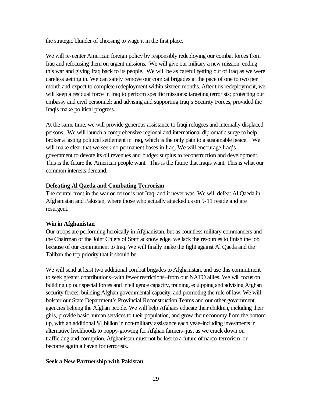the strategic blunder of choosing to wage it in the first place.

We will re-center American foreign policy by responsibly redeploying our combat forces from Iraq and refocusing them on urgent missions. We will give our military a new mission: ending this war and giving Iraq back to its people. We will be as careful getting out of Iraq as we were careless getting in. We can safely remove our combat brigades at the pace of one to two per month and expect to complete redeployment within sixteen months. After this redeployment, we will keep a residual force in Iraq to perform specific missions: targeting terrorists; protecting our embassy and civil personnel; and advising and supporting Iraq's Security Forces, provided the Iraqis make political progress.

At the same time, we will provide generous assistance to Iraqi refugees and internally displaced persons. We will launch a comprehensive regional and international diplomatic surge to help broker a lasting political settlement in Iraq, which is the only path to a sustainable peace. We will make clear that we seek no permanent bases in Iraq. We will encourage Iraq's government to devote its oil revenues and budget surplus to reconstruction and development. This is the future the American people want. This is the future that Iraqis want. This is what our common interests demand.

## **Defeating Al Qaeda and Combating Terrorism**

The central front in the war on terror is not Iraq, and it never was. We will defeat Al Qaeda in Afghanistan and Pakistan, where those who actually attacked us on 9-11 reside and are resurgent.

## **Win in Afghanistan**

Our troops are performing heroically in Afghanistan, but as countless military commanders and the Chairman of the Joint Chiefs of Staff acknowledge, we lack the resources to finish the job because of our commitment to Iraq. We will finally make the fight against Al Qaeda and the Taliban the top priority that it should be.

We will send at least two additional combat brigades to Afghanistan, and use this commitment to seek greater contributions–with fewer restrictions–from our NATO allies. We will focus on building up our special forces and intelligence capacity, training, equipping and advising Afghan security forces, building Afghan governmental capacity, and promoting the rule of law. We will bolster our State Department's Provincial Reconstruction Teams and our other government agencies helping the Afghan people. We will help Afghans educate their children, including their girls, provide basic human services to their population, and grow their economy from the bottom up, with an additional \$1 billion in non-military assistance each year–including investments in alternative livelihoods to poppy-growing for Afghan farmers–just as we crack down on trafficking and corruption. Afghanistan must not be lost to a future of narco-terrorism–or become again a haven for terrorists.

## **Seek a New Partnership with Pakistan**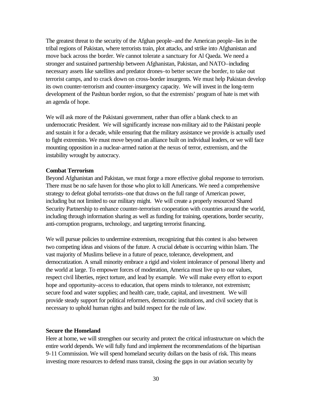The greatest threat to the security of the Afghan people–and the American people–lies in the tribal regions of Pakistan, where terrorists train, plot attacks, and strike into Afghanistan and move back across the border. We cannot tolerate a sanctuary for Al Qaeda. We need a stronger and sustained partnership between Afghanistan, Pakistan, and NATO–including necessary assets like satellites and predator drones–to better secure the border, to take out terrorist camps, and to crack down on cross-border insurgents. We must help Pakistan develop its own counter-terrorism and counter-insurgency capacity. We will invest in the long-term development of the Pashtun border region, so that the extremists' program of hate is met with an agenda of hope.

We will ask more of the Pakistani government, rather than offer a blank check to an undemocratic President. We will significantly increase non-military aid to the Pakistani people and sustain it for a decade, while ensuring that the military assistance we provide is actually used to fight extremists. We must move beyond an alliance built on individual leaders, or we will face mounting opposition in a nuclear-armed nation at the nexus of terror, extremism, and the instability wrought by autocracy.

#### **Combat Terrorism**

Beyond Afghanistan and Pakistan, we must forge a more effective global response to terrorism. There must be no safe haven for those who plot to kill Americans. We need a comprehensive strategy to defeat global terrorists–one that draws on the full range of American power, including but not limited to our military might. We will create a properly resourced Shared Security Partnership to enhance counter-terrorism cooperation with countries around the world, including through information sharing as well as funding for training, operations, border security, anti-corruption programs, technology, and targeting terrorist financing.

We will pursue policies to undermine extremism, recognizing that this contest is also between two competing ideas and visions of the future. A crucial debate is occurring within Islam. The vast majority of Muslims believe in a future of peace, tolerance, development, and democratization. A small minority embrace a rigid and violent intolerance of personal liberty and the world at large. To empower forces of moderation, America must live up to our values, respect civil liberties, reject torture, and lead by example. We will make every effort to export hope and opportunity–access to education, that opens minds to tolerance, not extremism; secure food and water supplies; and health care, trade, capital, and investment. We will provide steady support for political reformers, democratic institutions, and civil society that is necessary to uphold human rights and build respect for the rule of law.

#### **Secure the Homeland**

Here at home, we will strengthen our security and protect the critical infrastructure on which the entire world depends. We will fully fund and implement the recommendations of the bipartisan 9-11 Commission. We will spend homeland security dollars on the basis of risk. This means investing more resources to defend mass transit, closing the gaps in our aviation security by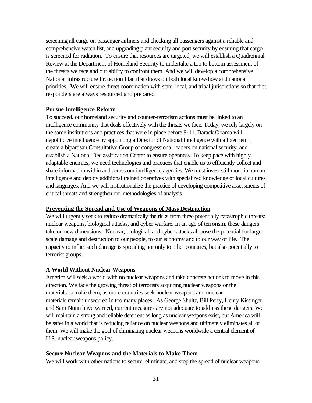screening all cargo on passenger airliners and checking all passengers against a reliable and comprehensive watch list, and upgrading plant security and port security by ensuring that cargo is screened for radiation. To ensure that resources are targeted, we will establish a Quadrennial Review at the Department of Homeland Security to undertake a top to bottom assessment of the threats we face and our ability to confront them. And we will develop a comprehensive National Infrastructure Protection Plan that draws on both local know-how and national priorities. We will ensure direct coordination with state, local, and tribal jurisdictions so that first responders are always resourced and prepared.

#### **Pursue Intelligence Reform**

To succeed, our homeland security and counter-terrorism actions must be linked to an intelligence community that deals effectively with the threats we face. Today, we rely largely on the same institutions and practices that were in place before 9-11. Barack Obama will depoliticize intelligence by appointing a Director of National Intelligence with a fixed term, create a bipartisan Consultative Group of congressional leaders on national security, and establish a National Declassification Center to ensure openness. To keep pace with highly adaptable enemies, we need technologies and practices that enable us to efficiently collect and share information within and across our intelligence agencies. We must invest still more in human intelligence and deploy additional trained operatives with specialized knowledge of local cultures and languages. And we will institutionalize the practice of developing competitive assessments of critical threats and strengthen our methodologies of analysis.

#### **Preventing the Spread and Use of Weapons of Mass Destruction**

We will urgently seek to reduce dramatically the risks from three potentially catastrophic threats: nuclear weapons, biological attacks, and cyber warfare. In an age of terrorism, these dangers take on new dimensions. Nuclear, biological, and cyber attacks all pose the potential for largescale damage and destruction to our people, to our economy and to our way of life. The capacity to inflict such damage is spreading not only to other countries, but also potentially to terrorist groups.

#### **A World Without Nuclear Weapons**

America will seek a world with no nuclear weapons and take concrete actions to move in this direction. We face the growing threat of terrorists acquiring nuclear weapons or the materials to make them, as more countries seek nuclear weapons and nuclear materials remain unsecured in too many places. As George Shultz, Bill Perry, Henry Kissinger, and Sam Nunn have warned, current measures are not adequate to address these dangers. We will maintain a strong and reliable deterrent as long as nuclear weapons exist, but America will be safer in a world that is reducing reliance on nuclear weapons and ultimately eliminates all of them. We will make the goal of eliminating nuclear weapons worldwide a central element of U.S. nuclear weapons policy.

#### **Secure Nuclear Weapons and the Materials to Make Them**

We will work with other nations to secure, eliminate, and stop the spread of nuclear weapons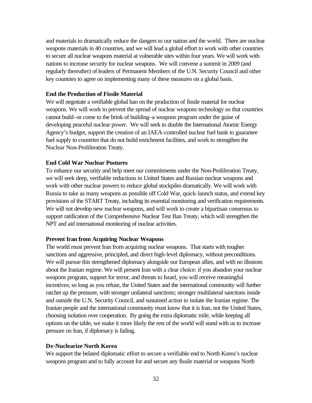and materials to dramatically reduce the dangers to our nation and the world. There are nuclear weapons materials in 40 countries, and we will lead a global effort to work with other countries to secure all nuclear weapons material at vulnerable sites within four years. We will work with nations to increase security for nuclear weapons. We will convene a summit in 2009 (and regularly thereafter) of leaders of Permanent Members of the U.N. Security Council and other key countries to agree on implementing many of these measures on a global basis.

#### **End the Production of Fissile Material**

We will negotiate a verifiable global ban on the production of fissile material for nuclear weapons. We will work to prevent the spread of nuclear weapons technology so that countries cannot build–or come to the brink of building–a weapons program under the guise of developing peaceful nuclear power. We will seek to double the International Atomic Energy Agency's budget, support the creation of an IAEA-controlled nuclear fuel bank to guarantee fuel supply to countries that do not build enrichment facilities, and work to strengthen the Nuclear Non-Proliferation Treaty.

#### **End Cold War Nuclear Postures**

To enhance our security and help meet our commitments under the Non-Proliferation Treaty, we will seek deep, verifiable reductions in United States and Russian nuclear weapons and work with other nuclear powers to reduce global stockpiles dramatically. We will work with Russia to take as many weapons as possible off Cold War, quick-launch status, and extend key provisions of the START Treaty, including its essential monitoring and verification requirements. We will not develop new nuclear weapons, and will work to create a bipartisan consensus to support ratification of the Comprehensive Nuclear Test Ban Treaty, which will strengthen the NPT and aid international monitoring of nuclear activities.

#### **Prevent Iran from Acquiring Nuclear Weapons**

The world must prevent Iran from acquiring nuclear weapons. That starts with tougher sanctions and aggressive, principled, and direct high-level diplomacy, without preconditions. We will pursue this strengthened diplomacy alongside our European allies, and with no illusions about the Iranian regime. We will present Iran with a clear choice: if you abandon your nuclear weapons program, support for terror, and threats to Israel, you will receive meaningful incentives; so long as you refuse, the United States and the international community will further ratchet up the pressure, with stronger unilateral sanctions; stronger multilateral sanctions inside and outside the U.N. Security Council, and sustained action to isolate the Iranian regime. The Iranian people and the international community must know that it is Iran, not the United States, choosing isolation over cooperation. By going the extra diplomatic mile, while keeping all options on the table, we make it more likely the rest of the world will stand with us to increase pressure on Iran, if diplomacy is failing.

#### **De-Nuclearize North Korea**

We support the belated diplomatic effort to secure a verifiable end to North Korea's nuclear weapons program and to fully account for and secure any fissile material or weapons North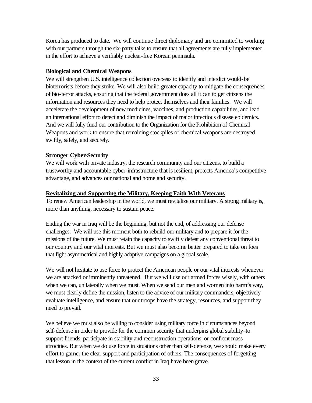Korea has produced to date. We will continue direct diplomacy and are committed to working with our partners through the six-party talks to ensure that all agreements are fully implemented in the effort to achieve a verifiably nuclear-free Korean peninsula.

## **Biological and Chemical Weapons**

We will strengthen U.S. intelligence collection overseas to identify and interdict would-be bioterrorists before they strike. We will also build greater capacity to mitigate the consequences of bio-terror attacks, ensuring that the federal government does all it can to get citizens the information and resources they need to help protect themselves and their families. We will accelerate the development of new medicines, vaccines, and production capabilities, and lead an international effort to detect and diminish the impact of major infectious disease epidemics. And we will fully fund our contribution to the Organization for the Prohibition of Chemical Weapons and work to ensure that remaining stockpiles of chemical weapons are destroyed swiftly, safely, and securely.

## **Stronger Cyber-Security**

We will work with private industry, the research community and our citizens, to build a trustworthy and accountable cyber-infrastructure that is resilient, protects America's competitive advantage, and advances our national and homeland security.

## **Revitalizing and Supporting the Military, Keeping Faith With Veterans**

To renew American leadership in the world, we must revitalize our military. A strong military is, more than anything, necessary to sustain peace.

Ending the war in Iraq will be the beginning, but not the end, of addressing our defense challenges. We will use this moment both to rebuild our military and to prepare it for the missions of the future. We must retain the capacity to swiftly defeat any conventional threat to our country and our vital interests. But we must also become better prepared to take on foes that fight asymmetrical and highly adaptive campaigns on a global scale.

We will not hesitate to use force to protect the American people or our vital interests whenever we are attacked or imminently threatened. But we will use our armed forces wisely, with others when we can, unilaterally when we must. When we send our men and women into harm's way, we must clearly define the mission, listen to the advice of our military commanders, objectively evaluate intelligence, and ensure that our troops have the strategy, resources, and support they need to prevail.

We believe we must also be willing to consider using military force in circumstances beyond self-defense in order to provide for the common security that underpins global stability–to support friends, participate in stability and reconstruction operations, or confront mass atrocities. But when we do use force in situations other than self-defense, we should make every effort to garner the clear support and participation of others. The consequences of forgetting that lesson in the context of the current conflict in Iraq have been grave.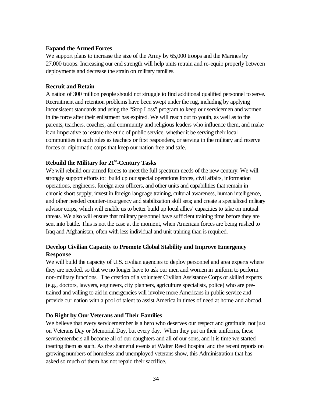## **Expand the Armed Forces**

We support plans to increase the size of the Army by 65,000 troops and the Marines by 27,000 troops. Increasing our end strength will help units retrain and re-equip properly between deployments and decrease the strain on military families.

## **Recruit and Retain**

A nation of 300 million people should not struggle to find additional qualified personnel to serve. Recruitment and retention problems have been swept under the rug, including by applying inconsistent standards and using the "Stop Loss" program to keep our servicemen and women in the force after their enlistment has expired. We will reach out to youth, as well as to the parents, teachers, coaches, and community and religious leaders who influence them, and make it an imperative to restore the ethic of public service, whether it be serving their local communities in such roles as teachers or first responders, or serving in the military and reserve forces or diplomatic corps that keep our nation free and safe.

## **Rebuild the Military for 21st -Century Tasks**

We will rebuild our armed forces to meet the full spectrum needs of the new century. We will strongly support efforts to: build up our special operations forces, civil affairs, information operations, engineers, foreign area officers, and other units and capabilities that remain in chronic short supply; invest in foreign language training, cultural awareness, human intelligence, and other needed counter-insurgency and stabilization skill sets; and create a specialized military advisor corps, which will enable us to better build up local allies' capacities to take on mutual threats. We also will ensure that military personnel have sufficient training time before they are sent into battle. This is not the case at the moment, when American forces are being rushed to Iraq and Afghanistan, often with less individual and unit training than is required.

## **Develop Civilian Capacity to Promote Global Stability and Improve Emergency Response**

We will build the capacity of U.S. civilian agencies to deploy personnel and area experts where they are needed, so that we no longer have to ask our men and women in uniform to perform non-military functions. The creation of a volunteer Civilian Assistance Corps of skilled experts (e.g., doctors, lawyers, engineers, city planners, agriculture specialists, police) who are pretrained and willing to aid in emergencies will involve more Americans in public service and provide our nation with a pool of talent to assist America in times of need at home and abroad.

## **Do Right by Our Veterans and Their Families**

We believe that every servicemember is a hero who deserves our respect and gratitude, not just on Veterans Day or Memorial Day, but every day. When they put on their uniforms, these servicemembers all become all of our daughters and all of our sons, and it is time we started treating them as such. As the shameful events at Walter Reed hospital and the recent reports on growing numbers of homeless and unemployed veterans show, this Administration that has asked so much of them has not repaid their sacrifice.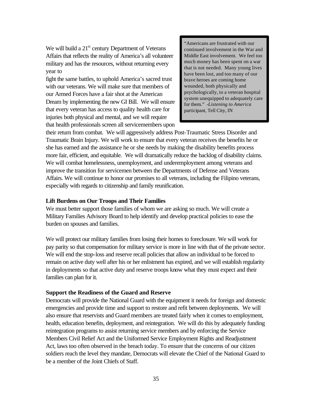We will build a  $21<sup>st</sup>$  century Department of Veterans Affairs that reflects the reality of America's all volunteer military and has the resources, without returning every year to

fight the same battles, to uphold America's sacred trust with our veterans. We will make sure that members of our Armed Forces have a fair shot at the American Dream by implementing the new GI Bill. We will ensure that every veteran has access to quality health care for injuries both physical and mental, and we will require that health professionals screen all servicemembers upon

"Americans are frustrated with our continued involvement in the War and Middle East involvement. We feel too much money has been spent on a war that is not needed. Many young lives have been lost, and too many of our brave heroes are coming home wounded, both physically and psychologically, to a veteran hospital system unequipped to adequately care for them." -*Listening to America* participant, Tell City, IN

their return from combat. We will aggressively address Post-Traumatic Stress Disorder and Traumatic Brain Injury. We will work to ensure that every veteran receives the benefits he or she has earned and the assistance he or she needs by making the disability benefits process more fair, efficient, and equitable. We will dramatically reduce the backlog of disability claims. We will combat homelessness, unemployment, and underemployment among veterans and improve the transition for servicemen between the Departments of Defense and Veterans Affairs. We will continue to honor our promises to all veterans, including the Filipino veterans, especially with regards to citizenship and family reunification.

#### **Lift Burdens on Our Troops and Their Families**

We must better support those families of whom we are asking so much. We will create a Military Families Advisory Board to help identify and develop practical policies to ease the burden on spouses and families.

We will protect our military families from losing their homes to foreclosure. We will work for pay parity so that compensation for military service is more in line with that of the private sector. We will end the stop-loss and reserve recall policies that allow an individual to be forced to remain on active duty well after his or her enlistment has expired, and we will establish regularity in deployments so that active duty and reserve troops know what they must expect and their families can plan for it.

#### **Support the Readiness of the Guard and Reserve**

Democrats will provide the National Guard with the equipment it needs for foreign and domestic emergencies and provide time and support to restore and refit between deployments. We will also ensure that reservists and Guard members are treated fairly when it comes to employment, health, education benefits, deployment, and reintegration. We will do this by adequately funding reintegration programs to assist returning service members and by enforcing the Service Members Civil Relief Act and the Uniformed Service Employment Rights and Readjustment Act, laws too often observed in the breach today. To ensure that the concerns of our citizen soldiers reach the level they mandate, Democrats will elevate the Chief of the National Guard to be a member of the Joint Chiefs of Staff.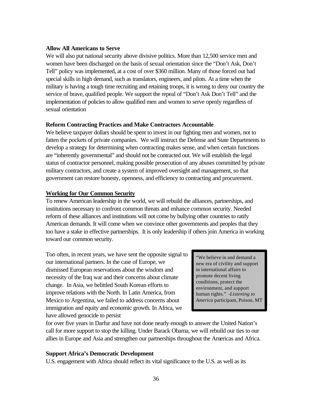#### **Allow All Americans to Serve**

We will also put national security above divisive politics. More than 12,500 service men and women have been discharged on the basis of sexual orientation since the "Don't Ask, Don't Tell" policy was implemented, at a cost of over \$360 million. Many of those forced out had special skills in high demand, such as translators, engineers, and pilots. At a time when the military is having a tough time recruiting and retaining troops, it is wrong to deny our country the service of brave, qualified people. We support the repeal of "Don't Ask Don't Tell" and the implementation of policies to allow qualified men and women to serve openly regardless of sexual orientation

# **Reform Contracting Practices and Make Contractors Accountable**

We believe taxpayer dollars should be spent to invest in our fighting men and women, not to fatten the pockets of private companies. We will instruct the Defense and State Departments to develop a strategy for determining when contracting makes sense, and when certain functions are "inherently governmental" and should not be contracted out. We will establish the legal status of contractor personnel, making possible prosecution of any abuses committed by private military contractors, and create a system of improved oversight and management, so that government can restore honesty, openness, and efficiency to contracting and procurement.

# **Working for Our Common Security**

To renew American leadership in the world, we will rebuild the alliances, partnerships, and institutions necessary to confront common threats and enhance common security. Needed reform of these alliances and institutions will not come by bullying other countries to ratify American demands. It will come when we convince other governments and peoples that they too have a stake in effective partnerships. It is only leadership if others join America in working toward our common security.

Too often, in recent years, we have sent the opposite signal to our international partners. In the case of Europe, we dismissed European reservations about the wisdom and necessity of the Iraq war and their concerns about climate change. In Asia, we belittled South Korean efforts to improve relations with the North. In Latin America, from Mexico to Argentina, we failed to address concerns about immigration and equity and economic growth. In Africa, we have allowed genocide to persist

"We believe in and demand a new era of civility and support in international affairs to promote decent living conditions, protect the environment, and support human rights." -*Listening to America* participant, Poison, MT

for over five years in Darfur and have not done nearly enough to answer the United Nation's call for more support to stop the killing. Under Barack Obama, we will rebuild our ties to our allies in Europe and Asia and strengthen our partnerships throughout the Americas and Africa.

# **Support Africa's Democratic Development**

U.S. engagement with Africa should reflect its vital significance to the U.S. as well as its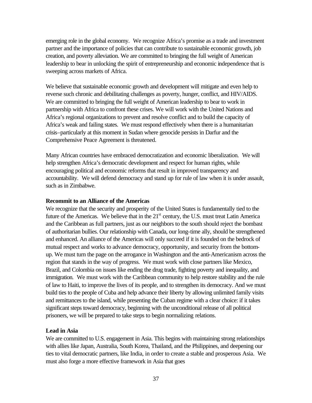emerging role in the global economy. We recognize Africa's promise as a trade and investment partner and the importance of policies that can contribute to sustainable economic growth, job creation, and poverty alleviation. We are committed to bringing the full weight of American leadership to bear in unlocking the spirit of entrepreneurship and economic independence that is sweeping across markets of Africa.

We believe that sustainable economic growth and development will mitigate and even help to reverse such chronic and debilitating challenges as poverty, hunger, conflict, and HIV/AIDS. We are committed to bringing the full weight of American leadership to bear to work in partnership with Africa to confront these crises. We will work with the United Nations and Africa's regional organizations to prevent and resolve conflict and to build the capacity of Africa's weak and failing states. We must respond effectively when there is a humanitarian crisis–particularly at this moment in Sudan where genocide persists in Darfur and the Comprehensive Peace Agreement is threatened.

Many African countries have embraced democratization and economic liberalization. We will help strengthen Africa's democratic development and respect for human rights, while encouraging political and economic reforms that result in improved transparency and accountability. We will defend democracy and stand up for rule of law when it is under assault, such as in Zimbabwe.

#### **Recommit to an Alliance of the Americas**

We recognize that the security and prosperity of the United States is fundamentally tied to the future of the Americas. We believe that in the  $21<sup>st</sup>$  century, the U.S. must treat Latin America and the Caribbean as full partners, just as our neighbors to the south should reject the bombast of authoritarian bullies. Our relationship with Canada, our long-time ally, should be strengthened and enhanced. An alliance of the Americas will only succeed if it is founded on the bedrock of mutual respect and works to advance democracy, opportunity, and security from the bottomup. We must turn the page on the arrogance in Washington and the anti-Americanism across the region that stands in the way of progress. We must work with close partners like Mexico, Brazil, and Colombia on issues like ending the drug trade, fighting poverty and inequality, and immigration. We must work with the Caribbean community to help restore stability and the rule of law to Haiti, to improve the lives of its people, and to strengthen its democracy. And we must build ties to the people of Cuba and help advance their liberty by allowing unlimited family visits and remittances to the island, while presenting the Cuban regime with a clear choice: if it takes significant steps toward democracy, beginning with the unconditional release of all political prisoners, we will be prepared to take steps to begin normalizing relations.

#### **Lead in Asia**

We are committed to U.S. engagement in Asia. This begins with maintaining strong relationships with allies like Japan, Australia, South Korea, Thailand, and the Philippines, and deepening our ties to vital democratic partners, like India, in order to create a stable and prosperous Asia. We must also forge a more effective framework in Asia that goes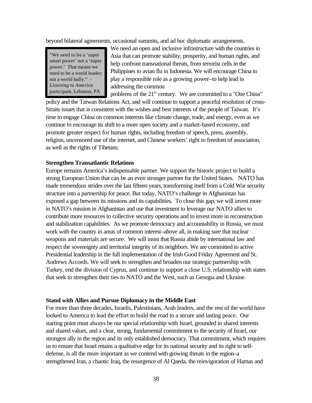beyond bilateral agreements, occasional summits, and ad hoc diplomatic arrangements.

"We need to be a 'super smart power' not a 'super power.' That means we need to be a world leader; not a world bully." - *Listening to America* participant, Lebanon, PA

We need an open and inclusive infrastructure with the countries in Asia that can promote stability, prosperity, and human rights, and help confront transnational threats, from terrorist cells in the Philippines to avian flu in Indonesia. We will encourage China to play a responsible role as a growing power–to help lead in addressing the common

problems of the 21<sup>st</sup> century. We are committed to a "One China" policy and the Taiwan Relations Act, and will continue to support a peaceful resolution of cross-Straits issues that is consistent with the wishes and best interests of the people of Taiwan. It's time to engage China on common interests like climate change, trade, and energy, even as we continue to encourage its shift to a more open society and a market-based economy, and promote greater respect for human rights, including freedom of speech, press, assembly, religion, uncensored use of the internet, and Chinese workers' right to freedom of association, as well as the rights of Tibetans.

#### **Strengthen Transatlantic Relations**

Europe remains America's indispensable partner. We support the historic project to build a strong European Union that can be an even stronger partner for the United States. NATO has made tremendous strides over the last fifteen years, transforming itself from a Cold War security structure into a partnership for peace. But today, NATO's challenge in Afghanistan has exposed a gap between its missions and its capabilities. To close this gap, we will invest more in NATO's mission in Afghanistan and use that investment to leverage our NATO allies to contribute more resources to collective security operations and to invest more in reconstruction and stabilization capabilities. As we promote democracy and accountability in Russia, we must work with the country in areas of common interest–above all, in making sure that nuclear weapons and materials are secure. We will insist that Russia abide by international law and respect the sovereignty and territorial integrity of its neighbors. We are committed to active Presidential leadership in the full implementation of the Irish Good Friday Agreement and St. Andrews Accords. We will seek to strengthen and broaden our strategic partnership with Turkey, end the division of Cyprus, and continue to support a close U.S. relationship with states that seek to strengthen their ties to NATO and the West, such as Georgia and Ukraine.

#### **Stand with Allies and Pursue Diplomacy in the Middle East**

For more than three decades, Israelis, Palestinians, Arab leaders, and the rest of the world have looked to America to lead the effort to build the road to a secure and lasting peace. Our starting point must always be our special relationship with Israel, grounded in shared interests and shared values, and a clear, strong, fundamental commitment to the security of Israel, our strongest ally in the region and its only established democracy. That commitment, which requires us to ensure that Israel retains a qualitative edge for its national security and its right to selfdefense, is all the more important as we contend with growing threats in the region–a strengthened Iran, a chaotic Iraq, the resurgence of Al Qaeda, the reinvigoration of Hamas and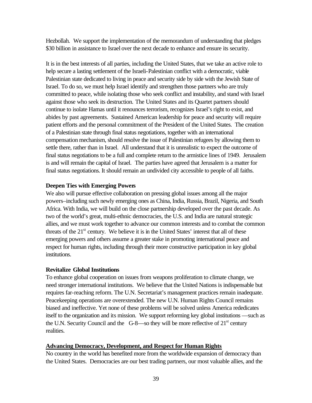Hezbollah. We support the implementation of the memorandum of understanding that pledges \$30 billion in assistance to Israel over the next decade to enhance and ensure its security.

It is in the best interests of all parties, including the United States, that we take an active role to help secure a lasting settlement of the Israeli-Palestinian conflict with a democratic, viable Palestinian state dedicated to living in peace and security side by side with the Jewish State of Israel. To do so, we must help Israel identify and strengthen those partners who are truly committed to peace, while isolating those who seek conflict and instability, and stand with Israel against those who seek its destruction. The United States and its Quartet partners should continue to isolate Hamas until it renounces terrorism, recognizes Israel's right to exist, and abides by past agreements. Sustained American leadership for peace and security will require patient efforts and the personal commitment of the President of the United States. The creation of a Palestinian state through final status negotiations, together with an international compensation mechanism, should resolve the issue of Palestinian refugees by allowing them to settle there, rather than in Israel. All understand that it is unrealistic to expect the outcome of final status negotiations to be a full and complete return to the armistice lines of 1949. Jerusalem is and will remain the capital of Israel. The parties have agreed that Jerusalem is a matter for final status negotiations. It should remain an undivided city accessible to people of all faiths.

# **Deepen Ties with Emerging Powers**

We also will pursue effective collaboration on pressing global issues among all the major powers–including such newly emerging ones as China, India, Russia, Brazil, Nigeria, and South Africa. With India, we will build on the close partnership developed over the past decade. As two of the world's great, multi-ethnic democracies, the U.S. and India are natural strategic allies, and we must work together to advance our common interests and to combat the common threats of the  $21<sup>st</sup>$  century. We believe it is in the United States' interest that all of these emerging powers and others assume a greater stake in promoting international peace and respect for human rights, including through their more constructive participation in key global institutions.

# **Revitalize Global Institutions**

To enhance global cooperation on issues from weapons proliferation to climate change, we need stronger international institutions. We believe that the United Nations is indispensable but requires far-reaching reform. The U.N. Secretariat's management practices remain inadequate. Peacekeeping operations are overextended. The new U.N. Human Rights Council remains biased and ineffective. Yet none of these problems will be solved unless America rededicates itself to the organization and its mission. We support reforming key global institutions —such as the U.N. Security Council and the  $G-8$ —so they will be more reflective of  $21<sup>st</sup>$  century realities.

# **Advancing Democracy, Development, and Respect for Human Rights**

No country in the world has benefited more from the worldwide expansion of democracy than the United States. Democracies are our best trading partners, our most valuable allies, and the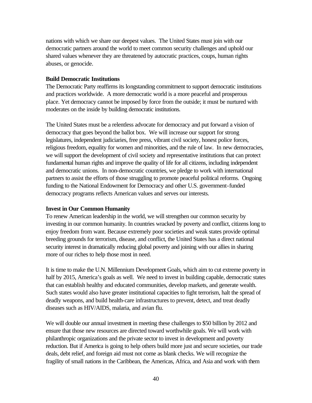nations with which we share our deepest values. The United States must join with our democratic partners around the world to meet common security challenges and uphold our shared values whenever they are threatened by autocratic practices, coups, human rights abuses, or genocide.

#### **Build Democratic Institutions**

The Democratic Party reaffirms its longstanding commitment to support democratic institutions and practices worldwide. A more democratic world is a more peaceful and prosperous place. Yet democracy cannot be imposed by force from the outside; it must be nurtured with moderates on the inside by building democratic institutions.

The United States must be a relentless advocate for democracy and put forward a vision of democracy that goes beyond the ballot box. We will increase our support for strong legislatures, independent judiciaries, free press, vibrant civil society, honest police forces, religious freedom, equality for women and minorities, and the rule of law. In new democracies, we will support the development of civil society and representative institutions that can protect fundamental human rights and improve the quality of life for all citizens, including independent and democratic unions. In non-democratic countries, we pledge to work with international partners to assist the efforts of those struggling to promote peaceful political reforms. Ongoing funding to the National Endowment for Democracy and other U.S. government-funded democracy programs reflects American values and serves our interests.

#### **Invest in Our Common Humanity**

To renew American leadership in the world, we will strengthen our common security by investing in our common humanity. In countries wracked by poverty and conflict, citizens long to enjoy freedom from want. Because extremely poor societies and weak states provide optimal breeding grounds for terrorism, disease, and conflict, the United States has a direct national security interest in dramatically reducing global poverty and joining with our allies in sharing more of our riches to help those most in need.

It is time to make the U.N. Millennium Development Goals, which aim to cut extreme poverty in half by 2015, America's goals as well. We need to invest in building capable, democratic states that can establish healthy and educated communities, develop markets, and generate wealth. Such states would also have greater institutional capacities to fight terrorism, halt the spread of deadly weapons, and build health-care infrastructures to prevent, detect, and treat deadly diseases such as HIV/AIDS, malaria, and avian flu.

We will double our annual investment in meeting these challenges to \$50 billion by 2012 and ensure that those new resources are directed toward worthwhile goals. We will work with philanthropic organizations and the private sector to invest in development and poverty reduction. But if America is going to help others build more just and secure societies, our trade deals, debt relief, and foreign aid must not come as blank checks. We will recognize the fragility of small nations in the Caribbean, the Americas, Africa, and Asia and work with them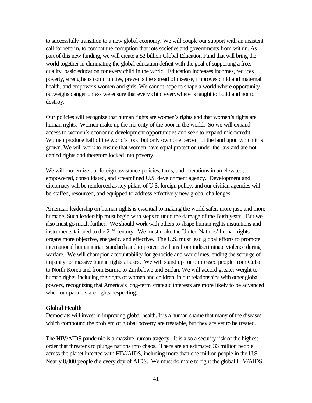to successfully transition to a new global economy. We will couple our support with an insistent call for reform, to combat the corruption that rots societies and governments from within. As part of this new funding, we will create a \$2 billion Global Education Fund that will bring the world together in eliminating the global education deficit with the goal of supporting a free, quality, basic education for every child in the world. Education increases incomes, reduces poverty, strengthens communities, prevents the spread of disease, improves child and maternal health, and empowers women and girls. We cannot hope to shape a world where opportunity outweighs danger unless we ensure that every child everywhere is taught to build and not to destroy.

Our policies will recognize that human rights are women's rights and that women's rights are human rights. Women make up the majority of the poor in the world. So we will expand access to women's economic development opportunities and seek to expand microcredit. Women produce half of the world's food but only own one percent of the land upon which it is grown. We will work to ensure that women have equal protection under the law and are not denied rights and therefore locked into poverty.

We will modernize our foreign assistance policies, tools, and operations in an elevated, empowered, consolidated, and streamlined U.S. development agency. Development and diplomacy will be reinforced as key pillars of U.S. foreign policy, and our civilian agencies will be staffed, resourced, and equipped to address effectively new global challenges.

American leadership on human rights is essential to making the world safer, more just, and more humane. Such leadership must begin with steps to undo the damage of the Bush years. But we also must go much further. We should work with others to shape human rights institutions and instruments tailored to the  $21<sup>st</sup>$  century. We must make the United Nations' human rights organs more objective, energetic, and effective. The U.S. must lead global efforts to promote international humanitarian standards and to protect civilians from indiscriminate violence during warfare. We will champion accountability for genocide and war crimes, ending the scourge of impunity for massive human rights abuses. We will stand up for oppressed people from Cuba to North Korea and from Burma to Zimbabwe and Sudan. We will accord greater weight to human rights, including the rights of women and children, in our relationships with other global powers, recognizing that America's long-term strategic interests are more likely to be advanced when our partners are rights-respecting.

#### **Global Health**

Democrats will invest in improving global health. It is a human shame that many of the diseases which compound the problem of global poverty are treatable, but they are yet to be treated.

The HIV/AIDS pandemic is a massive human tragedy. It is also a security risk of the highest order that threatens to plunge nations into chaos. There are an estimated 33 million people across the planet infected with HIV/AIDS, including more than one million people in the U.S. Nearly 8,000 people die every day of AIDS. We must do more to fight the global HIV/AIDS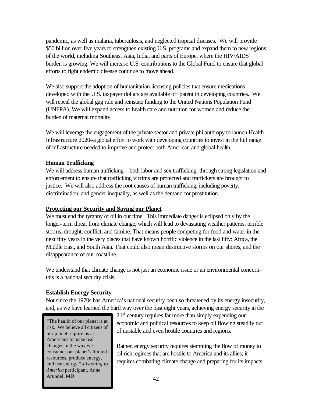pandemic, as well as malaria, tuberculosis, and neglected tropical diseases. We will provide \$50 billion over five years to strengthen existing U.S. programs and expand them to new regions of the world, including Southeast Asia, India, and parts of Europe, where the HIV/AIDS burden is growing. We will increase U.S. contributions to the Global Fund to ensure that global efforts to fight endemic disease continue to move ahead.

We also support the adoption of humanitarian licensing policies that ensure medications developed with the U.S. taxpayer dollars are available off patent in developing countries. We will repeal the global gag rule and reinstate funding to the United Nations Population Fund (UNFPA). We will expand access to health care and nutrition for women and reduce the burden of maternal mortality.

We will leverage the engagement of the private sector and private philanthropy to launch Health Infrastructure 2020**–**a global effort to work with developing countries to invest in the full range of infrastructure needed to improve and protect both American and global health.

## **Human Trafficking**

We will address human trafficking—both labor and sex trafficking–through strong legislation and enforcement to ensure that trafficking victims are protected and traffickers are brought to justice. We will also address the root causes of human trafficking, including poverty, discrimination, and gender inequality, as well as the demand for prostitution.

#### **Protecting our Security and Saving our Planet**

We must end the tyranny of oil in our time. This immediate danger is eclipsed only by the longer-term threat from climate change, which will lead to devastating weather patterns, terrible storms, drought, conflict, and famine. That means people competing for food and water in the next fifty years in the very places that have known horrific violence in the last fifty: Africa, the Middle East, and South Asia. That could also mean destructive storms on our shores, and the disappearance of our coastline.

We understand that climate change is not just an economic issue or an environmental concern– this is a national security crisis.

# **Establish Energy Security**

Not since the 1970s has America's national security been so threatened by its energy insecurity, and, as we have learned the hard way over the past eight years, achieving energy security in the

"The health of our planet is at risk. We believe all citizens of our planet require us as Americans to make real changes in the way we consumer our planet's limited resources, produce energy, and use energy."-*Listening to America* participant, Anne Arundel, MD

 $21<sup>st</sup>$  century requires far more than simply expending our economic and political resources to keep oil flowing steadily out of unstable and even hostile countries and regions.

Rather, energy security requires stemming the flow of money to oil rich regimes that are hostile to America and its allies; it requires combating climate change and preparing for its impacts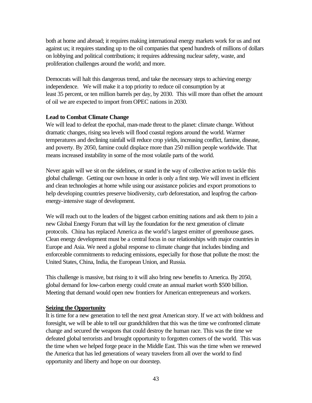both at home and abroad; it requires making international energy markets work for us and not against us; it requires standing up to the oil companies that spend hundreds of millions of dollars on lobbying and political contributions; it requires addressing nuclear safety, waste, and proliferation challenges around the world; and more.

Democrats will halt this dangerous trend, and take the necessary steps to achieving energy independence. We will make it a top priority to reduce oil consumption by at least 35 percent, or ten million barrels per day, by 2030. This will more than offset the amount of oil we are expected to import from OPEC nations in 2030.

#### **Lead to Combat Climate Change**

We will lead to defeat the epochal, man-made threat to the planet: climate change. Without dramatic changes, rising sea levels will flood coastal regions around the world. Warmer temperatures and declining rainfall will reduce crop yields, increasing conflict, famine, disease, and poverty. By 2050, famine could displace more than 250 million people worldwide. That means increased instability in some of the most volatile parts of the world.

Never again will we sit on the sidelines, or stand in the way of collective action to tackle this global challenge. Getting our own house in order is only a first step. We will invest in efficient and clean technologies at home while using our assistance policies and export promotions to help developing countries preserve biodiversity, curb deforestation, and leapfrog the carbonenergy-intensive stage of development.

We will reach out to the leaders of the biggest carbon emitting nations and ask them to join a new Global Energy Forum that will lay the foundation for the next generation of climate protocols. China has replaced America as the world's largest emitter of greenhouse gases. Clean energy development must be a central focus in our relationships with major countries in Europe and Asia. We need a global response to climate change that includes binding and enforceable commitments to reducing emissions, especially for those that pollute the most: the United States, China, India, the European Union, and Russia.

This challenge is massive, but rising to it will also bring new benefits to America. By 2050, global demand for low-carbon energy could create an annual market worth \$500 billion. Meeting that demand would open new frontiers for American entrepreneurs and workers.

# **Seizing the Opportunity**

It is time for a new generation to tell the next great American story. If we act with boldness and foresight, we will be able to tell our grandchildren that this was the time we confronted climate change and secured the weapons that could destroy the human race. This was the time we defeated global terrorists and brought opportunity to forgotten corners of the world. This was the time when we helped forge peace in the Middle East. This was the time when we renewed the America that has led generations of weary travelers from all over the world to find opportunity and liberty and hope on our doorstep.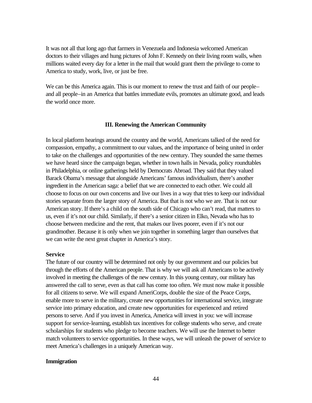It was not all that long ago that farmers in Venezuela and Indonesia welcomed American doctors to their villages and hung pictures of John F. Kennedy on their living room walls, when millions waited every day for a letter in the mail that would grant them the privilege to come to America to study, work, live, or just be free.

We can be this America again. This is our moment to renew the trust and faith of our peopleand all people–in an America that battles immediate evils, promotes an ultimate good, and leads the world once more.

#### **III. Renewing the American Community**

In local platform hearings around the country and the world, Americans talked of the need for compassion, empathy, a commitment to our values, and the importance of being united in order to take on the challenges and opportunities of the new century. They sounded the same themes we have heard since the campaign began, whether in town halls in Nevada, policy roundtables in Philadelphia, or online gatherings held by Democrats Abroad. They said that they valued Barack Obama's message that alongside Americans' famous individualism, there's another ingredient in the American saga: a belief that we are connected to each other. We could all choose to focus on our own concerns and live our lives in a way that tries to keep our individual stories separate from the larger story of America. But that is not who we are. That is not our American story. If there's a child on the south side of Chicago who can't read, that matters to us, even if it's not our child. Similarly, if there's a senior citizen in Elko, Nevada who has to choose between medicine and the rent, that makes our lives poorer, even if it's not our grandmother. Because it is only when we join together in something larger than ourselves that we can write the next great chapter in America's story.

#### **Service**

The future of our country will be determined not only by our government and our policies but through the efforts of the American people. That is why we will ask all Americans to be actively involved in meeting the challenges of the new century. In this young century, our military has answered the call to serve, even as that call has come too often. We must now make it possible for all citizens to serve. We will expand AmeriCorps, double the size of the Peace Corps, enable more to serve in the military, create new opportunities for international service, integrate service into primary education, and create new opportunities for experienced and retired persons to serve. And if you invest in America, America will invest in you: we will increase support for service-learning, establish tax incentives for college students who serve, and create scholarships for students who pledge to become teachers. We will use the Internet to better match volunteers to service opportunities. In these ways, we will unleash the power of service to meet America's challenges in a uniquely American way.

#### **Immigration**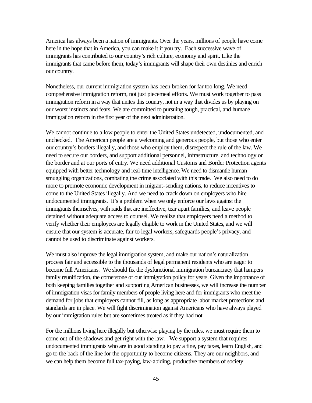America has always been a nation of immigrants. Over the years, millions of people have come here in the hope that in America, you can make it if you try. Each successive wave of immigrants has contributed to our country's rich culture, economy and spirit. Like the immigrants that came before them, today's immigrants will shape their own destinies and enrich our country.

Nonetheless, our current immigration system has been broken for far too long. We need comprehensive immigration reform, not just piecemeal efforts. We must work together to pass immigration reform in a way that unites this country, not in a way that divides us by playing on our worst instincts and fears. We are committed to pursuing tough, practical, and humane immigration reform in the first year of the next administration.

We cannot continue to allow people to enter the United States undetected, undocumented, and unchecked. The American people are a welcoming and generous people, but those who enter our country's borders illegally, and those who employ them, disrespect the rule of the law. We need to secure our borders, and support additional personnel, infrastructure, and technology on the border and at our ports of entry. We need additional Customs and Border Protection agents equipped with better technology and real-time intelligence. We need to dismantle human smuggling organizations, combating the crime associated with this trade. We also need to do more to promote economic development in migrant-sending nations, to reduce incentives to come to the United States illegally. And we need to crack down on employers who hire undocumented immigrants. It's a problem when we only enforce our laws against the immigrants themselves, with raids that are ineffective, tear apart families, and leave people detained without adequate access to counsel. We realize that employers need a method to verify whether their employees are legally eligible to work in the United States, and we will ensure that our system is accurate, fair to legal workers, safeguards people's privacy, and cannot be used to discriminate against workers.

We must also improve the legal immigration system, and make our nation's naturalization process fair and accessible to the thousands of legal permanent residents who are eager to become full Americans. We should fix the dysfunctional immigration bureaucracy that hampers family reunification, the cornerstone of our immigration policy for years. Given the importance of both keeping families together and supporting American businesses, we will increase the number of immigration visas for family members of people living here and for immigrants who meet the demand for jobs that employers cannot fill, as long as appropriate labor market protections and standards are in place. We will fight discrimination against Americans who have always played by our immigration rules but are sometimes treated as if they had not.

For the millions living here illegally but otherwise playing by the rules, we must require them to come out of the shadows and get right with the law. We support a system that requires undocumented immigrants who are in good standing to pay a fine, pay taxes, learn English, and go to the back of the line for the opportunity to become citizens. They are our neighbors, and we can help them become full tax-paying, law-abiding, productive members of society.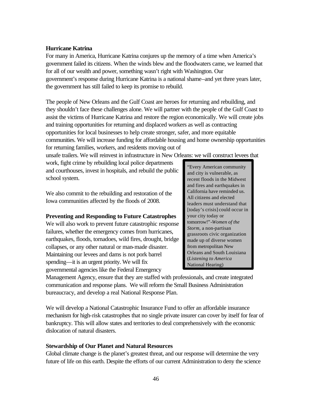#### **Hurricane Katrina**

For many in America, Hurricane Katrina conjures up the memory of a time when America's government failed its citizens. When the winds blew and the floodwaters came, we learned that for all of our wealth and power, something wasn't right with Washington. Our government's response during Hurricane Katrina is a national shame–and yet three years later, the government has still failed to keep its promise to rebuild.

The people of New Orleans and the Gulf Coast are heroes for returning and rebuilding, and they shouldn't face these challenges alone. We will partner with the people of the Gulf Coast to assist the victims of Hurricane Katrina and restore the region economically. We will create jobs and training opportunities for returning and displaced workers as well as contracting opportunities for local businesses to help create stronger, safer, and more equitable communities. We will increase funding for affordable housing and home ownership opportunities for returning families, workers, and residents moving out of

unsafe trailers. We will reinvest in infrastructure in New Orleans: we will construct levees that

work, fight crime by rebuilding local police departments and courthouses, invest in hospitals, and rebuild the public school system.

We also commit to the rebuilding and restoration of the Iowa communities affected by the floods of 2008.

# **Preventing and Responding to Future Catastrophes**

We will also work to prevent future catastrophic response failures, whether the emergency comes from hurricanes, earthquakes, floods, tornadoes, wild fires, drought, bridge collapses, or any other natural or man-made disaster. Maintaining our levees and dams is not pork barrel spending—it is an urgent priority. We will fix governmental agencies like the Federal Emergency

"Every American community and city is vulnerable, as recent floods in the Midwest and fires and earthquakes in California have reminded us. All citizens and elected leaders must understand that [today's crisis] could occur in your city today or tomorrow!"-*Women of the Storm*, a non-partisan grassroots civic organization made up of diverse women from metropolitan New Orleans and South Louisiana (*Listening to America* National Hearing)

Management Agency, ensure that they are staffed with professionals, and create integrated communication and response plans. We will reform the Small Business Administration bureaucracy, and develop a real National Response Plan.

We will develop a National Catastrophic Insurance Fund to offer an affordable insurance mechanism for high-risk catastrophes that no single private insurer can cover by itself for fear of bankruptcy. This will allow states and territories to deal comprehensively with the economic dislocation of natural disasters.

# **Stewardship of Our Planet and Natural Resources**

Global climate change is the planet's greatest threat, and our response will determine the very future of life on this earth. Despite the efforts of our current Administration to deny the science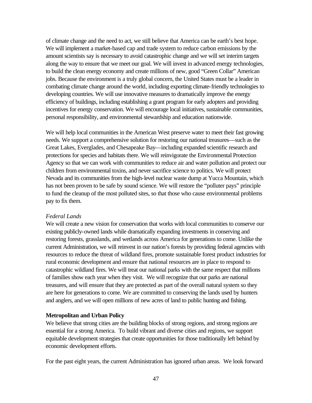of climate change and the need to act, we still believe that America can be earth's best hope. We will implement a market-based cap and trade system to reduce carbon emissions by the amount scientists say is necessary to avoid catastrophic change and we will set interim targets along the way to ensure that we meet our goal. We will invest in advanced energy technologies, to build the clean energy economy and create millions of new, good "Green Collar" American jobs. Because the environment is a truly global concern, the United States must be a leader in combating climate change around the world, including exporting climate-friendly technologies to developing countries. We will use innovative measures to dramatically improve the energy efficiency of buildings, including establishing a grant program for early adopters and providing incentives for energy conservation. We will encourage local initiatives, sustainable communities, personal responsibility, and environmental stewardship and education nationwide.

We will help local communities in the American West preserve water to meet their fast growing needs. We support a comprehensive solution for restoring our national treasures—such as the Great Lakes, Everglades, and Chesapeake Bay—including expanded scientific research and protections for species and habitats there. We will reinvigorate the Environmental Protection Agency so that we can work with communities to reduce air and water pollution and protect our children from environmental toxins, and never sacrifice science to politics. We will protect Nevada and its communities from the high-level nuclear waste dump at Yucca Mountain, which has not been proven to be safe by sound science. We will restore the "polluter pays" principle to fund the cleanup of the most polluted sites, so that those who cause environmental problems pay to fix them.

#### *Federal Lands*

We will create a new vision for conservation that works with local communities to conserve our existing publicly-owned lands while dramatically expanding investments in conserving and restoring forests, grasslands, and wetlands across America for generations to come. Unlike the current Administration, we will reinvest in our nation's forests by providing federal agencies with resources to reduce the threat of wildland fires, promote sustainable forest product industries for rural economic development and ensure that national resources are in place to respond to catastrophic wildland fires. We will treat our national parks with the same respect that millions of families show each year when they visit. We will recognize that our parks are national treasures, and will ensure that they are protected as part of the overall natural system so they are here for generations to come. We are committed to conserving the lands used by hunters and anglers, and we will open millions of new acres of land to public hunting and fishing.

#### **Metropolitan and Urban Policy**

We believe that strong cities are the building blocks of strong regions, and strong regions are essential for a strong America. To build vibrant and diverse cities and regions, we support equitable development strategies that create opportunities for those traditionally left behind by economic development efforts.

For the past eight years, the current Administration has ignored urban areas. We look forward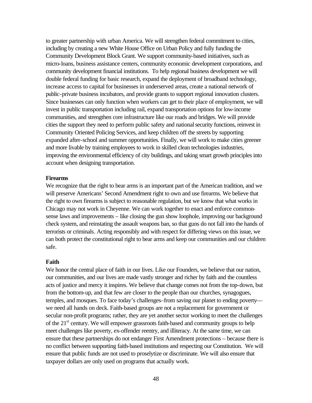to greater partnership with urban America. We will strengthen federal commitment to cities, including by creating a new White House Office on Urban Policy and fully funding the Community Development Block Grant. We support community-based initiatives, such as micro-loans, business assistance centers, community economic development corporations, and community development financial institutions. To help regional business development we will double federal funding for basic research, expand the deployment of broadband technology, increase access to capital for businesses in underserved areas, create a national network of public-private business incubators, and provide grants to support regional innovation clusters. Since businesses can only function when workers can get to their place of employment, we will invest in public transportation including rail, expand transportation options for low-income communities, and strengthen core infrastructure like our roads and bridges. We will provide cities the support they need to perform public safety and national security functions, reinvest in Community Oriented Policing Services, and keep children off the streets by supporting expanded after-school and summer opportunities. Finally, we will work to make cities greener and more livable by training employees to work in skilled clean technologies industries, improving the environmental efficiency of city buildings, and taking smart growth principles into account when designing transportation.

#### **Firearms**

We recognize that the right to bear arms is an important part of the American tradition, and we will preserve Americans' Second Amendment right to own and use firearms. We believe that the right to own firearms is subject to reasonable regulation, but we know that what works in Chicago may not work in Cheyenne. We can work together to enact and enforce commonsense laws and improvements – like closing the gun show loophole, improving our background check system, and reinstating the assault weapons ban, so that guns do not fall into the hands of terrorists or criminals. Acting responsibly and with respect for differing views on this issue, we can both protect the constitutional right to bear arms and keep our communities and our children safe.

#### **Faith**

We honor the central place of faith in our lives. Like our Founders, we believe that our nation, our communities, and our lives are made vastly stronger and richer by faith and the countless acts of justice and mercy it inspires. We believe that change comes not from the top-down, but from the bottom-up, and that few are closer to the people than our churches, synagogues, temples, and mosques. To face today's challenges–from saving our planet to ending poverty we need all hands on deck. Faith-based groups are not a replacement for government or secular non-profit programs; rather, they are yet another sector working to meet the challenges of the  $21<sup>st</sup>$  century. We will empower grassroots faith-based and community groups to help meet challenges like poverty, ex-offender reentry, and illiteracy. At the same time, we can ensure that these partnerships do not endanger First Amendment protections – because there is no conflict between supporting faith-based institutions and respecting our Constitution. We will ensure that public funds are not used to proselytize or discriminate. We will also ensure that taxpayer dollars are only used on programs that actually work.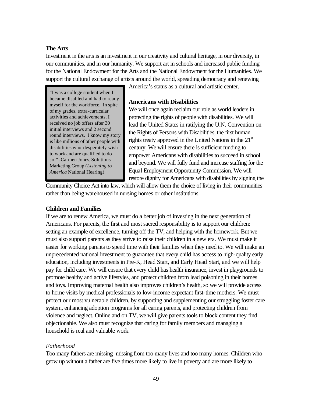## **The Arts**

Investment in the arts is an investment in our creativity and cultural heritage, in our diversity, in our communities, and in our humanity. We support art in schools and increased public funding for the National Endowment for the Arts and the National Endowment for the Humanities. We support the cultural exchange of artists around the world, spreading democracy and renewing

"I was a college student when I became disabled and had to ready myself for the workforce. In spite of my grades, extra-curricular activities and achievements, I received no job offers after 30 initial interviews and 2 second round interviews. I know my story is like millions of other people with disabilities who desperately wish to work and are qualified to do so." -Carmen Jones, Solutions Marketing Group (*Listening to America* National Hearing)

America's status as a cultural and artistic center.

## **Americans with Disabilities**

We will once again reclaim our role as world leaders in protecting the rights of people with disabilities. We will lead the United States in ratifying the U.N. Convention on the Rights of Persons with Disabilities, the first human rights treaty approved in the United Nations in the 21st century. We will ensure there is sufficient funding to empower Americans with disabilities to succeed in school and beyond. We will fully fund and increase staffing for the Equal Employment Opportunity Commission. We will restore dignity for Americans with disabilities by signing the

Community Choice Act into law, which will allow them the choice of living in their communities rather than being warehoused in nursing homes or other institutions.

#### **Children and Families**

If we are to renew America, we must do a better job of investing in the next generation of Americans. For parents, the first and most sacred responsibility is to support our children: setting an example of excellence, turning off the TV, and helping with the homework. But we must also support parents as they strive to raise their children in a new era. We must make it easier for working parents to spend time with their families when they need to. We will make an unprecedented national investment to guarantee that every child has access to high-quality early education, including investments in Pre-K, Head Start, and Early Head Start, and we will help pay for child care. We will ensure that every child has health insurance, invest in playgrounds to promote healthy and active lifestyles, and protect children from lead poisoning in their homes and toys. Improving maternal health also improves children's health, so we will provide access to home visits by medical professionals to low-income expectant first-time mothers. We must protect our most vulnerable children, by supporting and supplementing our struggling foster care system, enhancing adoption programs for all caring parents, and protecting children from violence and neglect. Online and on TV, we will give parents tools to block content they find objectionable. We also must recognize that caring for family members and managing a household is real and valuable work.

# *Fatherhood*

Too many fathers are missing–missing from too many lives and too many homes. Children who grow up without a father are five times more likely to live in poverty and are more likely to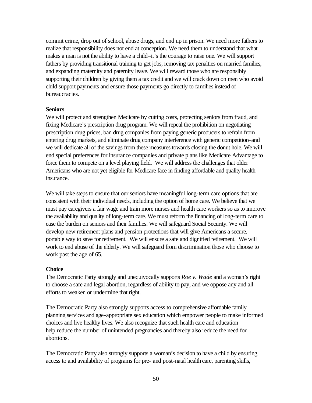commit crime, drop out of school, abuse drugs, and end up in prison. We need more fathers to realize that responsibility does not end at conception. We need them to understand that what makes a man is not the ability to have a child–it's the courage to raise one. We will support fathers by providing transitional training to get jobs, removing tax penalties on married families, and expanding maternity and paternity leave. We will reward those who are responsibly supporting their children by giving them a tax credit and we will crack down on men who avoid child support payments and ensure those payments go directly to families instead of bureaucracies.

#### **Seniors**

We will protect and strengthen Medicare by cutting costs, protecting seniors from fraud, and fixing Medicare's prescription drug program. We will repeal the prohibition on negotiating prescription drug prices, ban drug companies from paying generic producers to refrain from entering drug markets, and eliminate drug company interference with generic competition–and we will dedicate all of the savings from these measures towards closing the donut hole. We will end special preferences for insurance companies and private plans like Medicare Advantage to force them to compete on a level playing field. We will address the challenges that older Americans who are not yet eligible for Medicare face in finding affordable and quality health insurance.

We will take steps to ensure that our seniors have meaningful long-term care options that are consistent with their individual needs, including the option of home care. We believe that we must pay caregivers a fair wage and train more nurses and health care workers so as to improve the availability and quality of long-term care. We must reform the financing of long-term care to ease the burden on seniors and their families. We will safeguard Social Security. We will develop new retirement plans and pension protections that will give Americans a secure, portable way to save for retirement. We will ensure a safe and dignified retirement. We will work to end abuse of the elderly. We will safeguard from discrimination those who choose to work past the age of 65.

#### **Choice**

The Democratic Party strongly and unequivocally supports *Roe v. Wade* and a woman's right to choose a safe and legal abortion, regardless of ability to pay, and we oppose any and all efforts to weaken or undermine that right.

The Democratic Party also strongly supports access to comprehensive affordable family planning services and age-appropriate sex education which empower people to make informed choices and live healthy lives. We also recognize that such health care and education help reduce the number of unintended pregnancies and thereby also reduce the need for abortions.

The Democratic Party also strongly supports a woman's decision to have a child by ensuring access to and availability of programs for pre- and post-natal health care, parenting skills,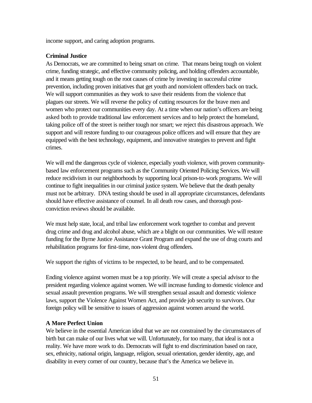income support, and caring adoption programs.

#### **Criminal Justice**

As Democrats, we are committed to being smart on crime. That means being tough on violent crime, funding strategic, and effective community policing, and holding offenders accountable, and it means getting tough on the root causes of crime by investing in successful crime prevention, including proven initiatives that get youth and nonviolent offenders back on track. We will support communities as they work to save their residents from the violence that plagues our streets. We will reverse the policy of cutting resources for the brave men and women who protect our communities every day. At a time when our nation's officers are being asked both to provide traditional law enforcement services and to help protect the homeland, taking police off of the street is neither tough nor smart; we reject this disastrous approach. We support and will restore funding to our courageous police officers and will ensure that they are equipped with the best technology, equipment, and innovative strategies to prevent and fight crimes.

We will end the dangerous cycle of violence, especially youth violence, with proven communitybased law enforcement programs such as the Community Oriented Policing Services. We will reduce recidivism in our neighborhoods by supporting local prison-to-work programs. We will continue to fight inequalities in our criminal justice system. We believe that the death penalty must not be arbitrary. DNA testing should be used in all appropriate circumstances, defendants should have effective assistance of counsel. In all death row cases, and thorough postconviction reviews should be available.

We must help state, local, and tribal law enforcement work together to combat and prevent drug crime and drug and alcohol abuse, which are a blight on our communities. We will restore funding for the Byrne Justice Assistance Grant Program and expand the use of drug courts and rehabilitation programs for first-time, non-violent drug offenders.

We support the rights of victims to be respected, to be heard, and to be compensated.

Ending violence against women must be a top priority. We will create a special advisor to the president regarding violence against women. We will increase funding to domestic violence and sexual assault prevention programs. We will strengthen sexual assault and domestic violence laws, support the Violence Against Women Act, and provide job security to survivors. Our foreign policy will be sensitive to issues of aggression against women around the world.

# **A More Perfect Union**

We believe in the essential American ideal that we are not constrained by the circumstances of birth but can make of our lives what we will. Unfortunately, for too many, that ideal is not a reality. We have more work to do. Democrats will fight to end discrimination based on race, sex, ethnicity, national origin, language, religion, sexual orientation, gender identity, age, and disability in every corner of our country, because that's the America we believe in.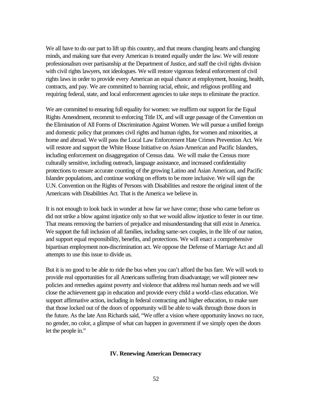We all have to do our part to lift up this country, and that means changing hearts and changing minds, and making sure that every American is treated equally under the law. We will restore professionalism over partisanship at the Department of Justice, and staff the civil rights division with civil rights lawyers, not ideologues. We will restore vigorous federal enforcement of civil rights laws in order to provide every American an equal chance at employment, housing, health, contracts, and pay. We are committed to banning racial, ethnic, and religious profiling and requiring federal, state, and local enforcement agencies to take steps to eliminate the practice.

We are committed to ensuring full equality for women: we reaffirm our support for the Equal Rights Amendment, recommit to enforcing Title IX, and will urge passage of the Convention on the Elimination of All Forms of Discrimination Against Women. We will pursue a unified foreign and domestic policy that promotes civil rights and human rights, for women and minorities, at home and abroad. We will pass the Local Law Enforcement Hate Crimes Prevention Act. We will restore and support the White House Initiative on Asian-American and Pacific Islanders, including enforcement on disaggregation of Census data. We will make the Census more culturally sensitive, including outreach, language assistance, and increased confidentiality protections to ensure accurate counting of the growing Latino and Asian American, and Pacific Islander populations, and continue working on efforts to be more inclusive. We will sign the U.N. Convention on the Rights of Persons with Disabilities and restore the original intent of the Americans with Disabilities Act. That is the America we believe in.

It is not enough to look back in wonder at how far we have come; those who came before us did not strike a blow against injustice only so that we would allow injustice to fester in our time. That means removing the barriers of prejudice and misunderstanding that still exist in America. We support the full inclusion of all families, including same-sex couples, in the life of our nation, and support equal responsibility, benefits, and protections. We will enact a comprehensive bipartisan employment non-discrimination act. We oppose the Defense of Marriage Act and all attempts to use this issue to divide us.

But it is no good to be able to ride the bus when you can't afford the bus fare. We will work to provide real opportunities for all Americans suffering from disadvantage; we will pioneer new policies and remedies against poverty and violence that address real human needs and we will close the achievement gap in education and provide every child a world-class education. We support affirmative action, including in federal contracting and higher education, to make sure that those locked out of the doors of opportunity will be able to walk through those doors in the future. As the late Ann Richards said, "We offer a vision where opportunity knows no race, no gender, no color, a glimpse of what can happen in government if we simply open the doors let the people in."

#### **IV. Renewing American Democracy**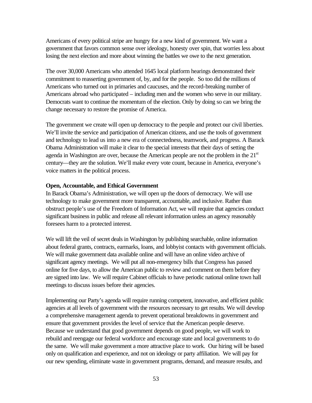Americans of every political stripe are hungry for a new kind of government. We want a government that favors common sense over ideology, honesty over spin, that worries less about losing the next election and more about winning the battles we owe to the next generation.

The over 30,000 Americans who attended 1645 local platform hearings demonstrated their commitment to reasserting government of, by, and for the people. So too did the millions of Americans who turned out in primaries and caucuses, and the record-breaking number of Americans abroad who participated – including men and the women who serve in our military. Democrats want to continue the momentum of the election. Only by doing so can we bring the change necessary to restore the promise of America.

The government we create will open up democracy to the people and protect our civil liberties. We'll invite the service and participation of American citizens, and use the tools of government and technology to lead us into a new era of connectedness, teamwork, and progress. A Barack Obama Administration will make it clear to the special interests that their days of setting the agenda in Washington are over, because the American people are not the problem in the  $21<sup>st</sup>$ century—they are the solution. We'll make every vote count, because in America, everyone's voice matters in the political process.

#### **Open, Accountable, and Ethical Government**

In Barack Obama's Administration, we will open up the doors of democracy. We will use technology to make government more transparent, accountable, and inclusive. Rather than obstruct people's use of the Freedom of Information Act, we will require that agencies conduct significant business in public and release all relevant information unless an agency reasonably foresees harm to a protected interest.

We will lift the veil of secret deals in Washington by publishing searchable, online information about federal grants, contracts, earmarks, loans, and lobbyist contacts with government officials. We will make government data available online and will have an online video archive of significant agency meetings. We will put all non-emergency bills that Congress has passed online for five days, to allow the American public to review and comment on them before they are signed into law. We will require Cabinet officials to have periodic national online town hall meetings to discuss issues before their agencies.

Implementing our Party's agenda will require running competent, innovative, and efficient public agencies at all levels of government with the resources necessary to get results. We will develop a comprehensive management agenda to prevent operational breakdowns in government and ensure that government provides the level of service that the American people deserve. Because we understand that good government depends on good people, we will work to rebuild and reengage our federal workforce and encourage state and local governments to do the same. We will make government a more attractive place to work. Our hiring will be based only on qualification and experience, and not on ideology or party affiliation. We will pay for our new spending, eliminate waste in government programs, demand, and measure results, and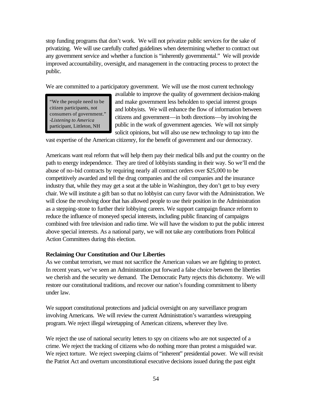stop funding programs that don't work. We will not privatize public services for the sake of privatizing. We will use carefully crafted guidelines when determining whether to contract out any government service and whether a function is "inherently governmental." We will provide improved accountability, oversight, and management in the contracting process to protect the public.

We are committed to a participatory government. We will use the most current technology

"We the people need to be citizen participants, not consumers of government." -*Listening to America* participant, Littleton, NH

available to improve the quality of government decision-making and make government less beholden to special interest groups and lobbyists. We will enhance the flow of information between citizens and government—in both directions—by involving the public in the work of government agencies. We will not simply solicit opinions, but will also use new technology to tap into the

vast expertise of the American citizenry, for the benefit of government and our democracy.

Americans want real reform that will help them pay their medical bills and put the country on the path to energy independence. They are tired of lobbyists standing in their way. So we'll end the abuse of no-bid contracts by requiring nearly all contract orders over \$25,000 to be competitively awarded and tell the drug companies and the oil companies and the insurance industry that, while they may get a seat at the table in Washington, they don't get to buy every chair. We will institute a gift ban so that no lobbyist can curry favor with the Administration. We will close the revolving door that has allowed people to use their position in the Administration as a stepping-stone to further their lobbying careers. We support campaign finance reform to reduce the influence of moneyed special interests, including public financing of campaigns combined with free television and radio time. We will have the wisdom to put the public interest above special interests. As a national party, we will not take any contributions from Political Action Committees during this election.

# **Reclaiming Our Constitution and Our Liberties**

As we combat terrorism, we must not sacrifice the American values we are fighting to protect. In recent years, we've seen an Administration put forward a false choice between the liberties we cherish and the security we demand. The Democratic Party rejects this dichotomy. We will restore our constitutional traditions, and recover our nation's founding commitment to liberty under law.

We support constitutional protections and judicial oversight on any surveillance program involving Americans. We will review the current Administration's warrantless wiretapping program. We reject illegal wiretapping of American citizens, wherever they live.

We reject the use of national security letters to spy on citizens who are not suspected of a crime. We reject the tracking of citizens who do nothing more than protest a misguided war. We reject torture. We reject sweeping claims of "inherent" presidential power. We will revisit the Patriot Act and overturn unconstitutional executive decisions issued during the past eight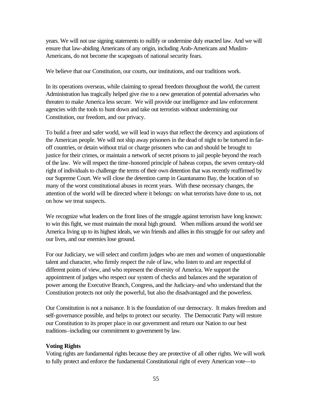years. We will not use signing statements to nullify or undermine duly enacted law. And we will ensure that law-abiding Americans of any origin, including Arab-Americans and Muslim-Americans, do not become the scapegoats of national security fears.

We believe that our Constitution, our courts, our institutions, and our traditions work.

In its operations overseas, while claiming to spread freedom throughout the world, the current Administration has tragically helped give rise to a new generation of potential adversaries who threaten to make America less secure. We will provide our intelligence and law enforcement agencies with the tools to hunt down and take out terrorists without undermining our Constitution, our freedom, and our privacy.

To build a freer and safer world, we will lead in ways that reflect the decency and aspirations of the American people. We will not ship away prisoners in the dead of night to be tortured in faroff countries, or detain without trial or charge prisoners who can and should be brought to justice for their crimes, or maintain a network of secret prisons to jail people beyond the reach of the law. We will respect the time-honored principle of habeas corpus, the seven century-old right of individuals to challenge the terms of their own detention that was recently reaffirmed by our Supreme Court. We will close the detention camp in Guantanamo Bay, the location of so many of the worst constitutional abuses in recent years. With these necessary changes, the attention of the world will be directed where it belongs: on what terrorists have done to us, not on how we treat suspects.

We recognize what leaders on the front lines of the struggle against terrorism have long known: to win this fight, we must maintain the moral high ground. When millions around the world see America living up to its highest ideals, we win friends and allies in this struggle for our safety and our lives, and our enemies lose ground.

For our Judiciary, we will select and confirm judges who are men and women of unquestionable talent and character, who firmly respect the rule of law, who listen to and are respectful of different points of view, and who represent the diversity of America. We support the appointment of judges who respect our system of checks and balances and the separation of power among the Executive Branch, Congress, and the Judiciary–and who understand that the Constitution protects not only the powerful, but also the disadvantaged and the powerless.

Our Constitution is not a nuisance. It is the foundation of our democracy. It makes freedom and self-governance possible, and helps to protect our security. The Democratic Party will restore our Constitution to its proper place in our government and return our Nation to our best traditions–including our commitment to government by law.

# **Voting Rights**

Voting rights are fundamental rights because they are protective of all other rights. We will work to fully protect and enforce the fundamental Constitutional right of every American vote—to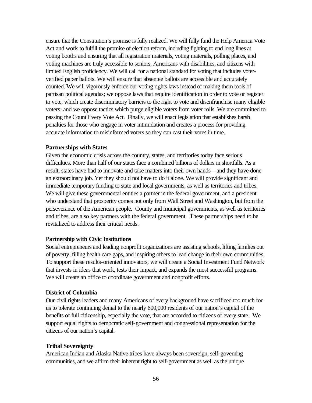ensure that the Constitution's promise is fully realized. We will fully fund the Help America Vote Act and work to fulfill the promise of election reform, including fighting to end long lines at voting booths and ensuring that all registration materials, voting materials, polling places, and voting machines are truly accessible to seniors, Americans with disabilities, and citizens with limited English proficiency. We will call for a national standard for voting that includes voterverified paper ballots. We will ensure that absentee ballots are accessible and accurately counted. We will vigorously enforce our voting rights laws instead of making them tools of partisan political agendas; we oppose laws that require identification in order to vote or register to vote, which create discriminatory barriers to the right to vote and disenfranchise many eligible voters; and we oppose tactics which purge eligible voters from voter rolls. We are committed to passing the Count Every Vote Act. Finally, we will enact legislation that establishes harsh penalties for those who engage in voter intimidation and creates a process for providing accurate information to misinformed voters so they can cast their votes in time.

#### **Partnerships with States**

Given the economic crisis across the country, states, and territories today face serious difficulties. More than half of our states face a combined billions of dollars in shortfalls. As a result, states have had to innovate and take matters into their own hands—and they have done an extraordinary job. Yet they should not have to do it alone. We will provide significant and immediate temporary funding to state and local governments, as well as territories and tribes. We will give these governmental entities a partner in the federal government, and a president who understand that prosperity comes not only from Wall Street and Washington, but from the perseverance of the American people. County and municipal governments, as well as territories and tribes, are also key partners with the federal government. These partnerships need to be revitalized to address their critical needs.

# **Partnership with Civic Institutions**

Social entrepreneurs and leading nonprofit organizations are assisting schools, lifting families out of poverty, filling health care gaps, and inspiring others to lead change in their own communities. To support these results-oriented innovators, we will create a Social Investment Fund Network that invests in ideas that work, tests their impact, and expands the most successful programs. We will create an office to coordinate government and nonprofit efforts.

# **District of Columbia**

Our civil rights leaders and many Americans of every background have sacrificed too much for us to tolerate continuing denial to the nearly 600,000 residents of our nation's capital of the benefits of full citizenship, especially the vote, that are accorded to citizens of every state. We support equal rights to democratic self-government and congressional representation for the citizens of our nation's capital.

# **Tribal Sovereignty**

American Indian and Alaska Native tribes have always been sovereign, self-governing communities, and we affirm their inherent right to self-government as well as the unique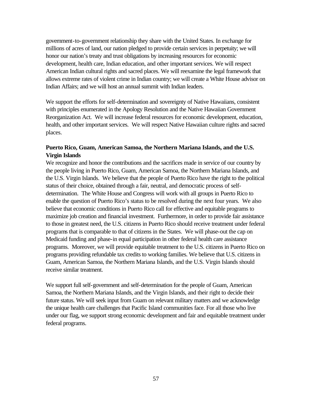government-to-government relationship they share with the United States. In exchange for millions of acres of land, our nation pledged to provide certain services in perpetuity; we will honor our nation's treaty and trust obligations by increasing resources for economic development, health care, Indian education, and other important services. We will respect American Indian cultural rights and sacred places. We will reexamine the legal framework that allows extreme rates of violent crime in Indian country; we will create a White House advisor on Indian Affairs; and we will host an annual summit with Indian leaders.

We support the efforts for self-determination and sovereignty of Native Hawaiians, consistent with principles enumerated in the Apology Resolution and the Native Hawaiian Government Reorganization Act. We will increase federal resources for economic development, education, health, and other important services. We will respect Native Hawaiian culture rights and sacred places.

# **Puerto Rico, Guam, American Samoa, the Northern Mariana Islands, and the U.S. Virgin Islands**

We recognize and honor the contributions and the sacrifices made in service of our country by the people living in Puerto Rico, Guam, American Samoa, the Northern Mariana Islands, and the U.S. Virgin Islands. We believe that the people of Puerto Rico have the right to the political status of their choice, obtained through a fair, neutral, and democratic process of selfdetermination. The White House and Congress will work with all groups in Puerto Rico to enable the question of Puerto Rico's status to be resolved during the next four years. We also believe that economic conditions in Puerto Rico call for effective and equitable programs to maximize job creation and financial investment. Furthermore, in order to provide fair assistance to those in greatest need, the U.S. citizens in Puerto Rico should receive treatment under federal programs that is comparable to that of citizens in the States. We will phase-out the cap on Medicaid funding and phase-in equal participation in other federal health care assistance programs. Moreover, we will provide equitable treatment to the U.S. citizens in Puerto Rico on programs providing refundable tax credits to working families. We believe that U.S. citizens in Guam, American Samoa, the Northern Mariana Islands, and the U.S. Virgin Islands should receive similar treatment.

We support full self-government and self-determination for the people of Guam, American Samoa, the Northern Mariana Islands, and the Virgin Islands, and their right to decide their future status. We will seek input from Guam on relevant military matters and we acknowledge the unique health care challenges that Pacific Island communities face. For all those who live under our flag, we support strong economic development and fair and equitable treatment under federal programs.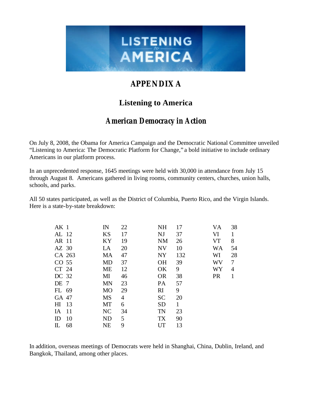

# **APPENDIX A**

# **Listening to America**

# *American Democracy in Action*

On July 8, 2008, the Obama for America Campaign and the Democratic National Committee unveiled "Listening to America: The Democratic Platform for Change," a bold initiative to include ordinary Americans in our platform process.

In an unprecedented response, 1645 meetings were held with 30,000 in attendance from July 15 through August 8. Americans gathered in living rooms, community centers, churches, union halls, schools, and parks.

All 50 states participated, as well as the District of Columbia, Puerto Rico, and the Virgin Islands. Here is a state-by-state breakdown:

| AK <sub>1</sub>   | IN        | 22             | <b>NH</b> | 17           | VA        | 38 |
|-------------------|-----------|----------------|-----------|--------------|-----------|----|
| AL 12             | <b>KS</b> | 17             | NJ        | 37           | VI        |    |
| AR 11             | KY        | 19             | <b>NM</b> | 26           | <b>VT</b> | 8  |
| AZ 30             | LA        | 20             | <b>NV</b> | 10           | WA        | 54 |
| CA 263            | MA        | 47             | <b>NY</b> | 132          | WI        | 28 |
| CO 55             | <b>MD</b> | 37             | <b>OH</b> | 39           | WV        | 7  |
| CT 24             | <b>ME</b> | 12             | OK        | 9            | WY        | 4  |
| DC 32             | MI        | 46             | <b>OR</b> | 38           | <b>PR</b> | 1  |
| DE 7              | <b>MN</b> | 23             | PA        | 57           |           |    |
| FL 69             | <b>MO</b> | 29             | RI        | 9            |           |    |
| GA 47             | <b>MS</b> | $\overline{4}$ | <b>SC</b> | 20           |           |    |
| -13<br>$H\!I$     | MT        | 6              | <b>SD</b> | $\mathbf{1}$ |           |    |
| IA<br>-11         | NC        | 34             | <b>TN</b> | 23           |           |    |
| 10<br>ID          | <b>ND</b> | 5              | <b>TX</b> | 90           |           |    |
| 68<br>$\rm{I\!L}$ | <b>NE</b> | 9              | UT        | 13           |           |    |

In addition, overseas meetings of Democrats were held in Shanghai, China, Dublin, Ireland, and Bangkok, Thailand, among other places.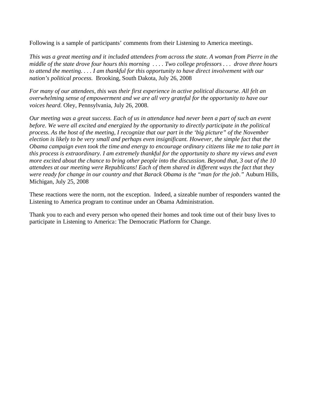Following is a sample of participants' comments from their Listening to America meetings.

*This was a great meeting and it included attendees from across the state. A woman from Pierre in the middle of the state drove four hours this morning . . . . Two college professors . . . drove three hours to attend the meeting. . . . I am thankful for this opportunity to have direct involvement with our nation's political process.* Brooking, South Dakota, July 26, 2008

*For many of our attendees, this was their first experience in active political discourse. All felt an overwhelming sense of empowerment and we are all very grateful for the opportunity to have our voices heard.* Oley, Pennsylvania, July 26, 2008.

*Our meeting was a great success. Each of us in attendance had never been a part of such an event before. We were all excited and energized by the opportunity to directly participate in the political process. As the host of the meeting, I recognize that our part in the 'big picture" of the November election is likely to be very small and perhaps even insignificant. However, the simple fact that the Obama campaign even took the time and energy to encourage ordinary citizens like me to take part in this process is extraordinary. I am extremely thankful for the opportunity to share my views and even more excited about the chance to bring other people into the discussion. Beyond that, 3 out of the 10 attendees at our meeting were Republicans! Each of them shared in different ways the fact that they were ready for change in our country and that Barack Obama is the "man for the job*.*"* Auburn Hills, Michigan, July 25, 2008

These reactions were the norm, not the exception. Indeed, a sizeable number of responders wanted the Listening to America program to continue under an Obama Administration.

Thank you to each and every person who opened their homes and took time out of their busy lives to participate in Listening to America: The Democratic Platform for Change.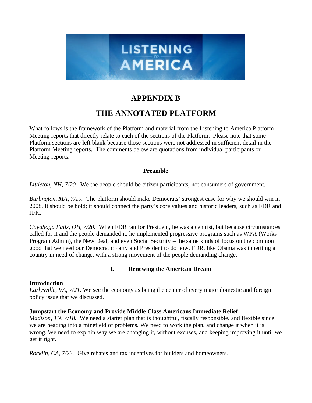

# **APPENDIX B**

# **THE ANNOTATED PLATFORM**

What follows is the framework of the Platform and material from the Listening to America Platform Meeting reports that directly relate to each of the sections of the Platform. Please note that some Platform sections are left blank because those sections were not addressed in sufficient detail in the Platform Meeting reports. The comments below are quotations from individual participants or Meeting reports.

# **Preamble**

*Littleton, NH, 7/20.* We the people should be citizen participants, not consumers of government.

*Burlington, MA, 7/19.* The platform should make Democrats' strongest case for why we should win in 2008. It should be bold; it should connect the party's core values and historic leaders, such as FDR and JFK.

*Cuyahoga Falls, OH, 7/20.* When FDR ran for President, he was a centrist, but because circumstances called for it and the people demanded it, he implemented progressive programs such as WPA (Works Program Admin), the New Deal, and even Social Security – the same kinds of focus on the common good that we need our Democratic Party and President to do now. FDR, like Obama was inheriting a country in need of change, with a strong movement of the people demanding change.

# **I. Renewing the American Dream**

# **Introduction**

*Earlysville, VA, 7/21.* We see the economy as being the center of every major domestic and foreign policy issue that we discussed.

# **Jumpstart the Economy and Provide Middle Class Americans Immediate Relief**

*Madison, TN, 7/18.* We need a starter plan that is thoughtful, fiscally responsible, and flexible since we are heading into a minefield of problems. We need to work the plan, and change it when it is wrong. We need to explain why we are changing it, without excuses, and keeping improving it until we get it right.

*Rocklin, CA, 7/23.* Give rebates and tax incentives for builders and homeowners.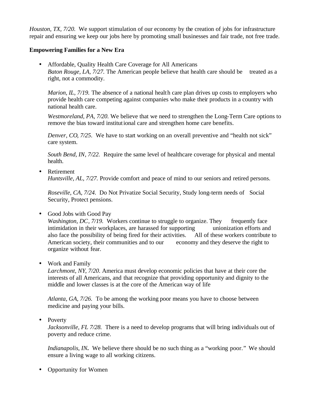*Houston, TX, 7/20.* We support stimulation of our economy by the creation of jobs for infrastructure repair and ensuring we keep our jobs here by promoting small businesses and fair trade, not free trade.

# **Empowering Families for a New Era**

• Affordable, Quality Health Care Coverage for All Americans *Baton Rouge, LA, 7/27.* The American people believe that health care should be treated as a right, not a commodity.

*Marion, IL, 7/19.* The absence of a national health care plan drives up costs to employers who provide health care competing against companies who make their products in a country with national health care.

*Westmoreland, PA, 7/20.* We believe that we need to strengthen the Long-Term Care options to remove the bias toward institutional care and strengthen home care benefits.

*Denver, CO, 7/25*. We have to start working on an overall preventive and "health not sick" care system.

*South Bend, IN, 7/22.* Require the same level of healthcare coverage for physical and mental health.

• Retirement

*Huntsville, AL, 7/27.* Provide comfort and peace of mind to our seniors and retired persons.

*Roseville, CA, 7/24.* Do Not Privatize Social Security, Study long-term needs of Social Security, Protect pensions.

• Good Jobs with Good Pay

*Washington, DC, 7/19.* Workers continue to struggle to organize. They frequently face intimidation in their workplaces, are harassed for supporting unionization efforts and also face the possibility of being fired for their activities. All of these workers contribute to American society, their communities and to our economy and they deserve the right to organize without fear.

• Work and Family

*Larchmont, NY, 7/20.* America must develop economic policies that have at their core the interests of all Americans, and that recognize that providing opportunity and dignity to the middle and lower classes is at the core of the American way of life

*Atlanta, GA, 7/26.* To be among the working poor means you have to choose between medicine and paying your bills.

• Poverty

*Jacksonville, FL 7/28.* There is a need to develop programs that will bring individuals out of poverty and reduce crime.

*Indianapolis, IN*. We believe there should be no such thing as a "working poor." We should ensure a living wage to all working citizens.

• Opportunity for Women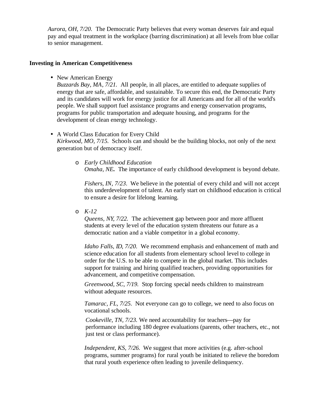*Aurora, OH, 7/20.* The Democratic Party believes that every woman deserves fair and equal pay and equal treatment in the workplace (barring discrimination) at all levels from blue collar to senior management.

#### **Investing in American Competitiveness**

• New American Energy

*Buzzards Bay, MA, 7/21.* All people, in all places, are entitled to adequate supplies of energy that are safe, affordable, and sustainable. To secure this end, the Democratic Party and its candidates will work for energy justice for all Americans and for all of the world's people. We shall support fuel assistance programs and energy conservation programs, programs for public transportation and adequate housing, and programs for the development of clean energy technology.

- A World Class Education for Every Child *Kirkwood, MO, 7/15.* Schools can and should be the building blocks, not only of the next generation but of democracy itself.
	- o *Early Childhood Education Omaha, NE.* The importance of early childhood development is beyond debate.

*Fishers, IN, 7/23.* We believe in the potential of every child and will not accept this underdevelopment of talent. An early start on childhood education is critical to ensure a desire for lifelong learning.

o *K-12* 

*Queens, NY, 7/22.* The achievement gap between poor and more affluent students at every level of the education system threatens our future as a democratic nation and a viable competitor in a global economy.

*Idaho Falls, ID, 7/20.* We recommend emphasis and enhancement of math and science education for all students from elementary school level to college in order for the U.S. to be able to compete in the global market. This includes support for training and hiring qualified teachers, providing opportunities for advancement, and competitive compensation.

*Greenwood, SC, 7/19.* Stop forcing special needs children to mainstream without adequate resources.

*Tamarac, FL, 7/25.* Not everyone can go to college, we need to also focus on vocational schools.

*Cookeville, TN, 7/23.* We need accountability for teachers—pay for performance including 180 degree evaluations (parents, other teachers, etc., not just test or class performance).

*Independent, KS, 7/26.* We suggest that more activities (e.g. after-school programs, summer programs) for rural youth be initiated to relieve the boredom that rural youth experience often leading to juvenile delinquency.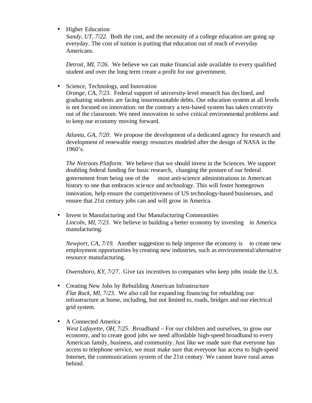• Higher Education

*Sandy, UT, 7/22.* Both the cost, and the necessity of a college education are going up everyday. The cost of tuition is putting that education out of reach of everyday Americans.

*Detroit, MI, 7/26.* We believe we can make financial aide available to every qualified student and over the long term create a profit for our government.

• Science, Technology, and Innovation

*Orange, CA, 7/23.* Federal support of university-level research has declined, and graduating students are facing insurmountable debts. Our education system at all levels is not focused on innovation: on the contrary a test-based system has taken creativity out of the classroom. We need innovation to solve critical environmental problems and to keep our economy moving forward.

*Atlanta, GA, 7/20.* We propose the development of a dedicated agency for research and development of renewable energy resources modeled after the design of NASA in the  $1960$ 's.

*The Netroots Platform.* We believe that we should invest in the Sciences. We support doubling federal funding for basic research, changing the posture of our federal government from being one of the most anti-science administrations in American history to one that embraces science and technology. This will foster homegrown innovation, help ensure the competitiveness of US technology-based businesses, and ensure that 21st century jobs can and will grow in America.

• Invest in Manufacturing and Our Manufacturing Communities *Lincoln, MI, 7/23.* We believe in building a better economy by investing in America manufacturing.

*Newport, CA, 7/19.* Another suggestion to help improve the economy is to create new employment opportunities by creating new industries, such as environmental/alternative resource manufacturing.

*Owensboro, KY, 7/27*. Give tax incentives to companies who keep jobs inside the U.S.

- Creating New Jobs by Rebuilding American Infrastructure *Flat Rock, MI, 7/23.* We also call for expanding financing for rebuilding our infrastructure at home, including, but not limited to, roads, bridges and our electrical grid system.
- A Connected America

*West Lafayette, OH, 7/25.* Broadband – For our children and ourselves, to grow our economy, and to create good jobs we need affordable high-speed broadband to every American family, business, and community. Just like we made sure that everyone has access to telephone service, we must make sure that everyone has access to high-speed Internet, the communications system of the 21st century. We cannot leave rural areas behind.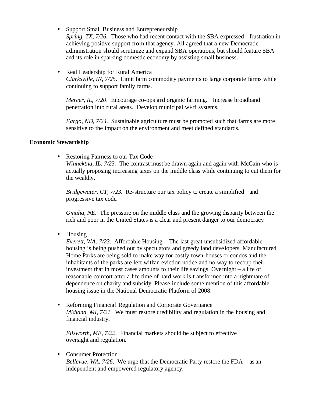• Support Small Business and Entrepreneurship

*Spring, TX, 7/26.* Those who had recent contact with the SBA expressed frustration in achieving positive support from that agency. All agreed that a new Democratic administration should scrutinize and expand SBA operations, but should feature SBA and its role in sparking domestic economy by assisting small business.

• Real Leadership for Rural America

*Clarksville, IN, 7/25.* Limit farm commodity payments to large corporate farms while continuing to support family farms.

*Mercer, IL, 7/20*. Encourage co-ops and organic farming. Increase broadband penetration into rural areas. Develop municipal wi-fi systems.

*Fargo, ND, 7/24.* Sustainable agriculture must be promoted such that farms are more sensitive to the impact on the environment and meet defined standards.

## **Economic Stewardship**

• Restoring Fairness to our Tax Code

*Winnektna, IL, 7/23.* The contrast must be drawn again and again with McCain who is actually proposing increasing taxes on the middle class while continuing to cut them for the wealthy.

*Bridgewater, CT, 7/23.* Re-structure our tax policy to create a simplified and progressive tax code.

*Omaha, NE.* The pressure on the middle class and the growing disparity between the rich and poor in the United States is a clear and present danger to our democracy.

• Housing

*Everett, WA, 7/23.* Affordable Housing – The last great unsubsidized affordable housing is being pushed out by speculators and greedy land developers. Manufactured Home Parks are being sold to make way for costly town-houses or condos and the inhabitants of the parks are left withan eviction notice and no way to recoup their investment that in most cases amounts to their life savings. Overnight – a life of reasonable comfort after a life time of hard work is transformed into a nightmare of dependence on charity and subsidy. Please include some mention of this affordable housing issue in the National Democratic Platform of 2008.

• Reforming Financia l Regulation and Corporate Governance *Midland, MI, 7/21.* We must restore credibility and regulation in the housing and financial industry.

*Ellsworth, ME, 7/22.* Financial markets should be subject to effective oversight and regulation.

• Consumer Protection

*Bellevue, WA, 7/26*. We urge that the Democratic Party restore the FDA as an independent and empowered regulatory agency.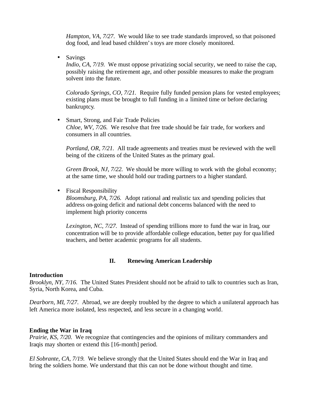*Hampton, VA, 7/27*. We would like to see trade standards improved, so that poisoned dog food, and lead based children's toys are more closely monitored.

• Savings

*Indio, CA, 7/19.* We must oppose privatizing social security, we need to raise the cap, possibly raising the retirement age, and other possible measures to make the program solvent into the future.

*Colorado Springs, CO, 7/21.* Require fully funded pension plans for vested employees; existing plans must be brought to full funding in a limited time or before declaring bankruptcy.

• Smart, Strong, and Fair Trade Policies *Chloe, WV, 7/26.* We resolve that free trade should be fair trade, for workers and consumers in all countries.

*Portland, OR, 7/21.* All trade agreements and treaties must be reviewed with the well being of the citizens of the United States as the primary goal.

*Green Brook, NJ, 7/22.* We should be more willing to work with the global economy; at the same time, we should hold our trading partners to a higher standard.

• Fiscal Responsibility

*Bloomsburg, PA, 7/26.* Adopt rational and realistic tax and spending policies that address on-going deficit and national debt concerns balanced with the need to implement high priority concerns

*Lexington, NC, 7/27.* Instead of spending trillions more to fund the war in Iraq, our concentration will be to provide affordable college education, better pay for qua lified teachers, and better academic programs for all students.

# **II. Renewing American Leadership**

#### **Introduction**

*Brooklyn, NY, 7/16.* The United States President should not be afraid to talk to countries such as Iran, Syria, North Korea, and Cuba.

*Dearborn, MI, 7/27.* Abroad, we are deeply troubled by the degree to which a unilateral approach has left America more isolated, less respected, and less secure in a changing world.

#### **Ending the War in Iraq**

*Prairie, KS, 7/20.* We recognize that contingencies and the opinions of military commanders and Iraqis may shorten or extend this [16-month] period.

*El Sobrante, CA, 7/19.* We believe strongly that the United States should end the War in Iraq and bring the soldiers home. We understand that this can not be done without thought and time.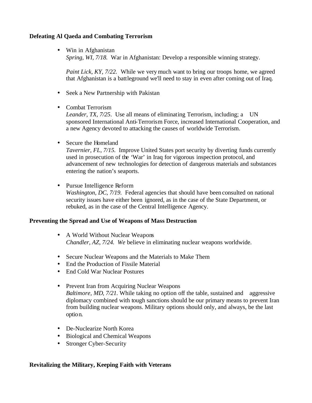## **Defeating Al Qaeda and Combating Terrorism**

• Win in Afghanistan

*Spring, WI, 7/18.* War in Afghanistan: Develop a responsible winning strategy.

*Paint Lick, KY, 7/22.* While we very much want to bring our troops home, we agreed that Afghanistan is a battleground we'll need to stay in even after coming out of Iraq.

- Seek a New Partnership with Pakistan
- Combat Terrorism

*Leander, TX, 7/25*. Use all means of eliminating Terrorism, including; a UN sponsored International Anti-Terrorism Force, increased International Cooperation, and a new Agency devoted to attacking the causes of worldwide Terrorism.

• Secure the Homeland

*Tavernier, FL, 7/15.* Improve United States port security by diverting funds currently used in prosecution of the 'War' in Iraq for vigorous inspection protocol, and advancement of new technologies for detection of dangerous materials and substances entering the nation's seaports.

• Pursue Intelligence Reform *Washington, DC, 7/19.* Federal agencies that should have been consulted on national security issues have either been ignored, as in the case of the State Department, or rebuked, as in the case of the Central Intelligence Agency.

#### **Preventing the Spread and Use of Weapons of Mass Destruction**

- A World Without Nuclear Weapons *Chandler, AZ, 7/24. We* believe in eliminating nuclear weapons worldwide.
- Secure Nuclear Weapons and the Materials to Make Them
- End the Production of Fissile Material
- End Cold War Nuclear Postures
- Prevent Iran from Acquiring Nuclear Weapons *Baltimore, MD, 7/21.* While taking no option off the table, sustained and aggressive diplomacy combined with tough sanctions should be our primary means to prevent Iran from building nuclear weapons. Military options should only, and always, be the last option.
- De-Nuclearize North Korea
- Biological and Chemical Weapons
- Stronger Cyber-Security

#### **Revitalizing the Military, Keeping Faith with Veterans**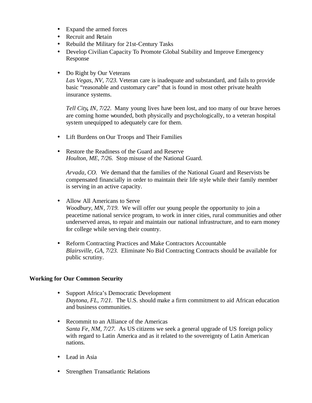- Expand the armed forces
- Recruit and Retain
- Rebuild the Military for 21st-Century Tasks
- Develop Civilian Capacity To Promote Global Stability and Improve Emergency Response
- Do Right by Our Veterans

*Las Vegas, NV, 7/23.* Veteran care is inadequate and substandard, and fails to provide basic "reasonable and customary care" that is found in most other private health insurance systems.

*Tell City, IN, 7/22*. Many young lives have been lost, and too many of our brave heroes are coming home wounded, both physically and psychologically, to a veteran hospital system unequipped to adequately care for them.

- Lift Burdens on Our Troops and Their Families
- Restore the Readiness of the Guard and Reserve *Houlton, ME, 7/26.* Stop misuse of the National Guard.

*Arvada, CO.* We demand that the families of the National Guard and Reservists be compensated financially in order to maintain their life style while their family member is serving in an active capacity.

• Allow All Americans to Serve

*Woodbury, MN, 7/19.* We will offer our young people the opportunity to join a peacetime national service program, to work in inner cities, rural communities and other underserved areas, to repair and maintain our national infrastructure, and to earn money for college while serving their country.

• Reform Contracting Practices and Make Contractors Accountable *Blairsville, GA, 7/23.* Eliminate No Bid Contracting Contracts should be available for public scrutiny.

# **Working for Our Common Security**

- Support Africa's Democratic Development *Daytona, FL, 7/21.* The U.S. should make a firm commitment to aid African education and business communities.
- Recommit to an Alliance of the Americas *Santa Fe, NM, 7/27.* As US citizens we seek a general upgrade of US foreign policy with regard to Latin America and as it related to the sovereignty of Latin American nations.
- Lead in Asia
- Strengthen Transatlantic Relations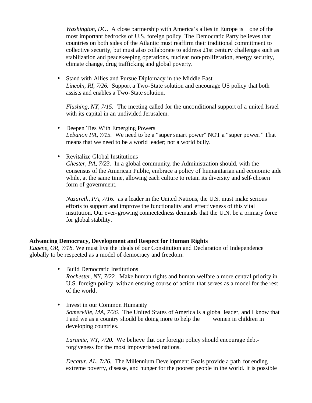*Washington, DC.* A close partnership with America's allies in Europe is one of the most important bedrocks of U.S. foreign policy. The Democratic Party believes that countries on both sides of the Atlantic must reaffirm their traditional commitment to collective security, but must also collaborate to address 21st century challenges such as stabilization and peacekeeping operations, nuclear non-proliferation, energy security, climate change, drug trafficking and global poverty.

• Stand with Allies and Pursue Diplomacy in the Middle East *Lincoln, RI, 7/26.* Support a Two-State solution and encourage US policy that both assists and enables a Two-State solution.

*Flushing, NY, 7/15.* The meeting called for the unconditional support of a united Israel with its capital in an undivided Jerusalem.

- Deepen Ties With Emerging Powers *Lebanon PA, 7/15.* We need to be a "super smart power" NOT a "super power." That means that we need to be a world leader; not a world bully.
- Revitalize Global Institutions

*Chester, PA, 7/23.* In a global community, the Administration should, with the consensus of the American Public, embrace a policy of humanitarian and economic aide while, at the same time, allowing each culture to retain its diversity and self-chosen form of government.

*Nazareth, PA, 7/16.* as a leader in the United Nations, the U.S. must make serious efforts to support and improve the functionality and effectiveness of this vital institution. Our ever-growing connectedness demands that the U.N. be a primary force for global stability.

# **Advancing Democracy, Development and Respect for Human Rights**

*Eugene, OR, 7/18.* We must live the ideals of our Constitution and Declaration of Independence globally to be respected as a model of democracy and freedom.

- Build Democratic Institutions *Rochester, NY, 7/22.* Make human rights and human welfare a more central priority in U.S. foreign policy, with an ensuing course of action that serves as a model for the rest of the world.
- Invest in our Common Humanity *Somerville, MA, 7/26.* The United States of America is a global leader, and I know that I and we as a country should be doing more to help the women in children in developing countries.

*Laramie, WY, 7/20.* We believe that our foreign policy should encourage debtforgiveness for the most impoverished nations.

*Decatur, AL, 7/26.* The Millennium Deve lopment Goals provide a path for ending extreme poverty, disease, and hunger for the poorest people in the world. It is possible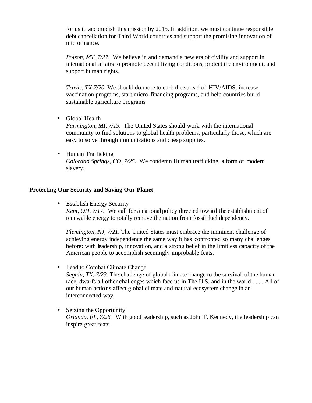for us to accomplish this mission by 2015. In addition, we must continue responsible debt cancellation for Third World countries and support the promising innovation of microfinance.

*Polson, MT, 7/27.* We believe in and demand a new era of civility and support in internationa l affairs to promote decent living conditions, protect the environment, and support human rights.

*Travis, TX 7/20.* We should do more to curb the spread of HIV/AIDS, increase vaccination programs, start micro-financing programs, and help countries build sustainable agriculture programs

• Global Health

*Farmington, MI, 7/19.* The United States should work with the international community to find solutions to global health problems, particularly those, which are easy to solve through immunizations and cheap supplies.

• Human Trafficking *Colorado Springs, CO, 7/25.* We condemn Human trafficking, a form of modern slavery.

## **Protecting Our Security and Saving Our Planet**

• Establish Energy Security

*Kent, OH, 7/17.* We call for a national policy directed toward the establishment of renewable energy to totally remove the nation from fossil fuel dependency.

*Flemington, NJ, 7/21*. The United States must embrace the imminent challenge of achieving energy independence the same way it has confronted so many challenges before: with leadership, innovation, and a strong belief in the limitless capacity of the American people to accomplish seemingly improbable feats.

• Lead to Combat Climate Change

*Seguin, TX, 7/23.* The challenge of global climate change to the survival of the human race, dwarfs all other challenges which face us in The U.S. and in the world . . . . All of our human actions affect global climate and natural ecosystem change in an interconnected way.

• Seizing the Opportunity *Orlando, FL, 7/26.* With good leadership, such as John F. Kennedy, the leadership can inspire great feats.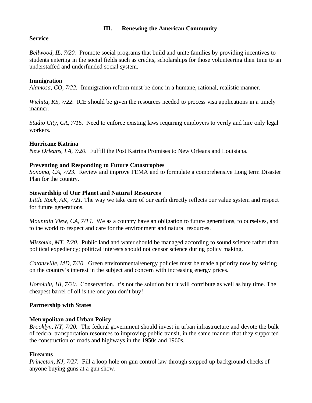# **III. Renewing the American Community**

#### **Service**

*Bellwood, IL, 7/20.* Promote social programs that build and unite families by providing incentives to students entering in the social fields such as credits, scholarships for those volunteering their time to an understaffed and underfunded social system.

# **Immigration**

*Alamosa, CO, 7/22.* Immigration reform must be done in a humane, rational, realistic manner.

*Wichita, KS, 7/22.* ICE should be given the resources needed to process visa applications in a timely manner.

*Studio City, CA, 7/15.* Need to enforce existing laws requiring employers to verify and hire only legal workers.

## **Hurricane Katrina**

*New Orleans, LA, 7/20.* Fulfill the Post Katrina Promises to New Orleans and Louisiana.

## **Preventing and Responding to Future Catastrophes**

*Sonoma, CA, 7/23.* Review and improve FEMA and to formulate a comprehensive Long term Disaster Plan for the country.

## **Stewardship of Our Planet and Natural Resources**

*Little Rock, AK, 7/21.* The way we take care of our earth directly reflects our value system and respect for future generations.

*Mountain View, CA, 7/14.* We as a country have an obligation to future generations, to ourselves, and to the world to respect and care for the environment and natural resources.

*Missoula, MT, 7/20*. Public land and water should be managed according to sound science rather than political expediency; political interests should not censor science during policy making.

*Catonsville, MD, 7/20*. Green environmental/energy policies must be made a priority now by seizing on the country's interest in the subject and concern with increasing energy prices.

*Honolulu, HI, 7/20*. Conservation. It's not the solution but it will contribute as well as buy time. The cheapest barrel of oil is the one you don't buy!

# **Partnership with States**

# **Metropolitan and Urban Policy**

*Brooklyn, NY, 7/20.* The federal government should invest in urban infrastructure and devote the bulk of federal transportation resources to improving public transit, in the same manner that they supported the construction of roads and highways in the 1950s and 1960s.

# **Firearms**

*Princeton, NJ, 7/27.* Fill a loop hole on gun control law through stepped up background checks of anyone buying guns at a gun show.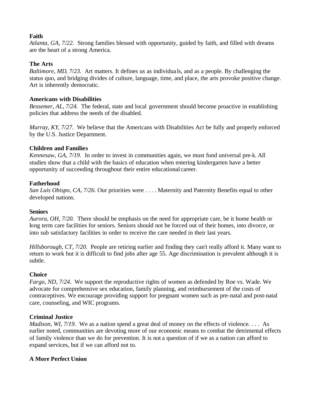## **Faith**

*Atlanta, GA, 7/22.* Strong families blessed with opportunity, guided by faith, and filled with dreams are the heart of a strong America.

# **The Arts**

*Baltimore, MD, 7/23.* Art matters. It defines us as individua ls, and as a people. By challenging the status quo, and bridging divides of culture, language, time, and place, the arts provoke positive change. Art is inherently democratic.

## **Americans with Disabilities**

*Bessemer, AL, 7/24.* The federal, state and local government should become proactive in establishing policies that address the needs of the disabled.

*Murray, KY, 7/27.* We believe that the Americans with Disabilities Act be fully and properly enforced by the U.S. Justice Department.

# **Children and Families**

*Kennesaw, GA, 7/19.* In order to invest in communities again, we must fund universal pre-k. All studies show that a child with the basics of education when entering kindergarten have a better opportunity of succeeding throughout their entire educational career.

#### **Fatherhood**

*San Luis Obispo, CA, 7/26*. Our priorities were . . . . Maternity and Paternity Benefits equal to other developed nations.

#### **Seniors**

*Aurora, OH, 7/20.* There should be emphasis on the need for appropriate care, be it home health or long term care facilities for seniors. Seniors should not be forced out of their homes, into divorce, or into sub satisfactory facilities in order to receive the care needed in their last years.

*Hillsborough, CT, 7/20*. People are retiring earlier and finding they can't really afford it. Many want to return to work but it is difficult to find jobs after age 55. Age discrimination is prevalent although it is subtle.

# **Choice**

*Fargo, ND, 7/24.* We support the reproductive rights of women as defended by Roe vs. Wade. We advocate for comprehensive sex education, family planning, and reimbursement of the costs of contraceptives. We encourage providing support for pregnant women such as pre-natal and post-natal care, counseling, and WIC programs.

# **Criminal Justice**

*Madison, WI, 7/19.* We as a nation spend a great deal of money on the effects of violence.... As earlier noted, communities are devoting more of our economic means to combat the detrimental effects of family violence than we do for prevention. It is not a question of if we as a nation can afford to expand services, but if we can afford not to.

# **A More Perfect Union**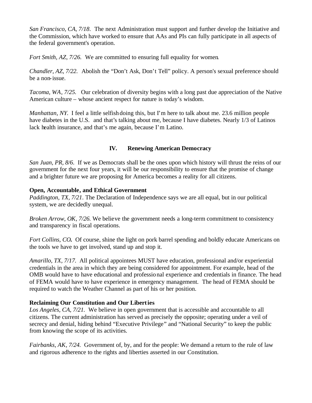*San Francisco, CA, 7/18*. The next Administration must support and further develop the Initiative and the Commission, which have worked to ensure that AAs and PIs can fully participate in all aspects of the federal government's operation.

*Fort Smith, AZ, 7/26.* We are committed to ensuring full equality for women.

*Chandler, AZ, 7/22.* Abolish the "Don't Ask, Don't Tell" policy. A person's sexual preference should be a non-issue.

*Tacoma, WA, 7/25.* Our celebration of diversity begins with a long past due appreciation of the Native American culture – whose ancient respect for nature is today's wisdom.

*Manhattan, NY*. I feel a little selfish doing this, but I'm here to talk about me. 23.6 million people have diabetes in the U.S. and that's talking about me, because I have diabetes. Nearly 1/3 of Latinos lack health insurance, and that's me again, because I'm Latino.

# **IV. Renewing American Democracy**

*San Juan, PR, 8/6*. If we as Democrats shall be the ones upon which history will thrust the reins of our government for the next four years, it will be our responsibility to ensure that the promise of change and a brighter future we are proposing for America becomes a reality for all citizens.

#### **Open, Accountable, and Ethical Government**

*Paddington, TX, 7/21*. The Declaration of Independence says we are all equal, but in our political system, we are decidedly unequal.

*Broken Arrow, OK, 7/26.* We believe the government needs a long-term commitment to consistency and transparency in fiscal operations.

*Fort Collins, CO.* Of course, shine the light on pork barrel spending and boldly educate Americans on the tools we have to get involved, stand up and stop it.

*Amarillo, TX, 7/17.* All political appointees MUST have education, professional and/or experiential credentials in the area in which they are being considered for appointment. For example, head of the OMB would have to have educational and professional experience and credentials in finance. The head of FEMA would have to have experience in emergency management. The head of FEMA should be required to watch the Weather Channel as part of his or her position.

# **Reclaiming Our Constitution and Our Liberties**

*Los Angeles, CA, 7/21.* We believe in open government that is accessible and accountable to all citizens. The current administration has served as precisely the opposite; operating under a veil of secrecy and denial, hiding behind "Executive Privilege" and "National Security" to keep the public from knowing the scope of its activities.

*Fairbanks, AK, 7/24.* Government of, by, and for the people: We demand a return to the rule of law and rigorous adherence to the rights and liberties asserted in our Constitution.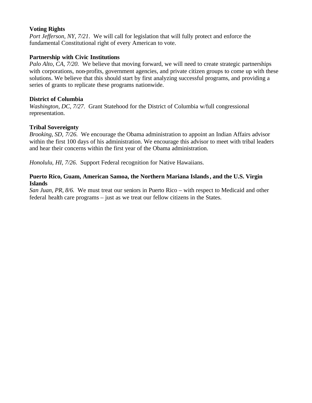#### **Voting Rights**

*Port Jefferson, NY, 7/21.* We will call for legislation that will fully protect and enforce the fundamental Constitutional right of every American to vote.

## **Partnership with Civic Institutions**

*Palo Alto, CA, 7/20.* We believe that moving forward, we will need to create strategic partnerships with corporations, non-profits, government agencies, and private citizen groups to come up with these solutions. We believe that this should start by first analyzing successful programs, and providing a series of grants to replicate these programs nationwide.

#### **District of Columbia**

*Washington, DC, 7/27*. Grant Statehood for the District of Columbia w/full congressional representation.

#### **Tribal Sovereignty**

*Brooking, SD, 7/26.* We encourage the Obama administration to appoint an Indian Affairs advisor within the first 100 days of his administration. We encourage this advisor to meet with tribal leaders and hear their concerns within the first year of the Obama administration.

*Honolulu, HI, 7/26*. Support Federal recognition for Native Hawaiians.

#### **Puerto Rico, Guam, American Samoa, the Northern Mariana Islands, and the U.S. Virgin Islands**

*San Juan, PR, 8/6.* We must treat our seniors in Puerto Rico – with respect to Medicaid and other federal health care programs – just as we treat our fellow citizens in the States.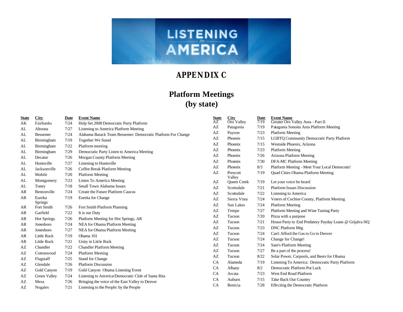# LISTENING **AMERICA**

# **APPENDIX C**

# **Platform Meetings (by state)**

| <b>State</b> | <b>City</b>                  | Date | <b>Event Name</b>                                            | <b>State</b> | City               | Date          | <b>Event Name</b>                                       |
|--------------|------------------------------|------|--------------------------------------------------------------|--------------|--------------------|---------------|---------------------------------------------------------|
| AK           | Fairbanks                    | 7/24 | Help Set 2008 Democratic Party Platform                      | AZ           | Oro Valley         | $\sqrt{7/19}$ | Greater Oro Valley Area - Part II                       |
| AL           | Altoona                      | 7/27 | Listening to America Platform Meeting                        | AZ           | Patagonia          | 7/19          | Patagonia Sonoita Area Platform Meeting                 |
| AL           | <b>Bessemer</b>              | 7/24 | Alabama Barack Team Bessemer: Democratic Platform For Change | AZ           | Payson             | 7/23          | <b>Platform Meeting</b>                                 |
| AL           | Birmingham                   | 7/19 | <b>Together We Stand</b>                                     | AZ           | Phoenix            | 7/15          | LGBTQ Community Democratic Party Platform               |
| AL           | Birmingham                   | 7/22 | Platform meeting                                             | AZ           | Phoenix            | 7/15          | Westside Phoenix, Arizona                               |
| AL           | Birmingham                   | 7/29 | Democratic Party Listen to America Meeting                   | AZ           | Phoenix            | 7/23          | <b>Platform Meeting</b>                                 |
| AL           | Decatur                      | 7/26 | Morgan County Platform Meeting                               | AZ           | Phoenix            | 7/26          | Arizona Platform Meeting                                |
| AL           | Huntsville                   | 7/27 | Listening to Huntsville                                      | AZ           | Phoenix            | 7/30          | <b>DFA-MC Platform Meeting</b>                          |
| AL           | Jacksonville                 | 7/26 | Coffee Break Platform Meeting                                | AZ           | Phoenix            | 8/3           | Platform Meeting - Meet Your Local Democrats!           |
| AL           | Mobile                       | 7/20 | <b>Platform Meeting</b>                                      | AZ           | Prescott<br>Valley | 7/19          | Quad Cities Obama Platform Meeting                      |
| AL           | Montgomery                   | 7/23 | Listen To America Meeting                                    | AZ           | <b>Oueen Creek</b> | 7/19          | Let your voice be heard                                 |
| AL           | Toney                        | 7/18 | Small Town Alabama Issues                                    | AZ           | Scottsdale         | 7/21          | <b>Platform Issues Discussion</b>                       |
| AR           | Bentonville                  | 7/24 | Create the Future Platform Caucus                            | AZ           | Scottsdale         | 7/22          | Listening to America                                    |
| AR           | Eureka                       | 7/19 | Eureka for Change                                            | AZ           | Sierra Vista       | 7/24          | Voters of Cochise County, Platform Meeting              |
| AR           | <b>Springs</b><br>Fort Smith | 7/26 | Fort Smith Platform Planning                                 | AZ           | Sun Lakes          | 7/24          | <b>Platform Meeting</b>                                 |
| AR.          | Garfield                     | 7/22 | It is our Duty                                               | AZ           | Tempe              | 7/27          | Platform Meeting and Wine Tasting Party                 |
| AR.          | <b>Hot Springs</b>           | 7/26 | Platform Meeting for Hot Springs, AR                         | AZ           | Tucson             | 7/20          | Pizza with a purpose                                    |
| AR           | Jonesboro                    | 7/24 | NEA for Obama Platform Meeting                               | AZ           | Tucson             | 7/21          | House Party to End Predatory Payday Loans @ Grijalva HQ |
| AR.          | Jonesboro                    | 7/27 | NEA for Obama Platform Meeting                               | AZ           | Tucson             | 7/23          | DNC Platform Mtg.                                       |
| AR           | <b>Little Rock</b>           | 7/19 | Obama 101                                                    | AZ           | Tucson             | 7/24          | Can't Afford the Gas to Go to Denver                    |
| AR           | Little Rock                  | 7/21 | Unity in Little Rock                                         | AZ           | Tucson             | 7/24          | Change for Change!                                      |
| AZ           | Chandler                     | 7/22 | <b>Chandler Platform Meeting</b>                             | AZ           | Tucson             | 7/24          | Sam's Platform Meeting                                  |
| AZ           | Cottonwood                   | 7/24 | <b>Platform Meeting</b>                                      | AZ           | Tucson             | 7/27          | Be a part of the process!                               |
| AZ           | Flagstaff                    | 7/25 | Stand for Change                                             | AZ           | Tucson             | 8/22          | Solar Power, Carpools, and Beers for Obama              |
| AZ           | Glendale                     | 7/26 | <b>Platform Discussion</b>                                   | CA           | Alameda            | 7/19          | Listening To America: Democratic Party Platform         |
| AZ           | Gold Canyon                  | 7/19 | Gold Canyon Obama Listening Event                            | <b>CA</b>    | Albany             | 8/2           | Democratic Platform Pot Luck                            |
| AZ           | Green Valley                 | 7/24 | Listening to America/Democratic Club of Santa Rita           | CA           | Arcata             | 7/23          | West End Road Platform                                  |
| AZ           | Mesa                         | 7/26 | Bringing the voice of the East Valley to Denver              | <b>CA</b>    | Auburn             | 7/15          | <b>Take Back Our Country</b>                            |
| AZ           |                              | 7/21 |                                                              | <b>CA</b>    | Benicia            | 7/28          | <b>Effecting the Democratic Platform</b>                |
|              | Nogales                      |      | Listening to the People: by the People                       |              |                    |               |                                                         |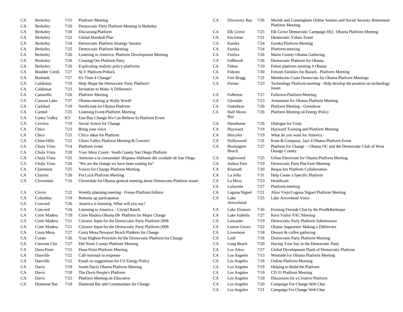| <b>CA</b> | Berkeley             | 7/15 | <b>Platform Meeting</b>                                               | CA | Discovery Bay       | 7/26 | Morish and Cunningham Online Seniors and Social Security Retirement              |
|-----------|----------------------|------|-----------------------------------------------------------------------|----|---------------------|------|----------------------------------------------------------------------------------|
| <b>CA</b> | <b>Berkeley</b>      | 7/20 | Democratic Party Platform Meeting in Berkeley                         |    |                     |      | <b>Platform Meeting</b>                                                          |
| CA        | Berkeley             | 7/20 | Discussing Platform                                                   | CA | Elk Grove           | 7/25 | Elk Grove Democratic Campaign HQ - Obama Platform Meeting                        |
| <b>CA</b> | Berkeley             | 7/22 | Global Marshall Plan                                                  | CA | Encinitas           | 7/31 | Democratic Values Event                                                          |
| <b>CA</b> | Berkeley             | 7/24 | Democratic Platform Strategy Session                                  | CA | Eureka              | 7/24 | Eureka Platform Meeting                                                          |
| <b>CA</b> | Berkeley             | 7/25 | Democratic Platform Meeting                                           | CA | Eureka              | 7/24 | Platform meeting                                                                 |
| CA        | Berkeley             | 7/26 | Listening to America: Platform Development Meeting                    | CA | Fairfax             | 7/26 | Marin County Obama Gathering                                                     |
| <b>CA</b> | Berkeley             | 7/26 | <b>Creating Our Platform Party</b>                                    | CA | Fallbrook           | 7/26 | Democratic Platform for Obama                                                    |
| <b>CA</b> | Berkeley             | 7/26 | Explicating realistic policy platforms                                | CA | Felton              | 7/19 | Felton platform meeting 4 Obama                                                  |
| <b>CA</b> | <b>Boulder Creek</b> | 7/27 | <b>SLV Platform Potluck</b>                                           | CA | Folsom              | 7/30 | Folsom Families for Barack - Platform Meeting                                    |
| CA        | Burbank              | 7/27 | It's Time 4 Change!                                                   | CA | Fort Bragg          | 7/21 | Mendocino Coast Democrats for Obama Platform Meetings                            |
| CA        | Calabasas            | 7/19 | Help Shape the Democratic Party Platform!                             | CA | Fresno              | 7/23 | Technology Platform meeting - Help develop the position on technology            |
| <b>CA</b> | Calabasas            | 7/23 | Invitation to Make A Difference                                       |    |                     |      | issues                                                                           |
| <b>CA</b> | Camarillo            | 7/26 | <b>Platform Meeting</b>                                               | CA | Fullerton           | 7/27 | <b>Fullerton Platform Meeting</b>                                                |
| CA        | Canyon Lake          | 7/27 | Obama meeting at Wally World                                          | CA | Glendale            | 7/23 | Armenians for Obama Platform Meeting                                             |
| <b>CA</b> | Carlsbad             | 7/19 | Northcoast for Obama Platform                                         | CA | Greenbrae           | 7/26 | Platform Meeting - Greenbrae                                                     |
| <b>CA</b> | Carmel               | 7/25 | Listening Event-Platform Meeting                                      | CA | Half Moon           | 7/26 | Platform Meeting on Energy Policy                                                |
| <b>CA</b> | <b>Castro Valley</b> | 8/3  | East Bay Change We Can Believe In Platform Event                      |    | Bay                 |      |                                                                                  |
| <b>CA</b> | Cerritos             | 7/19 | Social Action for Change                                              | CA | Hawthorne           | 7/26 | Dialogue for Unity                                                               |
|           | Chico                | 7/23 | Bring your voice                                                      | CA | Hayward             | 7/19 | Hayward Training and Platform Meeting                                            |
| CA        | Chico                |      | Chico Ideas for Platform                                              |    | Hercules            |      | What do you want for America                                                     |
| <b>CA</b> | Chino Hills          | 7/25 |                                                                       | CA |                     | 7/19 | Kane & Company, Jazz 4 Obama Platform Event                                      |
| <b>CA</b> |                      | 7/22 | Chino Valley Platform Meeting & Concert!                              | CA | Hollywood           | 7/31 |                                                                                  |
| CA        | Chula Vista          | 7/14 | Platform event                                                        | CA | Huntington<br>Beach | 7/27 | Platform for Change -- Obama OC and the Democratic Club of West<br>Orange County |
| <b>CA</b> | Chula Vista          | 7/20 | Your Ideas Count- South County San Diego Platform                     |    |                     |      |                                                                                  |
| <b>CA</b> | Chula Vista          | 7/25 | Atencion a la comunidad Hispano-Hablante del condado de San Diego     | CA | Inglewood           | 7/25 | Urban Electorate for Obama Platform Meeting                                      |
| <b>CA</b> | Chula Vista          | 7/26 | "We are the change we have been waiting for"                          | CA | Joshua Tree         | 7/19 | Democratic Party Plat form Meeting                                               |
| CA        | Claremont            | 7/25 | Voices for Change Platform Meeting                                    | CA | Klamath             | 7/20 | Requa Inn Platform Collaboration                                                 |
| CA        | Clayton              | 7/26 | Pot Luck Platform Meeting                                             | CA | La Jolla            | 7/31 | Help Create a Specific Platform                                                  |
| <b>CA</b> | Cloverdale           | 7/16 | Cloverdale for Obama general meeting about Democratic Platform issues | CA | La Mesa             | 7/23 | Healthcare                                                                       |
|           |                      |      |                                                                       | CA | Lafayette           | 7/27 | Platform meeting                                                                 |
| CA        | Clovis               | 7/22 | Weekly planning meeting - Fresno Platform Edition                     | CA | Laguna Niguel       | 7/21 | Aliso Viejo/Laguna Niguel Platform Meeting                                       |
| <b>CA</b> | Columbia             | 7/19 | Bottoms up participation                                              | CA | Lake                | 7/25 | Lake Arrowhead Voice                                                             |
| <b>CA</b> | Concord              | 7/26 | America is listening. What will you say?                              |    | Arrowhead           |      |                                                                                  |
| <b>CA</b> | Concord              | 7/26 | Listening to America - Crystyl Ranch                                  | CA | Lake Elsinore       | 7/26 | Evening Fireside Chat by the Pool&Barbeque                                       |
| CA        | Corte Madera         | 7/19 | Corte Madera Obama 08- Platform for Major Change                      | CA | Lake Isabella       | 7/27 | Kern Valley PAC Meeting                                                          |
| CA        | Corte Madera         | 7/21 | Citizens' Input for the Democratic Party Platform 2008                | CA | Lancaster           | 7/19 | Democratic Party Platform Submissions                                            |
| <b>CA</b> | Corte Madera         | 7/21 | Citizens' Input for the Democratic Party Platform 2008                | CA | Lemon Grove         | 7/22 | Obama Supporters Making a Difference                                             |
| <b>CA</b> | Costa Mesa           | 7/27 | Costa Mesa/Newport Beach Platform for Change                          | CA | Livermore           | 7/18 | Dessert & coffee gathering                                                       |
| <b>CA</b> | Cotati               | 7/26 | Your Highest Priorities for the Democratic Platform for Change        | CA | Lodi                | 7/16 | Democratic Party Platform Meeting                                                |
| CA        | <b>Crescent City</b> | 7/27 | Del Norte County Platform Meeting                                     | CA | Long Beach          | 7/20 | Having Your Say in the Democratic Party                                          |
| <b>CA</b> | Dana Point           | 7/15 | Dana Point Platform Meeting                                           | CA | Los Altos           | 7/27 | Global Development Plank of Democratic Platform                                  |
| CA        | Danville             | 7/22 | Call-in/email-in response                                             | CA | Los Angeles         | 7/13 | Westside for Obama Platform Meeting                                              |
| <b>CA</b> | Danville             | 7/22 | Email-in suggestions for US Energy Policy                             | CA | Los Angeles         | 7/18 | <b>Online Platform Meeting</b>                                                   |
| CA        | Davis                | 7/19 | South Davis Obama Platform Meeting                                    | CA | Los Angeles         | 7/19 | Helping to Build the Platform                                                    |
| <b>CA</b> | Davis                | 7/20 | The Davis People's Platform                                           | CA | Los Angeles         | 7/19 | CD 31 Platform Meeting                                                           |
| <b>CA</b> | Davis                | 7/23 | Platform Meeting on Education                                         | CA | Los Angeles         | 7/20 | Discussion for a Creative Platform                                               |
| CA        | Diamond Bar          | 7/18 | Diamond Bar and Communities for Change                                | CA | Los Angeles         | 7/20 | Campaign For Change Web Chat                                                     |
|           |                      |      |                                                                       | CA | Los Angeles         | 7/21 | Campaign For Change Web Chat                                                     |
|           |                      |      |                                                                       |    |                     |      |                                                                                  |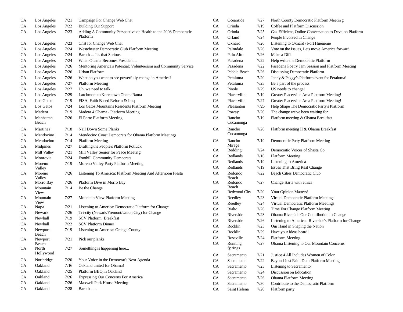| СA         | Los Angeles        | 7/21 | Campaign For Change Web Chat                                                |
|------------|--------------------|------|-----------------------------------------------------------------------------|
| CA         | Los Angeles        | 7/22 | <b>Building Our Support</b>                                                 |
| CA         | Los Angeles        | 7/23 | Adding A Community Perspective on Health to the 2008 Democratic<br>Platform |
| СA         | Los Angeles        | 7/23 | Chat for Change Web Chat                                                    |
| CA         | Los Angeles        | 7/24 | Westchester Democratic Club Platform Meeting                                |
| CA         | Los Angeles        | 7/24 | Barack  It's that Serious                                                   |
| CA         | Los Angeles        | 7/24 | When Obama Becomes President                                                |
| CA         | Los Angeles        | 7/26 | Mentoring America's Potential: Volunteerism and Community Service           |
| CA         | Los Angeles        | 7/26 | <b>Urban Platform</b>                                                       |
| CA         | Los Angeles        | 7/26 | What do you want to see powerfully change in America?                       |
| CA         | Los Angeles        | 7/27 | <b>Platform Meeting</b>                                                     |
| CA         | Los Angeles        | 7/27 | Uh, we need to talk                                                         |
| CA         | Los Angeles        | 7/29 | Larchmont to Koreatown ObamaRama                                            |
| CA         | Los Gatos          | 7/19 | FISA, Faith Based Reform & Iraq                                             |
| CA         | Los Gatos          | 7/24 | Los Gatos Mountains Residents Platform Meeting                              |
| СA         | Madera             | 7/19 | Madera 4 Obama - Platform Meeting                                           |
| СA         | Manhattan<br>Beach | 7/26 | El Porto Platform Meeting                                                   |
| СA         | Martinez           | 7/18 | Nail Down Some Planks                                                       |
| CA         | Mendocino          | 7/14 | Mendocino Coast Democrats for Obama Platform Meetings                       |
| CA         | Mendocino          | 7/14 | <b>Platform Meeting</b>                                                     |
| CA         | Midpines           | 7/27 | Drafting the People's Platform Potluck                                      |
| CA         | Mill Valley        | 7/21 | Mill Valley Senior for Peace Meeting                                        |
| СA         | Monrovia           | 7/24 | Foothill Community Democrats                                                |
| СA         | Moreno<br>Valley   | 7/19 | Moreno Valley Party Platform Meeting                                        |
| СA         | Moreno<br>Valley   | 7/26 | Listening To America: Platform Meeting And Afternoon Fiesta                 |
| СA         | Morro Bay          | 7/26 | Platform Dive in Morro Bay                                                  |
| СA         | Mountain<br>View   | 7/14 | Be the Change                                                               |
| СA         | Mountain<br>View   | 7/27 | Mountain View Platform Meeting                                              |
| СA         | Napa               | 7/21 | Listening to America: Democratic Platform for Change                        |
| CA         | Newark             | 7/26 | Tri-city (Newark/Fremont/Union City) for Change                             |
| CA         | Newhall            | 7/19 | <b>SCV Platform Breakfast</b>                                               |
| CA         | Newhall            | 7/22 | <b>SCV Platform Dinner</b>                                                  |
| СA         | Newport<br>Beach   | 7/19 | Listening to America: Orange County                                         |
| СA         | Newport<br>Beach   | 7/21 | Pick our planks                                                             |
| CA         | North<br>Hollywood | 7/27 | Something is happening here                                                 |
| CA         | Northridge         | 7/20 | Your Voice in the Democrat's Next Agenda                                    |
| CA         | Oakland            | 7/16 | Oakland united for Obama!                                                   |
| CA         | Oakland            | 7/25 | Platform BBQ in Oakland                                                     |
| CA         | Oakland            | 7/26 | Expressing Our Concerns For America                                         |
| CA         | Oakland            | 7/26 | Maxwell Park House Meeting                                                  |
| ${\rm CA}$ | Oakland            | 7/28 | Barack                                                                      |

| CA        | Oceanside           | 7/27 | North County Democratic Platform Meeting               |
|-----------|---------------------|------|--------------------------------------------------------|
| <b>CA</b> | Orinda              | 7/19 | Coffee and Platform Discussion                         |
| CA        | Orinda              | 7/25 | Gas-Efficient, Online Conversation to Develop Platform |
| CA        | Orland              | 7/24 | People Involved in Change                              |
| CA        | Oxnard              | 7/26 | Listening to Oxnard / Port Hueneme                     |
| CA        | Palmdale            | 7/26 | Vote on the Issues, Lets move America forward          |
| CA        | Palo Alto           | 7/26 | Make a Diff                                            |
| <b>CA</b> | Pasadena            | 7/22 | Help write the Democratic Platform                     |
| <b>CA</b> | Pasadena            | 7/22 | Pasadena Poetry Jam Session and Platform Meeting       |
| <b>CA</b> | Pebble Beach        | 7/26 | Discussing Democratic Platform                         |
| <b>CA</b> | Petaluma            | 7/20 | Jenny & Peggy's Platform event for Petaluma!           |
| <b>CA</b> | Petaluma            | 7/23 | Be a part of the process                               |
| CA        | Pinole              | 7/29 | US needs to change!                                    |
| <b>CA</b> | Placerville         | 7/19 | Greater Placerville Area Platform Meeting!             |
| <b>CA</b> | Placerville         | 7/27 | Greater Placerville Area Platform Meeting!             |
| <b>CA</b> | Pleasanton          | 7/26 | Help Shape The Democratic Party's Platform             |
| CA        | Poway               | 7/20 | The change we've been waiting for                      |
| CA        | Rancho<br>Cucamonga | 7/19 | Platform meeting & Obama Breakfast                     |
| <b>CA</b> | Rancho<br>Cucamonga | 7/26 | Platform meeting II & Obama Breakfast                  |
| CA        | Rancho<br>Mirage    | 7/19 | Democratic Party Platform Meeting                      |
| СA        | Redding             | 7/24 | Democratic Voices of Shasta Co.                        |
| <b>CA</b> | Redlands            | 7/16 | <b>Platform Meeting</b>                                |
| <b>CA</b> | Redlands            | 7/19 | Listening to America                                   |
| <b>CA</b> | Redlands            | 7/19 | <b>Issues That Bring Real Change</b>                   |
| СA        | Redondo<br>Beach    | 7/22 | Beach Cities Democratic Club                           |
| СA        | Redondo<br>Beach    | 7/27 | Change starts with ethics                              |
| <b>CA</b> | Redwood City        | 7/20 | Your Opinion Matters!                                  |
| CA        | Reedley             | 7/23 | Virtual Democratic Platform Meetings                   |
| CA        | Reedley             | 7/24 | Virtual Democratic Platform Meetings                   |
| CA        | Rialto              | 7/26 | Time For Change Platform Meeting                       |
| CA        | Riverside           | 7/23 | Obama Riverside Our Contribution to Change             |
| CA        | Riverside           | 7/26 | Listening to America: Riverside's Platform for Change  |
| CA        | Rocklin             | 7/23 | Our Hand in Shaping the Nation                         |
| CA        | Rocklin             | 7/29 | Have your ideas heard!                                 |
| CA        | Roseville           | 7/24 | <b>Platform Meeting</b>                                |
| CA        | Running<br>Springs  | 7/27 | Obama Listening to Our Mountain Concerns               |
| CA        | Sacramento          | 7/21 | Justice 4 All Includes Women of Color                  |
| CA        | Sacramento          | 7/22 | Beyond Just Faith Dem Platform Meeting                 |
| CA        | Sacramento          | 7/23 | Listening to Sacramento                                |
| <b>CA</b> | Sacramento          | 7/24 | Discussion on Education                                |
| <b>CA</b> | Sacramento          | 7/26 | <b>Obama Platform Meeting</b>                          |
| CA        | Sacramento          | 7/30 | Contribute to the Democratic Platform                  |
| CA        | Saint Helena        | 7/20 | Platform party                                         |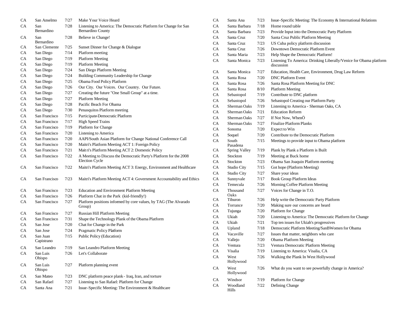| CA | San Anselmo            | 7/27   | Make Your Voice Heard                                                                      |
|----|------------------------|--------|--------------------------------------------------------------------------------------------|
| CA | San<br>Bernardino      | 7/28   | Listening to America: The Democratic Platform for Change for San<br>Bernardino County      |
| СA | San<br>Bernardino      | 7/28   | Believe in Change!                                                                         |
| CA | San Clemente           | 7/25   | Sunset Dinner for Change & Dialogue                                                        |
| CA | San Diego              | 7/14   | Platform meeting                                                                           |
| CA | San Diego              | 7/19   | <b>Platform Meeting</b>                                                                    |
| CA | San Diego              | 7/19   | <b>Platform Meeting</b>                                                                    |
| CA | San Diego              | 7/24   | San Diego Platform Meeting                                                                 |
| CA | San Diego              | 7/24   | Building Community Leadership for Change                                                   |
| CA | San Diego              | 7/25   | Obama Food Policy Platform                                                                 |
| CA | San Diego              | 7/26   | Our City. Our Voices. Our Country. Our Future.                                             |
| CA | San Diego              | 7/27   | Creating the future "One Small Group" at a time.                                           |
| CA | San Diego              | 7/27   | <b>Platform Meeting</b>                                                                    |
| CA | San Diego              | 7/28   | Pacific Beach For Obama                                                                    |
| CA | San Diego              | 7/30   | Penasquitos Platform meeting                                                               |
| CA | San Francisco          | 7/15   | Participate Democratic Platform                                                            |
| CA | San Francisco          | 7/17   | <b>High Speed Trains</b>                                                                   |
| CA | San Francisco          | 7/19   | Platform for Change                                                                        |
| CA | San Francisco          | 7/20   | Listening to America                                                                       |
| CA | San Francisco          | 7/20   | AAPI/South Asian Platform for Change National Conference Call                              |
| CA | San Francisco          | 7/20   | Maitri's Platform Meeting ACT 1: Foreign Policy                                            |
| CA | San Francisco          | 7/21   | Mait ri's Platform Meeting ACT 2: Domestic Policy                                          |
| CA | San Francisco          | 7/22   | A Meeting to Discuss the Democratic Party's Platform for the 2008<br><b>Election Cycle</b> |
| СA | San Francisco          | 7/22   | Maitri's Platform Meeting ACT 3: Energy, Environment and Healthcare                        |
| СA | San Francisco          | 7/23   | Maitri's Platform Meeting ACT 4: Government Accountability and Ethics                      |
| СA | San Francisco          | 7/23   | <b>Education and Environment Platform Meeting</b>                                          |
| CA | San Francisco          | 7/26   | Platform Chat in the Park (kid-friendly!)                                                  |
| CA | San Francisco          | 7/27   | Platform positions informed by core values, by TAG (The Alvarado<br>Group)                 |
| СA | San Francisco          | 7/27   | <b>Russian Hill Platform Meeting</b>                                                       |
| CA | San Francisco          | 7/31   | Shape the Technology Plank of the Obama Platform                                           |
| СA | San Jose               | 7/20   | Chat for Change in the Park                                                                |
| СA | San Jose               | 7/24   | Pragmatic Policy Platform                                                                  |
| CA | San Juan<br>Capistrano | 7/15   | Public Policy (Education)                                                                  |
| CA | San Leandro            | 7/19   | San Leandro Platform Meeting                                                               |
| CA | San Luis<br>Obispo     | 7/26   | Let's Collaborate                                                                          |
| CA | San Luis<br>Obispo     | 7/27   | Platform planning event                                                                    |
| CA | San Mateo              | 7/23   | DNC platform peace plank - Iraq, Iran, and torture                                         |
| CA | San Rafael             | $7/27$ | Listening to San Rafael: Platform for Change                                               |
| CA | Santa Ana              | 7/21   | Issue-Specific Meeting: The Environment & Healthcare                                       |
|    |                        |        |                                                                                            |

| CA | Santa Ana         | 7/23 | Issue-Specific Meeting: The Economy & International Relations                    |
|----|-------------------|------|----------------------------------------------------------------------------------|
| CA | Santa Barbara     | 7/18 | Home round table                                                                 |
| CA | Santa Barbara     | 7/23 | Provide Input into the Democratic Party Platform                                 |
| CA | Santa Cruz        | 7/20 | Santa Cruz Public Platform Meeting                                               |
| CA | Santa Cruz        | 7/23 | US Cuba policy platform discussion                                               |
| CA | Santa Cruz        | 7/26 | Downtown Democratic Platform Event                                               |
| CA | Santa Maria       | 7/23 | Help Shape the Democratic Platform!                                              |
| CA | Santa Monica      | 7/23 | Listening To America: Drinking Liberally/Venice for Obama platform<br>discussion |
| CA | Santa Monica      | 7/27 | Education, Health Care, Environment, Drug Law Reform                             |
| CA | Santa Rosa        | 7/20 | <b>DNC Platform Event</b>                                                        |
| CA | Santa Rosa        | 7/26 | Santa Rosa Platform Meeting for DNC                                              |
| CA | Santa Rosa        | 8/10 | <b>Platform Meeting</b>                                                          |
| CA | Sebastopol        | 7/19 | Contribute to DNC platform                                                       |
| CA | Sebastopol        | 7/26 | Sebastopol Creating our Platform Party                                           |
| CA | Sherman Oaks      | 7/19 | Listening to America - Sherman Oaks, CA                                          |
| CA | Sherman Oaks      | 7/21 | <b>Education Reform</b>                                                          |
| CA | Sherman Oaks      | 7/27 | If Not Now, WhenO                                                                |
| CA | Sherman Oaks      | 7/27 | <b>Finalize Platform Planks</b>                                                  |
| CA | Sonoma            | 7/20 | Expect to Win                                                                    |
| CA | Soquel            | 7/20 | Contribute to the Democratic Platform                                            |
| CA | South<br>Pasadena | 7/15 | Meetings to provide input to Obama platform                                      |
| CA | Spring Valley     | 7/19 | Plank by Plank a Platform is Built                                               |
| CA | Stockton          | 7/19 | Meeting at Buck home                                                             |
| CA | Stockton          | 7/23 | Obama San Joaquin Platform meeting                                               |
| CA | Studio City       | 7/15 | Got hope (Platform Meeting)                                                      |
| CA | Studio City       | 7/27 | Share your ideas                                                                 |
| CA | Sunnyvale         | 7/17 | Book Group Platform Ideas                                                        |
| CA | Temecula          | 7/26 | Morning Coffee Platform Meeting                                                  |
| CA | Thousand<br>Oaks  | 7/27 | Voices for Change in T.O.                                                        |
| CA | Tiburon           | 7/26 | Help write the Democratic Party Platform                                         |
| CA | Torrance          | 7/20 | Making sure our concerns are heard                                               |
| CA | Tujunga           | 7/20 | Platform for Change                                                              |
| CA | Ukiah             | 7/20 | Listening to America: The Democratic Platform for Change                         |
| CA | Ukiah             | 7/21 | Top ten issues for Ukiah's progressives                                          |
| CA | Upland            | 7/18 | Democratic Platform Meeting/SanBWomen for Obama                                  |
| CA | Vacaville         | 7/27 | Issues that matter, neighbors who care                                           |
| CA | Vallejo           | 7/20 | <b>Obama Platform Meeting</b>                                                    |
| СA | Ventura           | 7/23 | Ventura Democratic Platform Meeting                                              |
| CA | Visalia           | 7/19 | Listening to America: Visalia, CA                                                |
| CA | West<br>Hollywood | 7/26 | Walking the Plank In West Hollywood                                              |
| CA | West<br>Hollywood | 7/26 | What do you want to see powerfully change in America?                            |
| CA | Windsor           | 7/19 | Platform for Change                                                              |
| CA | Woodland<br>Hills | 7/22 | Defining Change                                                                  |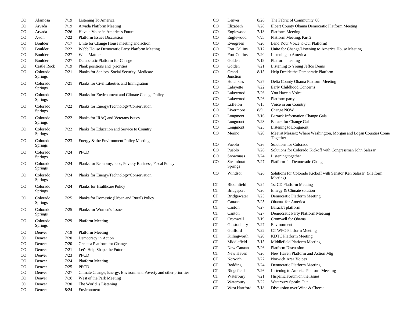| $_{\rm CO}$     | Alamosa                    | 7/19 | Listening To America                                              | $_{\rm CO}$        | Denver         | 8/26   | The Fabric of Community '08                                       |
|-----------------|----------------------------|------|-------------------------------------------------------------------|--------------------|----------------|--------|-------------------------------------------------------------------|
| <sub>CO</sub>   | Arvada                     | 7/19 | Arvada Platform Meeting                                           | $_{\rm CO}$        | Elizabeth      | 7/28   | Elbert County Obama Democratic Platform Meeting                   |
| <sub>CO</sub>   | Arvada                     | 7/26 | Have a Voice in America's Future                                  | $_{\rm CO}$        | Englewood      | 7/13   | <b>Platform Meeting</b>                                           |
| <sub>CO</sub>   | Avon                       | 7/22 | <b>Platform Issues Discussion</b>                                 | $_{\rm CO}$        | Englewood      | 7/25   | Platform Meeting, Part 2                                          |
| <sub>CO</sub>   | Boulder                    | 7/17 | Unite for Change House meeting and action                         | $\rm CO$           | Evergreen      | 7/20   | Lend Your Voice to Our Platform!                                  |
| CO <sub>1</sub> | Boulder                    | 7/22 | Webb House Democratic Party Platform Meeting                      | $_{\rm CO}$        | Fort Collins   | 7/12   | Unite for Change/Listening to America House Meeting               |
| CO <sub>1</sub> | Boulder                    | 7/27 | <b>What Matters</b>                                               | $_{\rm CO}$        | Fort Collins   | 7/20   | Listening to America                                              |
| CO <sub>1</sub> | Boulder                    | 7/27 | Democratic Platform for Change                                    | $_{\rm CO}$        | Golden         | 7/19   | Platform meeting                                                  |
| <sub>CO</sub>   | Castle Rock                | 7/19 | Plank positions and priorities                                    | CO                 | Golden         | 7/21   | Listening to Young Jeffco Dems                                    |
| $_{\rm CO}$     | Colorado                   | 7/21 | Planks for Seniors, Social Security, Medicare                     | $_{\rm CO}$        | Grand          | 8/15   | Help Decide the Democratic Platform                               |
|                 | Springs                    |      |                                                                   |                    | Junction       |        |                                                                   |
| $_{\rm CO}$     | Colorado                   | 7/21 | Planks for Civil Liberties and Immigration                        | $_{\rm CO}$        | Hotchkiss      | 7/27   | Delta County Obama Platform Meeting                               |
|                 | Springs                    |      |                                                                   | $_{\rm CO}$        | Lafayette      | 7/22   | Early Childhood Concerns                                          |
| CO.             | Colorado                   | 7/21 | Planks for Environment and Climate Change Policy                  | $_{\rm CO}$        | Lakewood       | 7/26   | You Have a Voice                                                  |
|                 | <b>Springs</b>             |      |                                                                   | $_{\rm CO}$        | Lakewood       | 7/26   | Platform party                                                    |
| $_{\rm CO}$     | Colorado                   | 7/22 |                                                                   | $\rm CO$           | Littleton      | 7/15   | Voice in our Country                                              |
|                 | <b>Springs</b>             |      | Planks for Energy/Technology/Conservation                         | $_{\rm CO}$        | Livermore      | 8/9    | Change NOW                                                        |
|                 |                            |      |                                                                   | $\rm CO$           | Longmont       | 7/16   | Barrack Information Change Gala                                   |
| $_{\rm CO}$     | Colorado<br><b>Springs</b> | 7/22 | Planks for IRAQ and Veterans Issues                               | $_{\rm CO}$        | Longmont       | 7/23   | Barack for Change Gala                                            |
|                 |                            |      |                                                                   | $_{\rm CO}$        | Longmont       | 7/23   | Listening to Longmont                                             |
| $_{\rm CO}$     | Colorado<br><b>Springs</b> | 7/22 | Planks for Education and Service to Country                       | CO                 | Merino         | 7/20   | Meet at Messex: Where Washington, Morgan and Logan Counties Come  |
|                 |                            |      |                                                                   |                    |                |        | Together                                                          |
| $_{\rm CO}$     | Colorado<br><b>Springs</b> | 7/23 | Energy & the Environment Policy Meeting                           | $_{\rm CO}$        | Pueblo         | 7/26   | Solutions for Colorado                                            |
|                 |                            |      |                                                                   | $_{\rm CO}$        | Pueblo         | 7/26   | Solutions for Colorado Kickoff with Congressman John Salazar      |
| $_{\rm CO}$     | Colorado                   | 7/24 | PFCD                                                              | $_{\rm CO}$        | Snowmass       | 7/24   | Listening together                                                |
|                 | <b>Springs</b>             |      |                                                                   | $_{\rm CO}$        | Steamboat      | 7/27   | Platform for Democratic Change                                    |
| $_{\rm CO}$     | Colorado                   | 7/24 | Planks for Economy, Jobs, Poverty Business, Fiscal Policy         |                    | <b>Springs</b> |        |                                                                   |
|                 | Springs                    |      |                                                                   | $_{\rm CO}$        | Windsor        | 7/26   | Solutions for Colorado Kickoff with Senator Ken Salazar (Platform |
| $_{\rm CO}$     | Colorado                   | 7/24 | Planks for Energy/Technology/Conservation                         |                    |                |        | Meeting)                                                          |
|                 | <b>Springs</b>             |      |                                                                   | CT                 | Bloomfield     | 7/24   | 1st CD Platform Meeting                                           |
| CO <sub>1</sub> | Colorado                   | 7/24 | Planks for Healthcare Policy                                      | CT                 |                | 7/20   | Energy & Climate solution                                         |
|                 | <b>Springs</b>             |      |                                                                   |                    | Bridgeport     |        |                                                                   |
| $_{\rm CO}$     | Colorado                   | 7/25 | Planks for Domestic (Urban and Rural) Policy                      | CT                 | Bridgewater    | 7/23   | Democratic Platform Meeting                                       |
|                 | <b>Springs</b>             |      |                                                                   | CT                 | Canaan         | 7/25   | Obama for America                                                 |
| $_{\rm CO}$     | Colorado                   | 7/25 | Planks for Women's' Issues                                        | ${\cal C}{\cal T}$ | Canton         | 7/27   | Barack's platform                                                 |
|                 | <b>Springs</b>             |      |                                                                   | CT                 | Canton         | 7/27   | Democratic Party Platform Meeting                                 |
| <sub>CO</sub>   | Colorado                   | 7/29 | <b>Platform Meeting</b>                                           | CT                 | Cromwell       | 7/19   | Cromwell for Obama                                                |
|                 | <b>Springs</b>             |      |                                                                   | CT                 | Glastonbury    | 7/27   | Environment                                                       |
| <sub>CO</sub>   | Denver                     | 7/19 | <b>Platform Meeting</b>                                           | CT                 | Guilford       | 7/22   | CT WFO Platform Meeting                                           |
| <sub>CO</sub>   | Denver                     | 7/20 | Democracy in Action                                               | CT                 | Killingworth   | 7/20   | <b>KDTC Platform Meeting</b>                                      |
| <sub>CO</sub>   | Denver                     | 7/20 | Create a Platform for Change                                      | CT                 | Middlefield    | 7/15   | Middlefield Platform Meeting                                      |
| $_{\rm CO}$     | Denver                     | 7/21 | Let's Help Shape the Future                                       | ${\cal C}{\cal T}$ | New Canaan     | $7/26$ | <b>Platform Discussion</b>                                        |
| <sub>CO</sub>   | Denver                     | 7/23 | <b>PFCD</b>                                                       | CT                 | New Haven      | 7/26   | New Haven Platform and Action Mtg                                 |
| <sub>CO</sub>   | Denver                     | 7/24 | <b>Platform Meeting</b>                                           | CT                 | Norwich        | 7/22   | Norwich Area Voices                                               |
| <sub>CO</sub>   | Denver                     | 7/25 | <b>PFCD</b>                                                       | CT                 | Redding        | 7/24   | Democratic Platform Meeting                                       |
| <sub>CO</sub>   | Denver                     | 7/27 | Climate Change, Energy, Environment, Poverty and other priorities | CT                 | Ridgefield     | 7/26   | Listening to America Platform Meet ing                            |
| <sub>CO</sub>   | Denver                     | 7/28 | West of the Park Meeting                                          | CT                 | Waterbury      | 7/21   | Hispanic Forum on the Issues                                      |
| <sub>CO</sub>   | Denver                     | 7/30 | The World is Listening                                            | CT                 | Waterbury      | 7/22   | Waterbury Speaks Out                                              |
| <sub>CO</sub>   | Denver                     | 8/24 | Environment                                                       | CT                 | West Hartford  | 7/18   | Discussion over Wine & Cheese                                     |
|                 |                            |      |                                                                   |                    |                |        |                                                                   |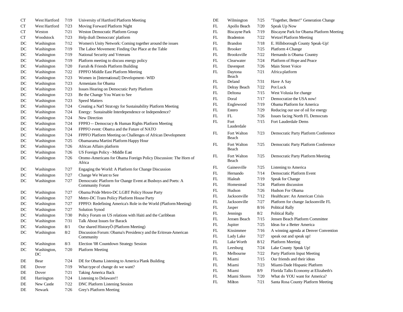| CT | West Hartford | 7/19 | University of Hartford Platform Meeting                                     | D)                           |
|----|---------------|------|-----------------------------------------------------------------------------|------------------------------|
| CT | West Hartford | 7/23 | Moving Forward Platform Night                                               | F1                           |
| CT | Weston        | 7/21 | Weston Democratic Platform Group                                            | $_{\rm{FI}}$                 |
| CT | Woodstock     | 7/23 | Help draft Democrats' platform                                              | $_{\rm{FI}}$                 |
| DC | Washington    | 7/12 | Women's Unity Network: Coming together around the issues                    | $_{\rm{FI}}$                 |
| DC | Washington    | 7/19 | The Labor Movement: Finding Our Place at the Table                          | F1                           |
| DC | Washington    | 7/19 | National Security and Veterans                                              | $_{\rm{FI}}$                 |
| DC | Washington    | 7/19 | Platform meeting to discuss energy policy                                   | FI                           |
| DC | Washington    | 7/20 | Farrah & Friends Platform Building                                          | $_{\rm{FI}}$                 |
| DC | Washington    | 7/22 | FPPFO Middle East Platform Meeting                                          | $_{\rm{FI}}$                 |
| DC | Washington    | 7/23 | Women in [International] Development - WID                                  |                              |
| DC | Washington    | 7/23 | Armenians for Obama                                                         | $_{\rm{FI}}$                 |
| DC | Washington    | 7/23 | Issues Hearing on Democratic Party Platform                                 | $_{\rm{FI}}$                 |
| DC | Washington    | 7/23 | Be the Change You Want to See                                               | $_{\rm{FI}}$                 |
| DC | Washington    | 7/23 | <b>Speed Matters</b>                                                        | $_{\rm{FI}}$                 |
| DC | Washington    | 7/24 | Creating a Nat'l Strat egy for Sustainability Platform Meeting              | $_{\rm{FI}}$                 |
| DC | Washington    | 7/24 | Energy: Sustainable Interdependence or Independence?                        | F1                           |
| DC | Washington    | 7/24 | New Direction                                                               | FI                           |
| DC | Washington    | 7/24 | FPPfO -- Democracy & Human Rights Platform Meeting                          | FI                           |
| DC | Washington    | 7/24 | FPPFO event: Obama and the Future of NATO                                   |                              |
| DC | Washington    | 7/24 | FPPFO Platform Meeting on Challenges of African Development                 | F1                           |
| DC | Washington    | 7/25 | Obamarama Martini Platform Happy Hour                                       |                              |
| DC | Washington    | 7/26 | African Affairs platform                                                    | $_{\rm{FI}}$                 |
| DC | Washington    | 7/26 | US Foreign Policy - Middle East                                             |                              |
| DC | Washington    | 7/26 | Oromo-Americans for Obama Foreign Policy Discussion: The Horn of<br>Africa  | $_{\rm{FI}}$                 |
| DC | Washington    | 7/27 | Engaging the World: A Platform for Change Discussion                        | FI                           |
| DC | Washington    | 7/27 | Change We Want to See                                                       | $_{\rm{FI}}$                 |
| DC | Washington    | 7/27 | Democratic Platform for Change Event at Busboys and Poets: A                | $_{\rm{FI}}$                 |
|    |               |      | <b>Community Forum</b>                                                      | $_{\rm{FI}}$                 |
| DC | Washington    | 7/27 | Obama Pride Metro-DC LGBT Policy House Party                                | $_{\rm{FI}}$                 |
| DC | Washington    | 7/27 | Metro-DC Trans Policy Platform House Party                                  | $_{\rm{FI}}$                 |
| DC | Washington    | 7/27 | FPPFO: Redefining America's Role in the World (Platform Meeting)            | $_{\rm{FI}}$                 |
| DC | Washington    | 7/27 | Solution Synod                                                              | $_{\rm{FI}}$                 |
| DC | Washington    | 7/30 | Policy Forum on US relations with Haiti and the Caribbean                   | FI                           |
| DC | Washington    | 7/31 | <b>Talk About Issues for Barack</b>                                         | FI                           |
| DC | Washington    | 8/1  | Our shared HistoryÖ (Platform Meeting)                                      | $_{\rm{FI}}$                 |
| DC | Washington    | 8/2  | Discussion Forum: Obama's Presidency and the Eritrean-American<br>Community | $_{\rm{FI}}$<br>$_{\rm{FI}}$ |
| DC | Washington    | 8/3  | Election '08 Countdown Strategy Session                                     | $_{\rm{FI}}$                 |
| DC | Washington,   | 7/20 | <b>Platform Meeting</b>                                                     | $\overline{\rm H}$           |
|    | DC            |      |                                                                             | FI                           |
| DE | Bear          | 7/24 | DE for Obama Listening to America Plank Building                            | FI                           |
| DE | Dover         | 7/19 | What type of change do we want?                                             | F1                           |
| DE | Dover         | 7/21 | Taking America Back                                                         | F1                           |
| DE | Harrington    | 7/24 | Listening to Delaware!!                                                     | $_{\rm{FI}}$                 |
| DE | New Castle    | 7/22 | <b>DNC Platform Listening Session</b>                                       | F1                           |
| DE | Newark        | 7/26 | Grey's Platform Meeting                                                     |                              |
|    |               |      |                                                                             |                              |

| DE         | Wilmington           | 7/25         | "Together, Better!" Generation Change                               |
|------------|----------------------|--------------|---------------------------------------------------------------------|
| FL         | Apollo Beach         | 7/20         | Speak Up Now                                                        |
| FL         | <b>Biscayne Park</b> | 7/19         | Biscayne Park for Obama Platform Meeting                            |
| FL.        | <b>Bradenton</b>     | 7/22         | <b>Wetzel Platform Meeting</b>                                      |
| FL         | <b>Brandon</b>       | 7/18         | E. Hillsborough County Speak-Up!                                    |
| FL         | <b>Brooker</b>       | 7/25         | Platform 4 Change                                                   |
| FL         | <b>Brooksville</b>   | 7/22         | Hernando is Obama Country                                           |
| FL.        | Clearwater           | 7/24         | Platform of Hope and Peace                                          |
| FL         | Davenport            | 7/26         | Main Street Voice                                                   |
| FL         | Daytona<br>Beach     | 7/21         | Africa platform                                                     |
| FL         | Deland               | 7/31         | Have A Say                                                          |
| FL         | Delray Beach         | 7/22         | Pot Luck                                                            |
| FL         | Deltona              | 7/15         | West Volusia for change                                             |
| FL.        | Doral                | 7/17         | Democratize the USA now!                                            |
| FL         | Englewood            | 7/19         | Obama Platform for America                                          |
| FL         | Estero               | 7/29         | Reducing our use of oil for energy                                  |
| FL         | FL.                  | 7/26         | Issues facing North FL Democrats                                    |
| FL         | Fort<br>Lauderdale   | 7/15         | Fort Lauderdale Dems                                                |
| FL         | Fort Walton<br>Beach | 7/23         | Democratic Party Platform Conference                                |
| FL         | Fort Walton<br>Beach | 7/25         | Democratic Party Platform Conference                                |
|            |                      |              |                                                                     |
| FL         | Fort Walton<br>Beach | 7/25         | Democratic Party Platform Meeting                                   |
| FL.        | Gainesville          | 7/25         | Listening to America                                                |
| FL.        | Hernando             | 7/14         | Democratic Platform Event                                           |
| FL.        | Hialeah              | 7/19         | Speak for Change                                                    |
| FL         | Homestead            | 7/24         | Platform discussion                                                 |
| FL.        | Hudson               | 7/26         | Hudson For Obama                                                    |
| FL         | Jacksonville         | 7/12         | Healthcare: An American Crisis                                      |
| FL         | Jacksonville         | 7/27         | Platform for change Jacksonville FL                                 |
| FL         | Jasper               | 8/16         | <b>Political Rally</b>                                              |
| FL         | Jennings             | 8/2          | Political Rally                                                     |
| FL         | Jensen Beach         | 7/15         | Jensen Beach Platform Committee                                     |
| FL         | Jupiter              | 7/25         | Ideas for a Better America                                          |
| FL         | Kissimmee            | 7/16         | A winning agenda at Denver Convention                               |
| FL         | Lady Lake            | 7/27         | speak out and speak up!                                             |
| FL         | Lake Worth           | 8/12         | <b>Platform Meeting</b>                                             |
| FL         | Leesburg             | 7/24         | Lake County Speak Up!                                               |
| FL         | Melbourne            | 7/22         | Party Platform Input Meeting                                        |
| FL         | Miami                | 7/15         | Our friends and their ideas                                         |
| ${\rm FL}$ | Miami                | 7/23         | Miami-Dade Hispanic Platform                                        |
| ${\rm FL}$ | Miami                | 8/9          | Florida Talks Economy at Elizabeth's                                |
| FL<br>FL   | Miami Shores         | 7/20<br>7/21 | What do YOU want for America?<br>Santa Rosa County Platform Meeting |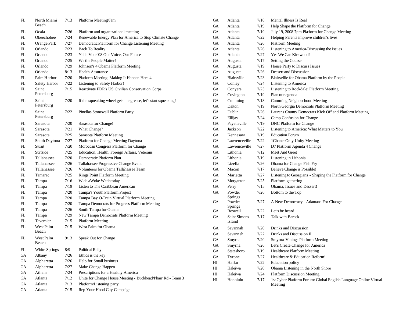| FL         | North Miami<br>Beach | 7/13 | Platform Meeting/Jam                                           |
|------------|----------------------|------|----------------------------------------------------------------|
| FL         | Ocala                | 7/26 | Platform and organizational meeting                            |
| FL         | Okeechobee           | 7/24 | Renewable Energy Plan for America to Stop Climate Change       |
| FL         | Orange Park          | 7/27 | Democratic Plat form for Change Listening Meeting              |
| FL         | Orlando              | 7/23 | <b>Back To Reality</b>                                         |
| FL         | Orlando              | 7/23 | Yalla Vote '08 Our Voice, Our Future                           |
| FL         | Orlando              | 7/25 | We the People Matter!                                          |
| FL         | Orlando              | 7/29 | Johnson's 4 Obama Platform Meeting                             |
| FL         | Orlando              | 8/13 | <b>Health Assurance</b>                                        |
| FL         | Palm Harbor          | 7/20 | Platform Meeting: Making It Happen Here 4                      |
| FL         | Safety Harbor        | 7/22 | Listening to Safety Harbor!                                    |
| FL         | Saint<br>Petersburg  | 7/15 | Reactivate FDR's US Civilian Conservation Corps                |
| FL         | Saint<br>Petersburg  | 7/20 | If the squeaking wheel gets the grease, let's start squeaking! |
| FL         | Saint<br>Petersburg  | 7/22 | Pinellas Stonewall Platform Party                              |
| FL         | Sarasota             | 7/20 | Sarasota for Change!                                           |
| FL         | Sarasota             | 7/21 | What Change?                                                   |
| FL         | Sarasota             | 7/25 | Sarasota Platform Meeting                                      |
| FL         | South Daytona        | 7/27 | Platform for Change Meeting Daytona                            |
| FL         | Stuart               | 7/20 | Moroccan Congress Platform for Change                          |
| FL         | Surfside             | 7/25 | Education, Health, Foreign Affairs, Veterans                   |
| FL         | Tallahassee          | 7/20 | Democratic Platform Plan                                       |
| FL         | Tallahassee          | 7/26 | Tallahassee Progressive Change Event                           |
| FL         | Tallahassee          | 7/26 | Volunteers for Obama Tallahassee Team                          |
| FL         | Tamarac              | 7/25 | Kings Point Platform Meeting                                   |
| FL         | Tampa                | 7/16 | Wide aWoke Wednesday                                           |
| FL         | Tampa                | 7/19 | Listen to The Caribbean American                               |
| FL         | Tampa                | 7/20 | Tampa's Youth Platform Project                                 |
| FL         | Tampa                | 7/20 | Tampa Bay O-Train Virtual Platform Meeting                     |
| FL         | Tampa                | 7/20 | Tampa Democrats for Progress Platform Meeting                  |
| FL         | Tampa                | 7/26 | South Tampa for Obama                                          |
| FL         | Tampa                | 7/29 | New Tampa Democrats Platform Meeting                           |
| FL         | Tavernier            | 7/15 | <b>Platform Meeting</b>                                        |
| FL         | West Palm<br>Beach   | 7/15 | West Palm for Obama                                            |
| FL         | West Palm<br>Beach   | 9/13 | Speak Out for Change                                           |
| FL         | White Springs        | 8/9  | <b>Political Rally</b>                                         |
| ${\rm GA}$ | Albany               | 7/26 | Ethics is the key                                              |
| GA         | Alpharetta           | 7/26 | Help for Small business                                        |
| GA         | Alpharetta           | 7/27 | Make Change Happen                                             |
| GA         | Athens               | 7/24 | Prescriptions for a Healthy America                            |
| GA         | Atlanta              | 7/12 | Unite for Change House Meeting - Buckhead/Pharr Rd.- Team 3    |
| GA         | Atlanta              | 7/13 | Platform/Listening party                                       |
| GA         | Atlanta              | 7/15 | Rep Your Hood City Campaign                                    |

| GА | Atlanta                       | 7/18 | Mental Illness Is Real                                                      |
|----|-------------------------------|------|-----------------------------------------------------------------------------|
| GА | Atlanta                       | 7/19 | Help Shape the Platform for Change                                          |
| GА | Atlanta                       | 7/19 | July 19, 2008 7pm Platform for Change Meeting                               |
| GA | Atlanta                       | 7/22 | Helping Parents improve children's lives                                    |
| GA | Atlanta                       | 7/26 | <b>Platform Meeting</b>                                                     |
| GА | Atlanta                       | 7/26 | Listening to America-Discussing the Issues                                  |
| GA | Atlanta                       | 7/27 | Yes We Can Kirkwood!                                                        |
| GА | Augusta                       | 7/17 | Setting the Course                                                          |
| GA | Augusta                       | 7/19 | House Party to Discuss Issues                                               |
| GА | Augusta                       | 7/26 | Dessert and Discussion                                                      |
| GА | Blairsville                   | 7/23 | Blairsville for Obama Platform by the People                                |
| GA | Conley                        | 7/24 | Listening to America                                                        |
| GA | Conyers                       | 7/23 | Listening to Rockdale: Platform Meeting                                     |
| GА | Covington                     | 7/19 | Plan our agenda                                                             |
| GA | Cumming                       | 7/18 | Cumming Neighborhood Meeting                                                |
| GА | Dalton                        | 7/19 | North Georgia Democrats Platform Meeting                                    |
| GA | Dublin                        | 7/26 | Laurens County Democrats Kick Off and Platform Meeting                      |
| GA | Ellijay                       | 7/24 | Camp Confusion for Change                                                   |
| GА | Fayetteville                  | 7/19 | DNC Platform for Change                                                     |
| GA | Jackson                       | 7/22 | Listening to America: What Matters to You                                   |
| GA | Kennesaw                      | 7/19 | <b>Education Forum</b>                                                      |
| GА | Lawrenceville                 | 7/22 | 1ChanceOnly Unity Meeting                                                   |
| GА | Lawrenceville                 | 7/27 | D7 Platform Agenda 4 Change                                                 |
| GA | Lithonia                      | 7/12 | Meet And Greet                                                              |
| GA | Lithonia                      | 7/19 | Listening in Lithonia                                                       |
| GA | Lizella                       | 7/26 | Obama for Change Fish Fry                                                   |
| GA | Macon                         | 7/17 | Believe Change is Possible!                                                 |
| GA | Marietta                      | 7/27 | Listening to Georgians - Shaping the Platform for Change                    |
| GA | Morganton                     | 7/25 | Platform gathering                                                          |
| GА | Perry                         | 7/15 | Obama, Issues and Dessert!                                                  |
| GА | Powder<br><b>Springs</b>      | 7/26 | Bottom to the Top                                                           |
| GА | Powder<br><b>Springs</b>      | 7/27 | A New Democracy - Atlantans For Change                                      |
| GА | Roswell                       | 7/22 | Let's be heard                                                              |
| GА | <b>Saint Simons</b><br>Island | 7/17 | Talk with Barack                                                            |
| GA | Savannah                      | 7/20 | Drinks and Discussion                                                       |
| GA | Savannah                      | 7/22 | Drinks and Discussion II                                                    |
| GА | Smyrna                        | 7/20 | Smyrna-Vinings Platform Meeting                                             |
| GА | Smyrna                        | 7/26 | Let's Create Change for America                                             |
| GA | Statesboro                    | 7/19 | Healthcare Platform Meeting                                                 |
| GA | Tyrone                        | 7/27 | Healthcare & Education Reform!                                              |
| H  | Haiku                         | 7/22 | <b>Education</b> policy                                                     |
| H  | Haleiwa                       | 7/20 | Obama Listening in the North Shore                                          |
| H  | Haleiwa                       | 7/24 | <b>Platform Discussion Meeting</b>                                          |
| H  | Honolulu                      | 7/17 | 1st Cyber Platform Forum: Global English Language Online Virtual<br>Meeting |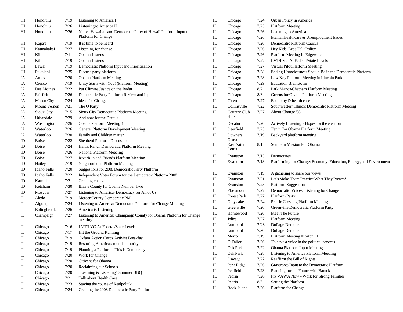| HI | Honolulu           | 7/19 | Listening to America I                                               | $\rm IL$                        | Chicago          | 7/24   | Urban Policy in America                                                         |
|----|--------------------|------|----------------------------------------------------------------------|---------------------------------|------------------|--------|---------------------------------------------------------------------------------|
| HI | Honolulu           | 7/26 | Listening to America II                                              | $\rm IL$                        | Chicago          | 7/25   | <b>Platform Meeting</b>                                                         |
| HI | Honolulu           | 7/26 | Native Hawaiian and Democratic Party of Hawaii Platform Input to     | IL                              | Chicago          | 7/26   | Listening to America                                                            |
|    |                    |      | Platform for Change                                                  | IL                              | Chicago          | 7/26   | Mental Healthcare & Unemployment Issues                                         |
| HI | Kapa'a             | 7/19 | It is time to be heard                                               | IL                              | Chicago          | 7/26   | Democratic Platform Caucus                                                      |
| HI | Kaunakakai         | 7/27 | Listening for change                                                 | $\rm IL$                        | Chicago          | 7/26   | Hey Kids, Let's Talk Policy                                                     |
| HI | Kihei              | 7/1  | Obama Listens                                                        | $\rm IL$                        | Chicago          | 7/26   | Platform Meeting in Edgewater                                                   |
| HI | Kihei              | 7/19 | Obama Listens                                                        | $\rm IL$                        | Chicago          | 7/27   | LVT/LVC At Federal/State Levels                                                 |
| HI | Lawai              | 7/19 | Democratic Platform Input and Prioritization                         | $\rm IL$                        | Chicago          | 7/27   | Virtual Pilot Platform Meeting                                                  |
| HI | Pukalani           | 7/25 | Discuss party platform                                               | IL                              | Chicago          | 7/28   | Ending Homelessness Should Be in the Democratic Platform                        |
| IA | Ames               | 7/20 | <b>Obama Platform Meeting</b>                                        | IL                              | Chicago          | 7/28   | Low Key Platform Meeting in Lincoln Park                                        |
| IA | Cresco             | 7/19 | Unity Starts with You! (Platform Meeting)                            | IL                              | Chicago          | 7/29   | <b>Education Brainstorm</b>                                                     |
| IA | Des Moines         | 7/22 | Put Climate Justice on the Radar                                     | IL                              | Chicago          | 8/2    | Park Manor-Chatham Platform Meeting                                             |
| IA | Fairfield          | 7/26 | Democratic Party Platform Review and Input                           | $\rm IL$                        | Chicago          | 8/3    | Greens for Obama Platform Meeting                                               |
| IA | <b>Mason City</b>  | 7/24 | Ideas for Change                                                     | $\rm IL$                        | Cicero           | 7/27   | Economy & health care                                                           |
| IA | Mount Vernon       | 7/21 | The O Party                                                          | $\rm IL$                        | Collinsville     | 7/22   | Southwestern Illinois Democratic Platform Meeting                               |
|    | <b>Sioux City</b>  | 7/15 | Sioux City Democratic Platform Meeting                               | $\mathop{\mathrm{IL}}\nolimits$ | Country Club     | 7/27   | About Change 08                                                                 |
| IA | Urbandale          | 7/29 | And now for the Details                                              |                                 | Hills            |        |                                                                                 |
| IA |                    | 7/26 | Obama Platform Meeting!!                                             | IL                              | Decatur          | 7/20   |                                                                                 |
| IA | Washington         |      |                                                                      |                                 | Deerfield        | 7/23   | Actively Listening - Hopes for the election<br>Tenth For Obama Platform Meeting |
| IA | Waterloo           | 7/26 | General Platform Development Meeting                                 | IL                              |                  | 7/19   |                                                                                 |
| IA | Waterloo           | 7/30 | Family and Children matter                                           | IL                              | Downers<br>Grove |        | Backyard platform meeting                                                       |
| ID | Boise              | 7/22 | Shepherd Platform Discussion                                         | IL                              | East Saint       | 8/1    | Southern Mission For Obama                                                      |
| ID | Boise              | 7/24 | Harris Ranch Democratic Platform Meeting                             |                                 | Louis            |        |                                                                                 |
| ID | Boise              | 7/26 | National Platform Meet ing                                           | IL                              | Evanston         | 7/15   | Democrates                                                                      |
| ID | Boise              | 7/27 | RiverRun and Friends Platform Meeting                                | IL                              | Evanston         | 7/18   | Platforming for Change: Economy, Education, Energy, and Environment             |
| ID | Hailey             | 7/19 | Neighborhood Platform Meeting                                        |                                 |                  |        |                                                                                 |
| ID | Idaho Falls        | 7/20 | Suggestions for 2008 Democratic Party Platform                       | IL                              | Evanston         | 7/19   | A gathering to share our views                                                  |
| ID | <b>Idaho Falls</b> | 7/22 | Independent Voter Forum for the Democratic Platform 2008             | IL                              | Evanston         | 7/21   | Let's Make Them Practice What They Preach!                                      |
| ID | Kamiah             | 7/21 | Creating change                                                      | IL                              | Evanston         | 7/25   | <b>Platform Suggestions</b>                                                     |
| ID | Ketchum            | 7/30 | Blaine County for Obama Number Two                                   | IL                              | Flossmoor        | 7/27   | Democratic Voices: Listening for Change                                         |
| ID | Moscow             | 7/27 | Listening to America-Democracy for All of Us                         | IL                              | Forest Park      | 7/27   | <b>Platform Party</b>                                                           |
| IL | Aledo              | 7/19 | Mercer County Democratic PM                                          | $\rm IL$                        | Grayslake        | 7/24   |                                                                                 |
| IL | Algonquin          | 7/24 | Listening to America: Democratic Platform for Change Meeting         | $\rm IL$                        | Greenville       | 7/20   | Prairie Crossing Platform Meeting<br>Greenville Democratic Platform Party       |
| IL | Bolingbrook        | 7/26 | America is Listening                                                 |                                 |                  |        |                                                                                 |
| IL | Champaign          | 7/27 | Listening to America: Champaign County for Obama Platform for Change | $\rm IL$                        | Homewood         | 7/26   | Meet The Future                                                                 |
|    |                    |      | meeting                                                              | $\rm IL$                        | Joliet           | 7/27   | <b>Platform Meeting</b>                                                         |
| IL | Chicago            | 7/16 | LVT/LVC At Federal/State Levels                                      | IL                              | Lombard          | 7/28   | DuPage Democrats                                                                |
| IL | Chicago            | 7/17 | Hit the Ground Running                                               | IL                              | Lombard          | 7/30   | DuPage Democrats                                                                |
| IL | Chicago            | 7/19 | Oxfam Action Corps Activist Breakfast                                | IL                              | Morton           | 7/19   | Platform Meeting Morton, IL                                                     |
| IL | Chicago            | 7/19 | Restoring America's moral authority                                  | IL                              | O Fallon         | 7/26   | To have a voice in the political process                                        |
| IL | Chicago            | 7/19 | Planning a Platform - This is Democracy                              | $\rm IL$                        | Oak Park         | $7/22$ | Obama Platform Input Meeting                                                    |
| IL | Chicago            | 7/20 | Work for Change                                                      | $\rm IL$                        | Oak Park         | 7/28   | Listening to America Platform Meet ing                                          |
| IL | Chicago            | 7/20 | Citizens for Obama                                                   | IL                              | Oswego           | 7/22   | Reaffirm the Bill of Rights                                                     |
| IL | Chicago            | 7/20 | Reclaiming our Schools                                               | IL                              | Park Ridge       | 7/26   | Grassroots Input to the Democratic Platform                                     |
| IL | Chicago            | 7/20 | "Learning & Listening" Summer BBQ                                    | $\rm IL$                        | Penfield         | 7/23   | Planning for the Future with Barack                                             |
| IL | Chicago            | 7/21 | Talk about Health Care                                               | IL                              | Peoria           | 7/26   | Fix VAWA Now - Work for Strong Families                                         |
| IL | Chicago            | 7/23 | Staying the course of Realpolitik                                    | IL                              | Peoria           | 8/6    | Setting the Platform                                                            |
| IL | Chicago            | 7/24 | Creating the 2008 Democratic Party Platform                          | IL                              | Rock Island      | 7/26   | Platform for Change                                                             |
|    |                    |      |                                                                      |                                 |                  |        |                                                                                 |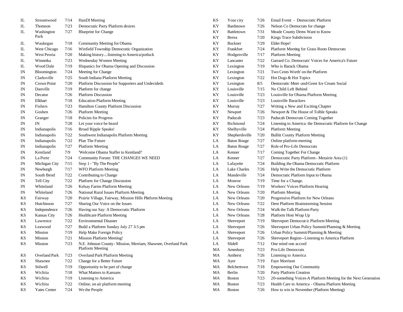| IL | Streamwood          | 7/14 | HanDI Meeting                                                 | KS | Your city          | 7/26 | Email Event - Democratic Platform                              |
|----|---------------------|------|---------------------------------------------------------------|----|--------------------|------|----------------------------------------------------------------|
| IL | Thomson             | 7/23 | Democratic Party Platform desires                             | KY | Bardstown          | 7/26 | Nelson Co Democrats for change                                 |
| IL | Washington          | 7/27 | <b>Blueprint</b> for Change                                   | KY | Battletown         | 7/31 | Meade County Dems Want to Know                                 |
|    | Park                |      |                                                               | KY | Berea              | 7/20 | Kings Trace Subdivision                                        |
| IL | Waukegan            | 7/18 | Community Meeting for Obama                                   | KY | Buckner            | 7/29 | Elder Hope!                                                    |
| IL | West Chicago        | 7/16 | Winfield Township Democratic Organization                     | KY | Frankfort          | 7/24 | Platform Meeting for Grass Roots Democrats                     |
| IL | West Peoria         | 7/20 | Making historylistening to America/potluck                    | KY | Hodgenville        | 7/17 | <b>Platform Meeting</b>                                        |
| IL | Winnetka            | 7/23 | Wednesday Women Meeting                                       | KY | Lancaster          | 7/22 | Garrard Co. Democrats' Voices for America's Future             |
| IL | Wood Dale           | 7/19 | Hispanics for Obama Opening and Discussion                    | KY | Lexington          | 7/19 | Who is Barack Obama                                            |
| IN | Bloomington         | 7/24 | Meeting for Change                                            | KY | Lexington          | 7/21 | Two Cents Worth' on the Platform                               |
| IN | Clarksville         | 7/25 | South Indiana Platform Meeting                                | KY | Lexington          | 7/22 | Hot Dogs & Hot Topics                                          |
| IN | Crown Point         | 7/20 | Platform Discussion for Supporters and Undecideds             | KY | Lexington          | 8/5  | Democratic Meet-and-Greet Ice Cream Social                     |
| IN | Danville            | 7/19 | Platform for change                                           | KY | Louisville         | 7/15 | No Child Left Behind                                           |
| IN | Decatur             | 7/26 | <b>Platform Discussion</b>                                    | KY | Louisville         | 7/23 | Louisville for Obama Platform Meeting                          |
| IN | Elkhart             | 7/18 | <b>Education Platform Meeting</b>                             | KY | Louisville         | 7/23 | Louisville Barackers                                           |
| IN | Fishers             | 7/23 | Hamilton County Platform Discussion                           | KY | Murray             | 7/27 | Writing a New and Exciting Chapter                             |
| IN | Goshen              | 7/26 | <b>Platform Meeting</b>                                       | KY | Newport            | 7/26 | Newport & The House of Tolble Speaks                           |
| IN | Granger             | 7/18 | Policies for Progress                                         | KY | Paducah            | 7/23 | Paducah Democrats Coming Together                              |
| IN | IN                  | 7/28 | Let your voice be heard                                       | KY | Richmond           | 7/24 | Listening to America: the Democratic Platform for Change       |
| IN | Indianapolis        | 7/16 | <b>Broad Ripple Speaks!</b>                                   | KY | Shelbyville        | 7/24 | <b>Platform Meeting</b>                                        |
| IN | Indianapolis        | 7/22 | Southwest Indianapolis Platform Meeting                       | KY | Shepherdsville     | 7/20 | <b>Bullitt County Platform Meeting</b>                         |
| IN | Indianapolis        | 7/22 | Plan The Future                                               | LA | <b>Baton Rouge</b> | 7/27 | Online platform meeting                                        |
| IN | Indianapolis        | 7/27 | <b>Platform Meeting</b>                                       | LA | <b>Baton Rouge</b> | 7/27 | Role of Pro-Life Democrats                                     |
| IN | Kentland            | 7/9  | 'Welcome Obama Staffer to Kentland!'                          | LA | Kenner             | 7/17 | Coming Together For Change                                     |
| IN | La Porte            | 7/24 | Community Forum: THE CHANGES WE NEED                          | LA | Kenner             | 7/27 | Democratic Party Platform - Metairie Area (1)                  |
| IN | Michigan City       | 7/15 | Step 1 - "By The People"                                      | LA | Lafayette          | 7/24 | Building the Obama Democratic Platform                         |
| IN | Newburgh            | 7/17 | <b>WFO Platform Meeting</b>                                   | LA | Lake Charles       | 7/26 | Help Write the Democratic Platform                             |
| IN | South Bend          | 7/22 | Contributing to Change                                        | LA | Mandeville         | 7/24 | Democratic Platform Input to Obama                             |
| IN | Tell City           | 7/22 | Platform for Change Discussion                                | LA | Monroe             | 7/19 | Time for a Change.                                             |
| IN | Whiteland           | 7/26 | Kelsay Farms Platform Meeting                                 | LA | New Orleans        | 7/19 | Workers' Voices Platform Hearing                               |
| IN | Whiteland           | 7/26 | National Rural Issues Platform Meeting                        | LA | New Orleans        | 7/20 | <b>Platform Meeting</b>                                        |
| KS | Fairway             | 7/20 | Prairie Village, Fairway, Mission Hills Phtform Meeting       | LA | New Orleans        | 7/20 | Progressive Platform for New Orleans                           |
| KS | Hutchinson          | 7/27 | Sharing Our Voice on the Issues                               | LA | New Orleans        | 7/22 | Dem Platform Brainstorming Session                             |
| KS | Independence        | 7/26 | Having our Say: A Democratic Platform                         | LA | New Orleans        | 7/24 | Walk the Talk Platform Party                                   |
| KS | Kansas City         | 7/26 | Healthcare Platform Meeting                                   | LA | New Orleans        | 7/28 | Platform Host Wrap Up                                          |
| KS | Lawrence            | 7/22 | <b>Environmental Disaster</b>                                 | LA | Shreveport         | 7/19 | Shreveport Democrat ic Platform Meeting                        |
| KS | Leawood             | 7/27 | Build a Platform Sunday July 27 3-5 pm                        | LA | Shreveport         | 7/26 | Shreveport Urban Policy Summit/Planning & Meeting              |
| KS | Mission             | 7/19 | Help Make Foreign Policy                                      | LA | Shreveport         | 7/26 | Urban Policy Summit/Planning & Meeting                         |
| KS | Mission             | 7/21 | Mission Platform Meeting!                                     | LA | Shreveport         | 7/26 | Shreveport Region-Listening to America Platform                |
| KS | Mission             | 7/23 | N.E. Johnson County- Mission, Merriam, Shawnee, Overland Park | LA | Slidell            | 7/12 | One mind one accord                                            |
|    |                     |      | <b>Platform Meeting</b>                                       | MA | Amesbury           | 7/23 | Pro-Life Democrats                                             |
| KS | Overland Park       | 7/23 | Overland Park Platform Meeting                                | MA | Amherst            | 7/26 | Listening to America                                           |
| KS | Shawnee             | 7/22 | Change for a Better Future                                    | MA | Ayer               | 7/19 | Faye Morrison                                                  |
| KS | Stilwell            | 7/19 | Opportunity to be part of change                              | МA | Belchertown        | 7/18 | <b>Empowering Our Community</b>                                |
| KS | Wichita             | 7/18 | What Matters to Kansans                                       | МA | Berlin             | 7/20 | Party Platform Creation                                        |
| KS | Wichita             | 7/19 | Listening to America                                          | MA | <b>Boston</b>      | 7/23 | 20-something Voices-A Platform Meeting for the Next Generation |
| KS | Wichita             | 7/22 | Online, on air platform meeting                               | MA | Boston             | 7/23 | Health Care in America - Obama Platform Meeting                |
| KS | <b>Yates Center</b> | 7/24 | We the People                                                 | MA | <b>Boston</b>      | 7/26 | How to win in November (Platform Meeting)                      |
|    |                     |      |                                                               |    |                    |      |                                                                |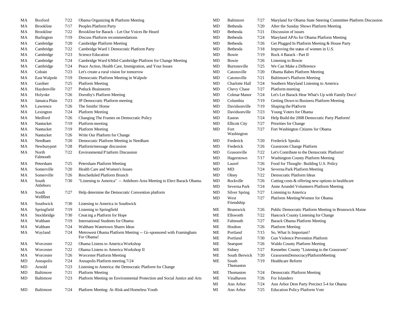| МA | Boxford          | 7/22 | Obama Organizing & Platform Meeting                                      | MD        | Baltimore            | 7/27 | Maryland for Obama State Steering Committee Platform Discussion |
|----|------------------|------|--------------------------------------------------------------------------|-----------|----------------------|------|-----------------------------------------------------------------|
| MA | <b>Brookline</b> | 7/17 | Peoples Platform Party                                                   | MD        | Bethesda             | 7/20 | After the Sunday Shows Platform Meeting                         |
| МA | <b>Brookline</b> | 7/22 | Brookline for Barack - Let Our Voices Be Heard                           | MD        | Bethesda             | 7/21 | Discussion of issues                                            |
| МA | Burlington       | 7/19 | Discuss Platform recommendations                                         | MD        | Bethesda             | 7/24 | Maryland APAs for Obama Platform Meeting                        |
| МA | Cambridge        | 7/20 | Cambridge Platform Meeting                                               | MD        | Bethesda             | 7/26 | Get Plugged In Platform Meeting & House Party                   |
| МA | Cambridge        | 7/22 | Cambridge Ward 1 Democratic Platform Party                               | MD        | Bethesda             | 7/18 | Improving the status of women in U.S.                           |
| МA | Cambridge        | 7/23 | Science Education                                                        | MD        | Bowie                | 7/19 | Rock 4 Barack - Part II                                         |
| МA | Cambridge        | 7/24 | Cambridge Ward 6/Mid-Cambridge Platform for Change Meeting               | MD        | Bowie                | 7/26 | Listening to Bowie                                              |
| МA | Cambridge        | 7/24 | Peace Action, Health Care, Immigration, and Your Issues                  | MD        | Burtonsville         | 7/25 | We Can Make a Difference                                        |
| МA | Colrain          | 7/23 | Let's create a rural vision for tomorrow                                 | MD        | Catonsville          | 7/20 | Obama Babes Platform Meeting                                    |
| МA | East Walpole     | 7/19 | Democratic Platform Meeting in Walpole                                   | MD        | Catonsville          | 7/21 | <b>Baltimore's Platform Meeting</b>                             |
| МA | Gardner          | 7/25 | <b>Platform Meeting</b>                                                  | MD        | Charlotte Hall       | 7/24 | Southern Maryland Listening to America                          |
| МA | Haydenville      | 7/27 | Potluck Brainstorm                                                       | MD        | Chevy Chase          | 7/27 | Platform meeting                                                |
| МA | Holyoke          | 7/26 | Dorothy's Platform Meeting                                               | MD        | Colmar Manor         | 7/24 | Let's Let Barack Hear What's Up with Family Docs!               |
| МA | Jamaica Plain    | 7/23 | JP Democratic Platform meeting                                           | MD        | Columbia             | 7/19 | Getting Down to Business Platform Meeting                       |
| MA | Lawrence         | 7/26 | The Smiths' Home                                                         | MD        | Davidsonville        | 7/19 | Shaping the Platform                                            |
| МA | Lexington        | 7/24 | <b>Platform Meeting</b>                                                  | MD        | Davidsonville        | 7/23 | Young Voters for Obama                                          |
| МA | Medford          | 7/26 | Changing The Frames on Democratic Policy                                 | MD        | Easton               | 7/24 | Help Build the 2008 Democratic Party Platform!                  |
| МA | Nantucket        | 7/19 | Platform meeting                                                         | MD        | <b>Ellicott City</b> | 7/27 | Priorities for Change                                           |
| МA | Nantucket        | 7/19 | <b>Platform Meeting</b>                                                  | MD        | Fort                 | 7/27 | Fort Washington Citizens for Obama                              |
| МA | Nantucket        | 7/26 | Write Our Platform for Change                                            |           | Washington           |      |                                                                 |
| MA | Needham          | 7/20 | Democratic Platform Meeting in Needham                                   | MD        | Frederick            | 7/20 | Frederick Speaks                                                |
| МA | Newburyport      | 7/28 | Platform/message discussion                                              | MD        | Frederick            | 7/26 | Grassroots Change Platform                                      |
| MA | North            | 7/22 | <b>Environmental P latform Discussion</b>                                | MD        | Grasonville          | 7/22 | Let's Contribute to the Democratic Platform!                    |
|    | Falmouth         |      |                                                                          | MD        | Hagerstown           | 7/17 | Washington County Platform Meeting                              |
| MА | Petersham        | 7/25 | Petersham Platform Meeting                                               | MD        | Laurel               | 7/26 | Food for Thought- Building U.S. Policy                          |
| МA | Somerville       | 7/20 | Health Care and Women's Issues                                           | MD        | MD                   | 7/24 | Severna Park Platform Meeting                                   |
| МA | Somerville       | 7/26 | Rescheduled Platform Brunch                                              | MD        | Olney                | 7/22 | Democratic Platform Ideas                                       |
| МA | South            | 7/30 | "Listening to America" -- Attleboro Area Meeting to Elect Barack Obama.  | MD        | Rockville            | 7/26 | Cutting costs & offering new options in healthcare              |
|    | Attleboro        |      |                                                                          | MD        | Severna Park         | 7/24 | Anne Arundel Volunteers Platform Meeting                        |
| МA | South            | 7/27 | Help determine the Democratic Convention platform                        | <b>MD</b> | Silver Spring        | 7/27 | Listening to America                                            |
|    | Wellfleet        |      |                                                                          | MD        | West                 | 7/27 | Platform Meeting/Women for Obama                                |
| MА | Southwick        | 7/30 | Listening to America in Southwick                                        |           | Friendship           |      |                                                                 |
| МA | Springfield      | 7/19 | Listening to Springfield                                                 | <b>ME</b> | <b>Brunswick</b>     | 7/26 | Public Democratic Platform Meeting in Brunswick Maine           |
| МA | Stockbridge      | 7/30 | Creating a Platform for Hope                                             | <b>ME</b> | Ellsworth            | 7/22 | Hancock County Listening for Change                             |
| МA | Waltham          | 7/19 | <b>International Students for Obama</b>                                  | <b>ME</b> | Falmouth             | 7/27 | Barack Obama Platform Meeting                                   |
| МA | Waltham          | 7/24 | Waltham Watertown Shares Ideas                                           | <b>ME</b> | Houlton              | 7/26 | <b>Platform Meeting</b>                                         |
| MA | Wayland          | 7/24 | Metrowest Obama Platform Meeting - Co-sponsored with Framingham          | <b>ME</b> | Portland             | 7/15 | So, What Is Important?                                          |
|    |                  |      | For Obama!                                                               | <b>ME</b> | Portland             | 7/30 | Gun Violence Prevention Platform                                |
| MA | Worcester        | 7/22 | Obama Listens to America Workshop                                        | $\rm ME$  | Searsport            | 7/26 | Waldo County Platform Meeting                                   |
| MA | Worcester        | 7/22 | Obama Listens to America Workshop II                                     | ME        | Sidney               | 7/27 | Kennebec County "Listening to the Grassroots"                   |
| MA | Worcester        | 7/26 | Worcester Platform Meeting                                               | <b>ME</b> | South Berwick        | 7/20 | GrassrootsDemocracyPlatformMeeting                              |
| MD | Annapolis        | 7/24 | Annapolis Platform meeting 7/24                                          | ME        | South                | 7/19 | Healthcare Reform                                               |
| MD | Arnold           | 7/23 | Listening to America: the Democratic Platform for Change                 |           | Thomaston            |      |                                                                 |
| MD | Baltimore        | 7/21 | <b>Platform Meeting</b>                                                  | <b>ME</b> | Thomaston            | 7/24 | Democratic Platform Meeting                                     |
| MD | Baltimore        | 7/23 | Platform Meeting on Environmental Protection and Social Justice and Arts | ME        | Vinalhaven           | 7/26 | For Islanders                                                   |
|    |                  |      |                                                                          | MI        | Ann Arbor            | 7/24 | Ann Arbor Dem Party Precinct 5-4 for Obama                      |
| MD | <b>Baltimore</b> | 7/24 | Platform Meeting: At-Risk and Homeless Youth                             | MI        | Ann Arbor            | 7/25 | <b>Education Policy Platform Vote</b>                           |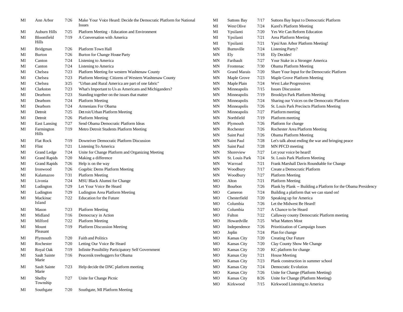| MI | Ann Arbor                  | 7/26   | Make Your Voice Heard: Decide the Democratic Platform for National<br>Issues |
|----|----------------------------|--------|------------------------------------------------------------------------------|
| MI | Auburn Hills               | 7/25   | Platform Meeting - Education and Environment                                 |
| MI | <b>Bloomfield</b><br>Hills | 7/19   | A Conversation with America                                                  |
| MI | <b>Bridgman</b>            | 7/26   | Platform Town Hall                                                           |
| MI | <b>Burton</b>              | 7/26   | Burton for Change House Party                                                |
| MI | Canton                     | 7/24   | Listening to America                                                         |
| МI | Canton                     | 7/24   | Listening to America                                                         |
| МI | Chelsea                    | 7/23   | Platform Meeting for western Washtenaw County                                |
| МI | Chelsea                    | 7/23   | Platform Meeting: Citizens of Western Washtenaw County                       |
| МI | Chelsea                    | 3/25   | "Urban and Rural America are part of one fabric"                             |
| МI | Clarkston                  | 7/23   | What's Important to Us as Americans and Michiganders?                        |
| МI | Dearborn                   | 7/23   | Standing together on the issues that matter                                  |
| МI | Dearborn                   | 7/24   | <b>Platform Meeting</b>                                                      |
| МI | Dearborn                   | 7/24   | Armenians For Obama                                                          |
| МI | Detroit                    | 7/25   | Det roit/Urban Platform Meeting                                              |
| МI | Detroit                    | 7/26   | <b>Platform Meeting</b>                                                      |
| МI | <b>East Lansing</b>        | 7/27   | Send Obama Democratic Platform Ideas                                         |
| MI | Farmington<br>Hills        | 7/19   | Metro Detroit Students Platform Meeting                                      |
| MI | <b>Flat Rock</b>           | 7/19   | Downriver Democratic Platform Discussion                                     |
| МI | Flint                      | 7/21   | Listening To America                                                         |
| МI | Grand Ledge                | 7/24   | Unite for Change Platform and Organizing Meeting                             |
| МI | <b>Grand Rapids</b>        | 7/20   | Making a difference                                                          |
| МI | <b>Grand Rapids</b>        | 7/26   | Help is on the way                                                           |
| МI | Ironwood                   | 7/26   | Gogebic Dems Platform Meeting                                                |
| МI | Kalamazoo                  | 7/31   | <b>Platform Meeting</b>                                                      |
| МI | Livonia                    | 7/24   | MSU Black Alumni for Change                                                  |
| МI | Ludington                  | 7/29   | Let Your Voice Be Heard                                                      |
| МI | Ludington                  | 7/29   | Ludington Area Platform Meeting                                              |
| MI | Mackinac<br>Island         | 7/22   | <b>Education for the Future</b>                                              |
| МI | Mason                      | 7/23   | <b>Platform Meeting</b>                                                      |
| МI | Midland                    | 7/16   | Democracy in Action                                                          |
| МI | Milford                    | 7/22   | <b>Platform Meeting</b>                                                      |
| MI | Mount<br>Pleasant          | 7/19   | <b>Platform Discussion Meeting</b>                                           |
| MI | Plymouth                   | 7/20   | <b>Faith and Politics</b>                                                    |
| MI | Rochester                  | 7/20   | Letting Our Voice Be Heard                                                   |
| MI | Royal Oak                  | $7/19$ | Infinite Possibility Participatory Self Government                           |
| МI | Sault Sainte<br>Marie      | 7/16   | Peacenik treehuggers for Obama                                               |
| МI | Sault Sainte<br>Marie      | 7/23   | Help decide the DNC platform meeting                                         |
| МI | Shelby<br>Township         | 7/27   | Unite for Change Picnic                                                      |
| МI | Southgate                  | 7/20   | Southgate, MI Platform Meeting                                               |

| MI | <b>Suttons Bay</b>  | 7/17 | Suttons Bay Input to Democratic Platform                      |
|----|---------------------|------|---------------------------------------------------------------|
| МI | West Olive          | 7/24 | Karel's Platform Meeting                                      |
| МI | Ypsilanti           | 7/20 | Yes We Can Reform Education                                   |
| МI | Ypsilanti           | 7/21 | Area Platform Meeting                                         |
| МI | Ypsilanti           | 7/21 | Ypsi/Ann Arbor Platform Meeting!                              |
| MΝ | Burnsville          | 7/24 | Listening Party?                                              |
| MΝ | Ely                 | 7/18 | Ely Decides!                                                  |
| MΝ | Faribault           | 7/27 | Your Stake in a Stronger America                              |
| MΝ | Frontenac           | 7/30 | <b>Obama Platform Meeting</b>                                 |
| MΝ | <b>Grand Marais</b> | 7/20 | Share Your Input for the Democratic Platform                  |
| MΝ | Maple Grove         | 7/23 | Maple Grove Platform Meeting                                  |
| MΝ | Maple Plain         | 7/24 | West Lake Progressives                                        |
| MΝ | Minneapolis         | 7/15 | <b>Issues Discussion</b>                                      |
| MΝ | Minneapolis         | 7/19 | Brooklyn Park Platform Meeting                                |
| MΝ | Minneapolis         | 7/24 | Sharing our Voices on the Democratic Platform                 |
| MΝ | Minneapolis         | 7/26 | St. Louis Park Precincts Platform Meeting                     |
| MΝ | Minneapolis         | 7/27 | Platform meeting                                              |
| MΝ | Northfield          | 7/19 | Platform meeting                                              |
| MΝ | Plymouth            | 7/26 | Platform for change                                           |
| MΝ | Rochester           | 7/26 | Rochester Area Platform Meeting                               |
| MΝ | Saint Paul          | 7/26 | <b>Obama Platform Meeting</b>                                 |
| MΝ | Saint Paul          | 7/28 | Let's talk about ending the war and bringing peace            |
| MΝ | Saint Paul          | 7/28 | MN PFCD meeting                                               |
| MΝ | Shoreview           | 7/27 | Let your voice be heard!                                      |
| MΝ | St. Louis Park      | 7/24 | St. Louis Park Platform Meeting                               |
| MΝ | Warroad             | 7/21 | Frank Marshall Davis Roundtable for Change                    |
| MΝ | Woodbury            | 7/17 | Create a Democratic Platform                                  |
| MΝ | Woodbury            | 7/27 | <b>Platform Meeting</b>                                       |
| MО | Alton               | 7/21 | <b>Platform Meeting</b>                                       |
| MО | Bourbon             | 7/26 | Plank by Plank - Building a Platform for the Obama Presidency |
| MО | Cameron             | 7/24 | Building a platform that we can stand on!                     |
| MО | Chesterfield        | 7/20 | Speaking up for America                                       |
| MО | Columbia            | 7/26 | Let the Midwest Be Heard!                                     |
| MО | Columbia            | 7/27 | A Chance to be Heard                                          |
| MО | Fulton              | 7/22 | Callaway county Democratic Platform meeting                   |
| MО | Howardville         | 7/25 | What Matters Most                                             |
| MО | Independence        | 7/26 | Prioritization of Campaign Issues                             |
| MО | Joplin              | 7/24 | Plan for change                                               |
| MО | Kansas City         | 7/20 | <b>Creating Our Future</b>                                    |
| MО | Kansas City         | 7/20 | Clay County Show Me Change                                    |
| МO | Kansas City         | 7/20 | KC platform for change                                        |
| МO | Kansas City         | 7/21 | <b>House Meeting</b>                                          |
| МO | Kansas City         | 7/23 | Plank construction in summer school                           |
| МO | Kansas City         | 7/24 | Democratic Evolution                                          |
| МO | Kansas City         | 7/26 | Unite for Change (Platform Meeting)                           |
| МO | Kansas City         | 8/26 | Unite for Change (Platform Meeting)                           |
| МO | Kirkwood            | 7/15 | Kirkwood Listening to America                                 |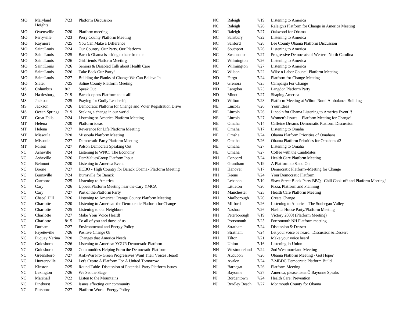| MO             | Maryland           | 7/23 | <b>Platform Discussion</b>                                  | NC         | Raleigh              | 7/19 | Listening to America                                               |
|----------------|--------------------|------|-------------------------------------------------------------|------------|----------------------|------|--------------------------------------------------------------------|
|                | Heights            |      |                                                             | <b>NC</b>  | Raleigh              | 7/26 | Raleigh's Platform for Change in America Meeting                   |
| МO             | Owensville         | 7/20 | Platform meeting                                            | <b>NC</b>  | Raleigh              | 7/27 | Oakwood for Obama                                                  |
| МO             | Perryville         | 7/23 | Perry County Platform Meeting                               | NC         | Salisbury            | 7/22 | Listening to America                                               |
| МO             | Raymore            | 7/25 | You Can Make a Difference                                   | <b>NC</b>  | Sanford              | 7/28 | Lee County Obama Platform Discussion                               |
| МO             | Saint Louis        | 7/24 | Our Country, Our Party, Our Platform                        | NC         | Southport            | 7/26 | Listening to America                                               |
| MО             | Saint Louis        | 7/25 | Barack Obama is asking to hear from us                      | <b>NC</b>  | Swannanoa            | 7/27 | Progressive Democrats of Western North Carolina                    |
| MО             | Saint Louis        | 7/26 | Girlfriends Platform Meeting                                | ${\rm NC}$ | Wilmington           | 7/26 | Listening to America                                               |
| MO             | Saint Louis        | 7/26 | Seniors & Disabled Talk about Health Care                   | NC         | Wilmington           | 7/27 | Listening to America                                               |
| MО             | Saint Louis        | 7/26 | Take Back Our Party!                                        | <b>NC</b>  | Wilson               | 7/22 | Wilson Labor Council Platform Meeting                              |
| MО             | Saint Louis        | 7/27 | Building the Planks of Change We Can Believe In             | ND         | Fargo                | 7/24 | Platform for Change Meeting                                        |
| MО             | Slater             | 7/25 | Saline County Platform Meeting                              | ND         | Grenora              | 7/25 | Campaign For Change                                                |
| MS             | Columbus           | 8/2  | Speak Out                                                   | ND         | Langdon              | 7/25 | Langdon Platform Party                                             |
| МS             | Hattiesburg        | 7/19 | Barack opens Platform to us all!                            | ND         | Minot                | 7/27 | Shaping America                                                    |
| MS             | Jackson            | 7/25 | Praying for Godly Leadership                                | ND         | Wilton               | 7/28 | Platform Meeting at Wilton Rural Ambulance Building                |
| MS             | Jackson            | 7/26 | Democratic Platform for Change and Voter Registration Drive | <b>NE</b>  | Lincoln              | 7/26 | Your Ideas                                                         |
| MS             | Ocean Springs      | 7/19 | Seeking a change in our world                               | NE         | Lincoln              | 7/26 | Lincoln for Obama Listening to America Event!!!                    |
| МT             | <b>Great Falls</b> | 7/24 | Listening to America Platform Meeting                       | NE         | Lincoln              | 7/27 | Women's Issues - Platform Meeting for Change!                      |
| MТ             | Helena             | 7/20 | Platform ideas                                              | NE         | Omaha                | 7/14 | Caffeine Dreams Democratic Platform Discussion                     |
| MТ             | Helena             | 7/27 | Reverence for Life Platform Meeting                         | $\rm NE$   | Omaha                | 7/17 | Listening to Omaha                                                 |
| МT             | Missoula           | 7/20 | Missoula Platform Meeting                                   | NE         | Omaha                | 7/24 | Obama Platform Priorities of Omahans                               |
| МT             | Missoula           | 7/27 | Democratic Party Platform Meeting                           | NE         | Omaha                | 7/26 | Obama Platform Priorities for Omahans #2                           |
| MТ             | Polson             | 7/27 | Polson Democrats Speaking Out                               | NE         | Omaha                | 7/27 | Listening to Omaha                                                 |
| NC             | Asheville          | 7/24 | Listening to WNC: The Economy                               | $\rm NE$   | Omaha                | 7/27 | Coffee with the Candidates                                         |
| N <sub>C</sub> | Asheville          | 7/26 | Dem Values Group Platform Input                             | <b>NH</b>  | Concord              | 7/24 | Health Care Platform Meeting                                       |
| NC             | Belmont            | 7/20 | Listening to America Event                                  | <b>NH</b>  | Grantham             | 7/19 | A Platform to Stand On                                             |
| NC             | Boone              | 7/27 | HCBO - High Country for Barack Obama - Platform Meeting     | <b>NH</b>  | Hanover              | 7/17 | Democratic Platform-Meeting for Change                             |
| NC             | Burnsville         | 7/24 | <b>Burnsville for Barack</b>                                | <b>NH</b>  | Keene                | 7/24 | Your Democratic Platform                                           |
| NC             | Carrboro           | 7/25 | Listening to America                                        | <b>NH</b>  | Lebanon              | 7/19 | Shaw Street Block Party BBQ - Chili Cook-off and Platform Meeting! |
| NC             | Cary               | 7/26 | Upbeat Platform Meeting near the Cary YMCA                  | <b>NH</b>  | Littleton            | 7/20 | Pizza, Platform and Planning                                       |
| NC             | Cary               | 7/27 | Part of the Platform Party                                  | <b>NH</b>  | Manchester           | 7/23 | Health Care Platform Meeting                                       |
| NC             | Chapel Hill        | 7/26 | Listening to America: Orange County Platform Meeting        | <b>NH</b>  | Marlborough          | 7/20 | Create Change                                                      |
| NC             | Charlotte          | 7/20 | Listening to America: the Democratic Platform for Change    | <b>NH</b>  | Milford              | 7/26 | Listening to America: The Souhegan Valley                          |
| NC             | Charlotte          | 7/25 | Listening to our Neighbors                                  | <b>NH</b>  | Nashua               | 7/26 | Nashua House Party/Platform Meeting                                |
| NC             | Charlotte          | 7/27 | Make Your Voice Heard!                                      | <b>NH</b>  | Peterborough         | 7/19 | Victory 2008! (Platform Meeting)                                   |
| NC             | Charlotte          | 8/15 | To all of you and those of us                               | <b>NH</b>  | Portsmouth           | 7/25 | Port smouth NH Platform meeting                                    |
| NC             | Durham             | 7/27 | Environmental and Energy Policy                             | <b>NH</b>  | Stratham             | 7/24 | Discussion & Dessert                                               |
| NC             | Fayetteville       | 7/26 | Positive Change 08                                          | <b>NH</b>  | Stratham             | 7/24 | Let your voice be heard: Discussion & Dessert                      |
| NС             | Fuquay Varina      | 7/20 | Changes that America Needs                                  | <b>NH</b>  | Tilton               | 7/21 | Make your voice heard                                              |
| <b>NC</b>      | Goldsboro          | 7/26 | Listening to America: YOUR Democratic Platform              | <b>NH</b>  | Union                | 7/16 | Listening in Union                                                 |
| NC             | Goldsboro          | 7/28 | Communities Helping Form the Democratic Platform            | NH         | Westmoreland         | 7/24 | 2nd Westmoreland Meeting                                           |
| NC             | Greensboro         | 7/27 | Anti-War Pro-Green Progressives Want Their Voices Heard!    | NJ         | Audubon              | 7/26 | Obama Platform Meeting - Got Hope?                                 |
| NC             | Huntersville       | 7/24 | Let's Create A Platform For A United Tomorrow               | NJ         | Avalon               | 7/24 | 7-MBDC Democratic Platform Build                                   |
| NC             | Kinston            | 7/25 | Round Table Discussion of Potential Party Platform Issues   | NJ         | Barnegat             | 7/26 | <b>Platform Meeting</b>                                            |
| NC             | Lexington          | 7/26 | We Set the Stage                                            | NJ         | Bayonne              | 7/27 | America, please listenÖ Bayonne Speaks                             |
| NC             | Marshall           | 7/22 | Listen to the Mountains                                     | NJ         | Bordentown           | 7/24 | Health Care: Prevention                                            |
| NC             | Pinehurst          | 7/25 | Issues affecting our community                              | NJ         | <b>Bradley Beach</b> | 7/27 | Monmouth County for Obama                                          |
| NC             | Pittsboro          | 7/27 | Platform Work - Energy Policy                               |            |                      |      |                                                                    |
|                |                    |      |                                                             |            |                      |      |                                                                    |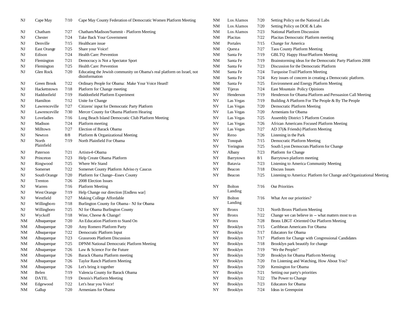| NJ | Cape May      | 7/10 | Cape May County Federation of Democratic Women Platform Meeting        | NM        | Los Alamos      | 7/20 | Setting Policy on the National Labs                                  |
|----|---------------|------|------------------------------------------------------------------------|-----------|-----------------|------|----------------------------------------------------------------------|
|    |               |      |                                                                        | <b>NM</b> | Los Alamos      | 7/20 | Setting Policy on DOE & Labs                                         |
| NJ | Chatham       | 7/27 | Chatham/Madison/Summit - Platform Meeting                              | NM        | Los Alamos      | 7/23 | National Platform Discussion                                         |
| NJ | Chester       | 7/24 | Take Back Your Government                                              | <b>NM</b> | Placitas        | 7/22 | Placitas Democratic Platform meeting                                 |
| NJ | Denville      | 7/15 | Healthcare issue                                                       | NM        | Portales        | 7/15 | Change for America                                                   |
| NJ | East Orange   | 7/25 | Share your Voice!                                                      | <b>NM</b> | Questa          | 7/27 | Taos County Platform Meeting                                         |
| NJ | Edison        | 7/24 | Health Care: Prevention                                                | <b>NM</b> | Santa Fe        | 7/19 | GBLTQ Happy Hour/Platform Meeting                                    |
| NJ | Flemington    | 7/21 | Democracy is Not a Spectator Sport                                     | <b>NM</b> | Santa Fe        | 7/19 | Brainstorming ideas for the Democratic Party Platform 2008           |
| NJ | Flemington    | 7/25 | Health Care: Prevention                                                | <b>NM</b> | Santa Fe        | 7/23 | Discussion for the Democratic Platform                               |
| NJ | Glen Rock     | 7/20 | Educating the Jewish community on Obama's real platform on Israel, not | <b>NM</b> | Santa Fe        | 7/24 | Turquoise Trail Platform Meeting                                     |
|    |               |      | disinformation                                                         | <b>NM</b> | Santa Fe        | 7/24 | Key issues of concern in creating a Democratic platform.             |
| NJ | Green Brook   | 7/22 | Ordinary People for Obama: Make Your Voice Heard!                      | <b>NM</b> | Santa Fe        | 7/25 | Environment and Energy Platform Meeting                              |
| NJ | Hackettstown  | 7/18 | Platform for Change meeting                                            | NM        | Tijeras         | 7/24 | East Mountain Policy Opinions                                        |
| NJ | Haddonfield   | 7/19 | Haddonfield Platform Experiment                                        | <b>NV</b> | Henderson       | 7/19 | Henderson for Obama Platform and Persuasion Call Meeting             |
| NJ | Hamilton      | 7/12 | Unite for Change                                                       | <b>NV</b> | Las Vegas       | 7/19 | Building A Platform For The People & By The People                   |
| NJ | Lawrenceville | 7/27 | Citizens' input for Democratic Party Platform                          | <b>NV</b> | Las Vegas       | 7/20 | Democratic Platform Meeting                                          |
| NJ | Lawrenceville | 7/30 | Mercer County for Obama Platform Hearing                               | <b>NV</b> | Las Vegas       | 7/20 | Armenians for Obama                                                  |
| NJ | Loveladies    | 7/16 | Long Beach Island Democratic Club Platform Meeting                     | <b>NV</b> | Las Vegas       | 7/25 | <b>Assembly District 5 Platform Creation</b>                         |
| NJ | Madison       | 7/24 | Platform meeting                                                       | <b>NV</b> | Las Vegas       | 7/26 | African Americans Focused Platform Meeting                           |
| NJ | Milltown      | 7/27 | Election of Barack Obama                                               | <b>NV</b> | Las Vegas       | 7/27 | AD 37(& Friends) Platform Meeting                                    |
| NJ | Newton        | 8/8  | Platform & Organizational Meeting                                      | <b>NV</b> | Reno            | 7/26 | Listening in the Park                                                |
| NJ | North         | 7/19 | North Plainfield For Obama                                             | <b>NV</b> | Tonopah         | 7/15 | Democratic Platform Meeting                                          |
|    | Plainfield    |      |                                                                        | <b>NV</b> | Yerington       | 7/25 | South Lyon Democrats Platform for Change                             |
| NJ | Paterson      | 7/21 | Artists-4-Obama                                                        | NY        | Albany          | 7/23 | Platform for Change                                                  |
| NJ | Princeton     | 7/23 | Help Create Obama Platform                                             | <b>NY</b> | Barrytown       | 8/1  | Barrytown platform meeting                                           |
| NJ | Ringwood      | 7/25 | Where We Stand                                                         | <b>NY</b> | <b>Batavia</b>  | 7/23 | Listening to America Community Meeting                               |
| NJ | Somerset      | 7/22 | Somerset County Platform Adviso ry Caucus                              | <b>NY</b> | Beacon          | 7/18 | Discuss Issues                                                       |
| NJ | South Orange  | 7/20 | Platform for Change--Essex County                                      | <b>NY</b> | Beacon          | 7/25 | Listening to America: Platform for Change and Organizational Meeting |
| NJ | Trenton       | 7/26 | 2008 Election Issues                                                   |           |                 |      |                                                                      |
| NJ | Warren        | 7/16 | <b>Platform Meeting</b>                                                | NY        | <b>Bolton</b>   | 7/16 | Our Priorities                                                       |
| NJ | West Orange   | 7/19 | Help Change our direction [Endless war]                                |           | Landing         |      |                                                                      |
| NJ | Westfield     | 7/27 | Making College Affordable                                              | <b>NY</b> | <b>Bolton</b>   | 7/16 | What Are our priorities?                                             |
| NJ | Willingboro   | 7/18 | Burlington County for Obama - NJ for Obama                             |           | Landing         |      |                                                                      |
| NJ | Willingboro   | 7/25 | NJ for Obama Burlington County                                         | NY        | <b>Bronx</b>    | 7/21 | North Bronx Platform Meeting                                         |
| NJ | Wyckoff       | 7/18 | Wine, Cheese & Change!                                                 | NY        | <b>Bronx</b>    | 7/22 | Change we can believe in - what matters most to us                   |
| NM | Albuquerque   | 7/20 | An Education Platform to Stand On                                      | NY        | <b>Bronx</b>    | 7/28 | Bronx LBGT -Oriented Our Platform Meeting                            |
| NM | Albuquerque   | 7/20 | Amy Romero Platform Party                                              | <b>NY</b> | <b>Brooklyn</b> | 7/15 | Caribbean Americans For Obama                                        |
| NM | Albuquerque   | 7/22 | Democratic Platform Input                                              | <b>NY</b> | <b>Brooklyn</b> | 7/17 | <b>Educators</b> for Obama                                           |
| NM | Albuquerque   | 7/23 | <b>Grassroots Platform Discussion</b>                                  | <b>NY</b> | <b>Brooklyn</b> | 7/17 | Platform for Change with Congressional Candidates                    |
| NΜ | Albuquerque   | 7/25 | <b>DPNM National Democratic Platform Meeting</b>                       | <b>NY</b> | <b>Brooklyn</b> | 7/18 | Brooklyn park beautify for change                                    |
| NM | Albuquerque   | 7/26 | Law & Science For the Future                                           | NY        | <b>Brooklyn</b> | 7/19 | "We the People!"                                                     |
| NM | Albuquerque   | 7/26 | Barack Obama Platform meeting                                          | NY        | <b>Brooklyn</b> | 7/20 | Brooklyn for Obama Platform Meeting                                  |
| NM | Albuquerque   | 7/26 | Taylor Ranch Platform Meeting                                          | NY        | Brooklyn        | 7/20 | I'm Listening and Watching, How About You?                           |
| NM | Albuquerque   | 7/26 | Let's bring it together                                                | NY        | Brooklyn        | 7/20 | Kensington for Obama                                                 |
| NM | Belen         | 7/19 | Valencia County for Barack Obama                                       | NY        | <b>Brooklyn</b> | 7/21 | Setting our party's priorities                                       |
| NM | <b>DATIL</b>  | 7/19 | Dennis's Platform Meeting                                              | NY        | Brooklyn        | 7/22 | The Power to Change                                                  |
| NM | Edgewood      | 7/22 | Let's hear you Voice!                                                  | NY        | Brooklyn        | 7/23 | Educators for Obama                                                  |
| NM | Gallup        | 7/20 | Armenians for Obama                                                    | <b>NY</b> | Brooklyn        | 7/24 | Ideas in Greenpoint                                                  |
|    |               |      |                                                                        |           |                 |      |                                                                      |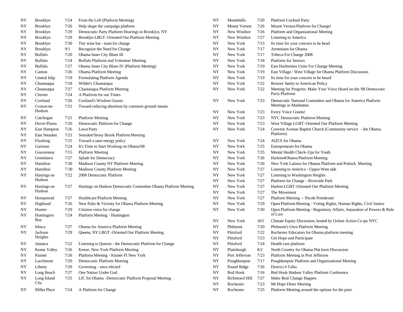| NY | <b>Brooklyn</b> | 7/24 | From the Left (Platform Meeting)                               | NY        | Montebello     | 7/20 | Platform Cocktail Party                                                 |
|----|-----------------|------|----------------------------------------------------------------|-----------|----------------|------|-------------------------------------------------------------------------|
| NY | <b>Brooklyn</b> | 7/26 | Help shape the campaign platform                               | <b>NY</b> | Mount Vernon   | 7/26 | Mount Vernon Platform for Change!                                       |
| NY | <b>Brooklyn</b> | 7/29 | Democratic Party Platform Hearings in Brooklyn, NY             | <b>NY</b> | New Windsor    | 7/26 | Platform and Organizational Meeting                                     |
| NY | <b>Brooklyn</b> | 7/29 | Brooklyn LBGT - Oriented Our Platform Meeting                  | NY        | New Windsor    | 7/27 | Listening to America                                                    |
| NY | Brooklyn        | 7/30 | Tini wine bar - toast for change                               | <b>NY</b> | New York       | 7/15 | Its time for your concern to be head                                    |
| NY | <b>Brooklyn</b> | 9/1  | Recognize the Need for Change                                  | <b>NY</b> | New York       | 7/17 | Armenians for Obama                                                     |
| NY | Buffalo         | 7/20 | Obama Inner City Blues III                                     | <b>NY</b> | New York       | 7/17 | Tribeca For Change 2008                                                 |
| NY | Buffalo         | 7/24 | Buffalo Platform and Volunteer Meeting                         | NY        | New York       | 7/18 | <b>Platform</b> for Seniors                                             |
| NY | Buffalo         | 7/27 | Obama Inner City Blues IV (Platform Meeting)                   | <b>NY</b> | New York       | 7/19 | East Harlemites Unite For Change Meeting                                |
| NY | Canton          | 7/26 | <b>Obama Platform Meeting</b>                                  | <b>NY</b> | New York       | 7/19 | East Village / West Village for Obama Platform Discussion               |
| NY | Central Islip   | 7/19 | Formulating Platform Agenda                                    | <b>NY</b> | New York       | 7/19 | Its time for your concern to be heard                                   |
| NY | Chautauqua      | 7/18 | Wilder's Chautauqua                                            | <b>NY</b> | New York       | 7/22 | Restore Sanity to American Policy                                       |
| NY | Chautauqua      | 7/27 | Chautauqua Platform Meeting                                    | <b>NY</b> | New York       | 7/22 | Meeting for Progress: Make Your Voice Heard on the '08 Democratic       |
| NY | Chester         | 7/24 | A Platform for our Times                                       |           |                |      | Party Platform                                                          |
| NY | Cortland        | 7/26 | Cortland's Wisdom Counts                                       | NY        | New York       | 7/23 | Democratic National Committee and Obama for America Platform            |
| NY | Croton-on-      | 7/23 | Toward reducing abortions by common-ground means               |           |                |      | Meetings in Manhattan                                                   |
|    | Hudson          |      |                                                                | <b>NY</b> | New York       | 7/23 | Every Voice Counts!                                                     |
| NY | Cutchogue       | 7/21 | <b>Platform Meeting</b>                                        | <b>NY</b> | New York       | 7/23 | NYC Democratic Platform Meeting                                         |
| NY | Dover Plains    | 7/20 | Democratic Platform for Change                                 | <b>NY</b> | New York       | 7/23 | West Village LGBT-Oriented Our Platform Meeting                         |
| NY | East Hampton    | 7/26 | Lawn Party                                                     | <b>NY</b> | New York       | 7/24 | Convent Avenue Baptist Church (Community service - the Obama            |
| NY | East Setauket   | 7/23 | Setauket/Stony Brook Platform Meeting                          |           |                |      | Platform)                                                               |
| NY | Flushing        | 7/15 | Toward a sane energy policy                                    | <b>NY</b> | New York       | 7/24 | <b>AQTA</b> for Obama                                                   |
| NY | Garrison        | 7/24 | It's Time to Start Working on Obama'08                         | <b>NY</b> | New York       | 7/25 | <b>Entrepreneurs</b> for Obama                                          |
| NY | Gouverneur      | 7/15 | <b>Platform Meeting</b>                                        | <b>NY</b> | New York       | 7/25 | Mental Health Check-Ups for Youth                                       |
| NY | Greenlawn       | 7/27 | Splash for Democracy                                           | <b>NY</b> | New York       | 7/26 | Harlem4Obama Platform Meeting                                           |
| NY | Hamilton        | 7/30 | Madison County NY Platform Meeting                             | <b>NY</b> | New York       | 7/26 | New York Latinos for Obama Platform and Potluck Meeting                 |
| NY | Hamilton        | 7/30 | Madison County Platform Meeting                                | <b>NY</b> | New York       | 7/27 | Listening to America - Upper West side                                  |
| NY | Hastings on     | 7/22 | 2008 Democratic Platform                                       | <b>NY</b> | New York       | 7/27 | Listening to Washington Heights                                         |
|    | Hudson          |      |                                                                | <b>NY</b> | New York       | 7/27 | Platform for Change - Riverside Park                                    |
| NY | Hastings on     | 7/27 | Hastings on Hudson Democratic Committee Obama Platform Meeting | <b>NY</b> | New York       | 7/27 | Harlem LGBT-Oriented Our Platform Meeting                               |
|    | Hudson          |      |                                                                | <b>NY</b> | New York       | 7/27 | The Movement                                                            |
| NY | Hempstead       | 7/27 | Healthcare Platform Meeting                                    | <b>NY</b> | New York       | 7/27 | Platform Meeting - Nicole Poindexter                                    |
| NY | Highland        | 7/26 | New Paltz & Vicinity for Obama Platform Meeting                | <b>NY</b> | New York       | 7/29 | Open Platform Meeting - Voting Rights, Human Rights, Civil Justice      |
| NY | Hunter          | 7/29 | Citizens voice for change                                      | <b>NY</b> | New York       | 7/30 | Open Platform Meeting - Regulatory Affairs, Separation of Powers & Rule |
| NY | Huntington      | 7/24 | Platform Meeting - Huntington                                  |           |                |      | of Law                                                                  |
|    | Bay             |      |                                                                | NY        | New York       | 10/1 | Climate Equity Discussion, hosted by Oxfam Action Co rps NYC            |
| NY | Ithaca          | 7/27 | Obama for America Platform Meeting                             | <b>NY</b> | Philmont       | 7/20 | Philmont's Own Platform Meeting                                         |
| NY | Jackson         | 7/29 | Queens, NY LBGT - Oriented Our Platform Meeting                | NY        | Pittsford      | 7/22 | Rochester Educators for Obama platform meeting                          |
|    | Heights         |      |                                                                | <b>NY</b> | Pittsford      | 7/23 | Get Hope and Participate                                                |
| NY | Jamaica         | 7/22 | Listening to Queens - the Democratic Platform for Change       | NY        | Pittsford      | 7/24 | Health care platform                                                    |
| NY | Keene Valley    | 7/26 | Keene, New York Platform Meeting                               | NY        | Plattsburgh    | 8/2  | North Country for Obama Plat form Discussion                            |
| NY | Kismet          | 7/26 | Platform Meeting - Kismet FI New York                          | <b>NY</b> | Port Jefferson | 7/23 | Platform Meeting in Port Jefferson                                      |
| NY | Larchmont       | 7/20 | Democratic Platform Meeting                                    | NY        | Poughkeepsie   | 7/17 | Poughkeepsie Platform and Organizational Meeting                        |
| NY | Liberty         | 7/29 | Governing - once elected                                       | NY        | Pound Ridge    | 7/26 | District 4 Talks                                                        |
| NY | Long Beach      | 7/27 | One Nation Under God                                           | <b>NY</b> | Red Hook       | 7/16 | Red Hook Hudson Valley Platform Conference                              |
| NY | Long Island     | 7/25 | LIC for Obama - Democratic Platform Proposal Meeting           | NY        | Richmond Hill  | 7/27 | Make Real Change Happen                                                 |
|    | City            |      |                                                                | <b>NY</b> | Rochester      | 7/23 | Mt Hope Diner Meeting                                                   |
| NY | Miller Place    |      | A Platform for Change                                          | <b>NY</b> | Rochester      | 7/25 | Platform Meeting around the options for the poor                        |
|    |                 | 7/24 |                                                                |           |                |      |                                                                         |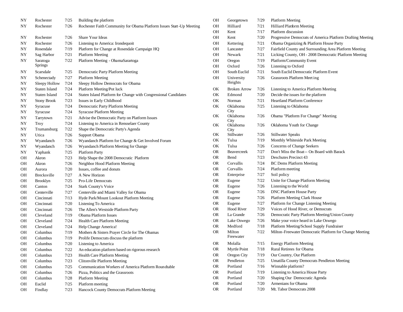| NY | Rochester           | 7/25 | Building the platform                                                |
|----|---------------------|------|----------------------------------------------------------------------|
| NY | Rochester           | 7/26 | Rochester Faith Community for Obama Platform Issues Start-Up Meeting |
|    |                     |      |                                                                      |
| NY | Rochester           | 7/26 | Share Your Ideas                                                     |
| NY | Rochester           | 7/26 | Listening to America: Irondequoit                                    |
| NY | Rosendale           | 7/19 | Platform for Change at Rosendale Campaign HQ                         |
| NY | Sag Harbor          | 7/21 | <b>Platform Meeting</b>                                              |
| NY | Saratoga<br>Springs | 7/22 | Platform Meeting - ObamaSarartoga                                    |
| NY | Scarsdale           | 7/25 | Democratic Party Platform Meeting                                    |
| NY | Schenectady         | 7/27 | <b>Platform Meeting</b>                                              |
| NY | Sleepy Hollow       | 7/24 | Sleepy Hollow Democrats for Obama                                    |
| NY | Staten Island       | 7/24 | Platform Meeting/Pot luck                                            |
| NY | Staten Island       | 7/24 | Staten Island Platform for Change with Congressional Candidates      |
| NY | <b>Stony Brook</b>  | 7/23 | Issues in Early Childhood                                            |
| NY | Syracuse            | 7/24 | Democratic Party Platform Meeting                                    |
| NY | Syracuse            | 7/24 | <b>Syracuse Platform Meeting</b>                                     |
| NY | Tarrytown           | 7/21 | Advise the Democratic Party on Platform Issues                       |
| NY | <b>Troy</b>         | 7/24 | Listening to America in Rensselaer County                            |
| NY | Trumansburg         | 7/22 | Shape the Democratic Party's Agenda                                  |
| NY | Utica               | 7/26 | Support Obama                                                        |
| NY | Wyandanch           | 7/26 | Wyandanch Platform for Change & Get Involved Forum                   |
| NY | Wyandanch           | 7/26 | Wyandanch Platform Meeting for Change                                |
| NY | Yaphank             | 7/25 | <b>Platform Party</b>                                                |
| OН | Akron               | 7/23 | Help Shape the 2008 Democratic Platform                              |
| OН | Akron               | 7/26 | Neighbor Hood Platform Meeting                                       |
| OН | Aurora              | 7/20 | Issues, coffee and donuts                                            |
| OН | <b>Brecksville</b>  | 7/27 | A New Horizon                                                        |
| OН | <b>Brooklyn</b>     | 7/25 | Pro-Life Democrats                                                   |
| OН | Canton              | 7/24 | <b>Stark County's Voice</b>                                          |
| OН | Centerville         | 7/27 | Centerville and Miami Valley for Obama                               |
| OН | Cincinnati          | 7/13 | Hyde Park/Mount Lookout Platform Meeting                             |
| OН | Cincinnati          | 7/20 | Listening To America                                                 |
| OН | Cincinnati          | 7/26 | The Allen's Westside Platform Party                                  |
| OН | Cleveland           | 7/19 | <b>Obama Platform Issues</b>                                         |
| OН | Cleveland           | 7/24 | Health Care Platform Meeting                                         |
| OН | Cleveland           | 7/24 | Help Change America!                                                 |
| OН | Columbus            | 7/19 | Mothers & Sisters Prayer Circle for The Obamas                       |
| OН | Columbus            | 7/19 | Prolife Democrats discuss the platform                               |
| OН | Columbus            | 7/20 | Listening to America                                                 |
| OН | Columbus            | 7/22 | An education platform based on rigorous research                     |
| OH | Columbus            | 7/23 | Health Care Platform Meeting                                         |
| OH | Columbus            | 7/23 | <b>Clitonville Platform Meeting</b>                                  |
| OH | Columbus            | 7/25 | Communication Workers of America Platform Roundtable                 |
| OH | Columbus            | 7/26 | Pizza, Politics and the Grassroots                                   |
| OH | Columbus            | 7/28 | <b>Platform Meeting</b>                                              |
| OH | Euclid              | 7/25 | Platform meeting                                                     |
| OH | Findlay             | 7/23 | Hancock County Democrats Platform Meeting                            |
|    |                     |      |                                                                      |

| OН         | Georgetown               | 7/29 | <b>Platform Meeting</b>                                    |
|------------|--------------------------|------|------------------------------------------------------------|
| OН         | Hilliard                 | 7/21 | <b>Hilliard Platform Meeting</b>                           |
| OН         | Kent                     | 7/17 | Platform discussion                                        |
| OН         | Kent                     | 7/20 | Progressive Democrats of America Platform Drafting Meeting |
| OН         | Kettering                | 7/21 | Obama Organizing & Platform House Party                    |
| OН         | Lancaster                | 7/27 | Fairfield County and Surrounding Area Platform Meeting     |
| OН         | <b>Newark</b>            | 7/21 | Licking County, OH - 2008 Democratic Platform Meeting      |
| OН         | Oregon                   | 7/19 | Platform/Community Event                                   |
| OН         | Oxford                   | 7/26 | Listening to Oxford                                        |
| OН         | South Euclid             | 7/21 | South Euclid Democratic Platform Event                     |
| OН         | University<br>Heights    | 7/26 | Grassroots Platform Meet ing                               |
| OК         | <b>Broken Arrow</b>      | 7/26 | Listening to America Platform Meeting                      |
| ОK         | Edmond                   | 7/20 | Decide the issues for the platform                         |
| ОK         | Norman                   | 7/21 | <b>Heartland Platform Conference</b>                       |
| ОK         | Oklahoma                 | 7/25 | Listening to Oklahoma                                      |
|            | City                     |      |                                                            |
| ОK         | Oklahoma                 | 7/26 | Obama "Platform For Change" Meeting                        |
| ОK         | City<br>Oklahoma<br>City | 7/26 | Oklahoma Youth for Change                                  |
| ОK         | Stillwater               | 7/26 | <b>Stillwater Speaks</b>                                   |
| OK         | Tulsa                    | 7/19 | Monthly Whiteside Park Meeting                             |
| ОK         | Tulsa                    | 7/26 | Concerns of Change Seekers                                 |
| OR         | Beavercreek              | 7/27 | Don't Miss the Boat-- On Board with Barack                 |
| OR.        | Bend                     | 7/23 | Deschutes Precinct 43                                      |
| <b>OR</b>  | Corvallis                | 7/24 | <b>BC Dems Platform Meeting</b>                            |
| OR         | Corvallis                | 7/24 | Platform meeting                                           |
| OR         | Enterprise               | 7/27 | Soil policy                                                |
| OR         | Eugene                   | 7/22 | Unite for Change Platform Meeting                          |
| OR.        | Eugene                   | 7/26 | Listening to the World                                     |
| OR.        | Eugene                   | 7/26 | <b>DNC Platform House Party</b>                            |
| OR         | Eugene                   | 7/26 | Platform Meeting Clark House                               |
| OR.        | Eugene                   | 7/27 | Platform for Change Listening Meeting                      |
| <b>OR</b>  | <b>Hood River</b>        | 7/29 | Voices of Hood River, or Democrats                         |
| OR         | La Grande                | 7/26 | Democratic Party Platform Meeting/Union County             |
| OR         | Lake Oswego              | 7/26 | Make your voice heard in Lake Oswego                       |
| OR         | Medford                  | 7/18 | Platform Meeting/School Supply Fundraiser                  |
| OR         | Milton<br>Freewater      | 7/22 | Milton-Freewater Democratic Platform for Change Meeting    |
| 0R         | Molalla                  | 7/15 | <b>Energy Platform Meeting</b>                             |
| OR.        | Myrtle Point             | 7/18 | Rural Retirees for Obama                                   |
| ${\sf OR}$ | Oregon City              | 7/19 | Our Country, Our Platform                                  |
| <b>OR</b>  | Pendleton                | 7/25 | Umatilla County Democrats Pendleton Meeting                |
| <b>OR</b>  | Portland                 | 7/16 | Winnable platform?                                         |
| <b>OR</b>  | Portland                 | 7/19 | Listening to America House Party                           |
| <b>OR</b>  | Portland                 | 7/20 | Shaping Our Democratic Agenda                              |
| <b>OR</b>  | Portland                 | 7/20 | Armenians for Obama                                        |
| <b>OR</b>  | Portland                 | 7/20 | Mt. Tabor Democrats 2008                                   |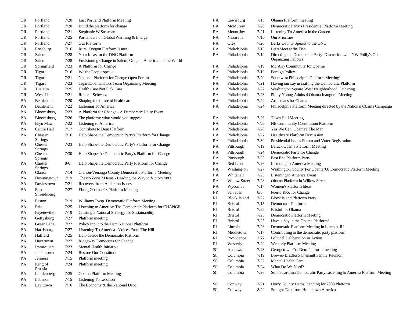| <b>OR</b> | Portland           | 7/20 | East Portland Platform Meeting                             | PA          | Lewisburg            | 7/15 | Obama Platform meeting                                                                         |
|-----------|--------------------|------|------------------------------------------------------------|-------------|----------------------|------|------------------------------------------------------------------------------------------------|
| <b>OR</b> | Portland           | 7/20 | Build the platform for change                              | PA          | McMurray             | 7/26 | Democratic Party's Presidential Platform Meeting                                               |
| OR.       | Portland           | 7/21 | Stephanie W Sussman                                        | PA          | Mount Joy            | 7/21 | Listening To America in the Garden                                                             |
| OR.       | Portland           | 7/25 | Portlanders on Global Warming & Energy                     | PA          | Nazareth             | 7/16 | <b>Our Priorities</b>                                                                          |
| OR        | Portland           | 7/27 | Our Platform                                               | PA          | Oley                 | 7/26 | Berks County Speaks to the DNC                                                                 |
| <b>OR</b> | Roseburg           | 7/16 | Rural Oregon Platform Issues                               | PA          | Philadelphia         | 7/15 | Let's Meet at the Fish                                                                         |
| OR.       | Salem              | 7/28 | Your Ideas for the DNC Platform                            | PA          | Philadelphia         | 7/19 | Directing the Democratic Party: Discussion with NW Philly's Obama<br><b>Organizing Fellows</b> |
| <b>OR</b> | Salem              | 7/28 | Envisioning Change in Salem, Oregon, America and the World |             |                      |      |                                                                                                |
| <b>OR</b> | Springfield        | 7/23 | A Platform for Change                                      | PA          | Philadelphia         | 7/19 | Mt. Airy Community for Obama                                                                   |
| <b>OR</b> | Tigard             | 7/16 | We the People speak                                        | PA          | Philadelphia         | 7/19 | Foreign Policy                                                                                 |
| OR.       | Tigard             | 7/21 | National Platform for Change Open Forum                    | PA          | Philadelphia         | 7/20 | Southwest Philadelphia Platform Meeting!                                                       |
| <b>OR</b> | Tigard             | 7/23 | TigardObamanators Team Organizing Meeting                  | PA          | Philadelphia         | 7/21 | Having our say in crafting the Democratic Platform                                             |
| OR        | Tualatin           | 7/25 | Health Care Not Sick Care                                  | PA          | Philadelphia         | 7/22 | Washington Square West Neighborhood Gathering                                                  |
| <b>OR</b> | West Linn          | 7/21 | Roberta Schwarz                                            | PA          | Philadelphia         | 7/23 | Philly Young Adults 4 Obama Inaugural Meeting                                                  |
| PA        | Bethlehem          | 7/20 | Shaping the future of healthcare                           | PA          | Philadelphia         | 7/24 | Armenians for Obama                                                                            |
| PA        | Bethlehem          | 7/22 | Listening To America                                       | PA          | Philadelphia         | 7/24 | Philadelphia Platform Meeting directed by the National Obama Campaign                          |
| PA        | Bloomsburg         | 7/23 | A Platform for Change - A Democratic Unity Event           |             |                      |      |                                                                                                |
| PA        | Bloomsburg         | 7/26 | The platform: what would you suggest                       | PA          | Philadelphia         | 7/26 | Town Hall Meeting                                                                              |
| PA        | <b>Bryn Mawr</b>   | 7/22 | Listening to America                                       | PA          | Philadelphia         | 7/26 | NE Community Constitution Platform                                                             |
| PA        | Centre Hall        | 7/17 | Contribute to Dem Platform                                 | PA          | Philadelphia         | 7/26 | Yes We Can, Obama's The Man!                                                                   |
| PА        | Chester            | 7/16 | Help Shape the Democratic Party's Platform for Change      | PА          | Philadelphia         | 7/27 | <b>Healthcare Platform Discussion</b>                                                          |
|           | <b>Springs</b>     |      |                                                            | PA          | Philadelphia         | 7/30 | Presidential Issues Forum and Voter Registration                                               |
| PA        | Chester<br>Springs | 7/23 | Help Shape the Democratic Party's Platform for Change      | PA          | Pittsburgh           | 7/19 | <b>Barack Obama Platform Meeting</b>                                                           |
| PА        | Chester            | 7/30 | Help Shape the Democratic Party's Platform for Change      | PA          | Pittsburgh           | 7/24 | Democratic Party for Change                                                                    |
|           | <b>Springs</b>     |      |                                                            | PA          | Pittsburgh           | 7/25 | East End Platform Party                                                                        |
| PА        | Chester            | 8/6  | Help Shape the Democratic Party Platform for Change        | PA          | Red Lion             | 7/26 | Listening to America Meeting                                                                   |
|           | <b>Springs</b>     |      |                                                            | PA          | Washington           | 7/27 | Washington County For Obama '08 Democratic Platform Meeting                                    |
| PA        | Clarion            | 7/14 | Clarion/Venango County Democratic Platform Meeting         | PA          | Whitehall            | 7/25 | Listening to America Event                                                                     |
| PA        | Downingtown        | 7/19 | Chesco Zone 7 Dems - Leading the Way to Victory '08 !      | PA          | <b>Willow Street</b> | 7/28 | Obama Platform in Willow Street                                                                |
| PA        | Doylestown         | 7/21 | Recovery from Addiction Issues                             | PA          | Wycombe              | 7/17 | Women's Platform Ideas                                                                         |
| PA        | East               | 7/27 | Eburg Obama '08 Platform Meeting                           | PR          | San Juan             | 8/6  | Puerto Rico for Change                                                                         |
|           | Stroudsburg        |      |                                                            | RI          | <b>Block Island</b>  | 7/22 | <b>Block Island Platform Party</b>                                                             |
| PA        | Easton             | 7/19 | Williams Twsp. Democratic Platform Meeting                 | RI          | <b>Bristol</b>       | 7/15 | Democratic Platform                                                                            |
| PA        | Erie               | 7/25 | Listening to America: The Democratic Platform for CHANGE   | $_{\rm RI}$ | <b>Bristol</b>       | 7/22 | <b>Bristol</b> for Obama                                                                       |
| PA        | Fayetteville       | 7/19 | Creating a National St rategy for Sustainability           | RI          | <b>Bristol</b>       | 7/25 | Democratic Platform Meeting                                                                    |
| PA        | Gettysburg         | 7/27 | Platform meeting                                           | RI          | <b>Bristol</b>       | 7/25 | Have a Say in the Obama Platform!                                                              |
| PA        | Green Lane         | 7/27 | Policy Input to the Dem National Platform                  | RI          | Lincoln              | 7/26 | Democratic Platform Meeting in Lincoln, RI                                                     |
| PА        | Harrisburg         | 7/27 | Listening To America - Voices From The Hill                | RI          | Middletown           | 7/17 | Contributing to the democratic party platform                                                  |
| PA        | Hatfield           | 7/25 | Help decide the Democratic Platform                        | RI          | Providence           | 7/22 | Political Deliberation in Action                                                               |
| PА        | Havertown          | 7/27 | Ridgeway Democrats for Change!                             | RI          | Westerly             | 7/29 | <b>Westerly Platform Meeting</b>                                                               |
| PA        | Immaculata         | 7/23 | Mental Health Initiative                                   | SC          | Andrews              | 7/23 | Georgetown Co. Dem Platform meeting                                                            |
| PA        | Jenkintown         | 7/24 | <b>Restore Our Constitution</b>                            | ${\rm SC}$  | Columbia             | 7/19 | Brewer-Bradford-Chenault Family Reunion                                                        |
| PA        | Jenners            | 7/15 | Platform meeting                                           | SC          | Columbia             | 7/22 | Mental Health Care                                                                             |
| PА        | King of<br>Prussia | 7/24 | Platform meeting                                           | SC          | Columbia             | 7/24 | What Do We Need?                                                                               |
| PA        | Landenberg         | 7/25 | <b>Obama Platform Meeting</b>                              | SC          | Columbia             | 7/26 | South Carolina Democratic Party Listening to America Platform Meeting                          |
| PA        | Lebanon            | 7/15 | Listening To Lebanon                                       |             |                      |      |                                                                                                |
| PA        | Levittown          | 7/16 | The Economy & the National Debt                            | SC          | Conway               | 7/21 | Horry County Dems Planning for 2008 Platform                                                   |
|           |                    |      |                                                            | SC          | Conway               | 8/29 | Straight Talk from Hometown America                                                            |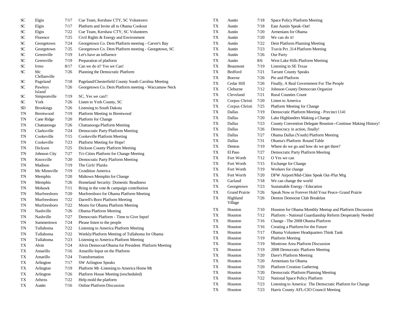| ${\rm SC}$      | Elgin            | 7/17 | Cue Team, Kershaw CTY, SC Volunteers                 | <b>TX</b>              | Austin               | 7/18 | Space Policy Platform Meeting                               |
|-----------------|------------------|------|------------------------------------------------------|------------------------|----------------------|------|-------------------------------------------------------------|
| ${\rm SC}$      | Elgin            | 7/17 | Platform and Invite all to Obama Cookout             | TX                     | Austin               | 7/18 | East Austin Speak-Out!                                      |
| SC              | Elgin            | 7/22 | Cue Team, Kershaw CTY, SC Volunteers                 | TX                     | Austin               | 7/20 | Armenians for Obama                                         |
| ${\rm SC}$      | Florence         | 7/25 | Civil Rights & Energy and Environment                | TX                     | Austin               | 7/20 | We can do it!                                               |
| ${\rm SC}$      | Georgetown       | 7/24 | Georgetown Co. Dem Platform meeting - Carver's Bay   | TX                     | Austin               | 7/22 | Dem Platform Planning Meeting                               |
| ${\rm SC}$      | Georgetown       | 7/25 | Georgetown Co. Dem Platform meeting - Georgetown, SC | TX                     | Austin               | 7/23 | Travis Pct .314 Platform Meeting                            |
| ${\rm SC}$      | Greenville       | 7/19 | Let's have an influence                              | TX                     | Austin               | 7/26 | Our Party                                                   |
| ${\rm SC}$      | Greenville       | 7/19 | Preparation of platform                              | TX                     | Austin               | 8/6  | West Lake Hills Platform Meeting                            |
| ${\rm SC}$      | Irmo             | 8/17 | Can we do it? Yes we Can!                            | <b>TX</b>              | <b>Beaumont</b>      | 7/19 | Listening in SE Texas                                       |
| ${\rm SC}$      | Mc               | 7/26 | Planning the Democratic Platform                     | TX                     | Bedford              | 7/21 | <b>Tarrant County Speaks</b>                                |
|                 | Clellanville     |      |                                                      | TX                     | Boerne               | 7/26 | Pie and Platform                                            |
| SC <sub>1</sub> | Pageland         | 7/18 | Pageland/Chesterfield County South Carolina Meeting  | TX                     | Cedar Hill           | 7/26 | Finally, A Real Government For The People                   |
| SC <sub>1</sub> | Pawleys          | 7/26 | Georgetown Co. Dem Platform meeting - Waccamaw Neck  | TX                     | Cleburne             | 7/12 | Johnson County Democrats Organize                           |
|                 | Island           |      |                                                      | ${\rm T}{\rm X}$       | Cleveland            | 7/21 | <b>Rural Counties Count</b>                                 |
| SC <sub>1</sub> | Simpsonville     | 7/19 | SC, Yes we can!!                                     | TX                     | Corpus Christi       | 7/20 | Listen to America                                           |
| SC              | York             | 7/26 | Listen to York County, SC                            | TX                     | Corpus Christi       | 7/25 | Platform Meeting for Change                                 |
| <b>SD</b>       | <b>Brookings</b> | 7/26 | Listening to South Dakota                            | TX                     | Dallas               | 7/19 | Democratic Platform Meeting - Precinct 1141                 |
| TN              | Brentwood        | 7/19 | Platform Meeting in Brentwood                        | <b>TX</b>              | Dallas               | 7/20 | Lake Highlanders Making a Change                            |
| TN              | Cane Ridge       | 7/20 | Platform for Change                                  | TX                     | Dallas               | 7/23 | County Convention Delegate Reunion-Continue Making History! |
| TN              | Chattanooga      | 7/26 | Chattanooga Platform Meeting                         | <b>TX</b>              | Dallas               | 7/26 | Democracy in action, finally!                               |
| TN              | Clarksville      | 7/24 | Democratic Party Platform Meeting                    | TX                     | Dallas               | 7/27 | Obama Dallas (Youth) Platform Meeting                       |
| TN              | Cookeville       | 7/15 | Cookeville Platform Meeting                          |                        |                      |      | Obama's Platform Round Table                                |
| TN              | Cookeville       | 7/23 | Platform Meeting for Hope!                           | TX<br>${\rm T}{\rm X}$ | Dallas               | 7/31 |                                                             |
| TN              | Dickson          | 7/25 | Dickson County Platform Meeting                      |                        | Denton               | 7/19 | Where do we go and how do we get there?                     |
| TN              | Johnson City     | 7/27 | Tri-Cities Platform for Change Meeting               | TX                     | El Paso              | 7/27 | Democratic Party Platform Meeting                           |
| TN              | Knoxville        | 7/20 | Democratic Party Platform Meeting                    | <b>TX</b>              | Fort Worth           | 7/12 | O Yes we can                                                |
| TN              | Madison          | 7/19 | The Girls' Planks                                    | TX                     | Fort Worth           | 7/15 | Exchange for Change                                         |
| TN              | Mc Minnville     | 7/19 | <b>Condition America</b>                             | <b>TX</b>              | Fort Worth           | 7/19 | Workers for change                                          |
| TN              | Memphis          | 7/20 | Midtown Memphis for Change                           | TX                     | Fort Worth           | 7/20 | DFW Airport/Mid-Cities Speak Out-Plat Mtg                   |
| TN              | Memphis          | 7/26 | Homeland Security: Domestic Readiness                | TX                     | Garland              | 7/18 | We can change the world                                     |
| TN              | Mohawk           | 7/11 | Bring in the vote & campaign contribution            | TX                     | Georgetown           | 7/23 | Sustainable Energy / Education                              |
| TN              | Murfreesboro     | 7/20 | Murfreesboro for Obama Platform Meeting              | TX                     | <b>Grand Prairie</b> | 7/26 | Speak Now or Forever Hold Your Peace- Grand Prairie         |
| TN              | Murfreesboro     | 7/22 | Darrell's Boro Platform Meeting                      | <b>TX</b>              | Highland             | 7/26 | Denton Democrat Club Breakfast                              |
| TN              | Murfreesboro     | 7/22 | Moms for Obama Platform Meeting                      |                        | Village              |      |                                                             |
| TN              | Nashville        | 7/26 | <b>Obama Platform Meeting</b>                        | TX                     | Houston              | 7/10 | Houston for Obama Monthly Meetup and Platform Discussion    |
| TN              | Nashville        | 7/27 | Democratic Platform - Time to Give Input!            | ${\rm T}{\rm X}$       | Houston              | 7/12 | Platform - National Guardianship Reform Desperately Needed  |
| TN              | Summertown       | 7/24 | Please listen to the people                          | TX                     | Houston              | 7/16 | Change - The 2008 Obama Platform                            |
| TN              | Tullahoma        | 7/22 | Listening to America Platform Meeting                | TX                     | Houston              | 7/16 | Creating a Platform for the Future                          |
| TN              | Tullahoma        | 7/22 | Weekly/Platform Meeting of Tullahoma for Obama       | TX                     | Houston              | 7/17 | Obama Volunteer Headquarters Think Tank                     |
| TN              | Tullahoma        | 7/23 | Listening to America Platform Meeting                | TX                     | Houston              | 7/19 | <b>Platform Meeting</b>                                     |
| TX              | Alvin            | 7/24 | Alvin Democrat/Obama for President Platform Meeting  | <b>TX</b>              | Houston              | 7/19 | Montrose Area Platform Discussion                           |
| <b>TX</b>       | Amarillo         | 7/16 | Amarillo Input on the Platform                       | TX                     | Houston              | 7/19 | 2008 Democratic Platform Meeting                            |
| TX              | Amarillo         | 7/24 | Transformation                                       | TX                     | Houston              | 7/20 | Dave's Platform Meeting                                     |
| TX              | Arlington        | 7/17 | SW Arlington Speaks                                  | TX                     | Houston              | 7/20 | Armenians for Obama                                         |
| TX              | Arlington        | 7/19 | Platform Mt -Listening to America Home Mt            | TX                     | Houston              | 7/20 | <b>Platform Creation Gathering</b>                          |
| TX              | Arlington        | 7/26 | Platform House Meeting (rescheduled)                 | TX                     | Houston              | 7/20 | Democratic Platform Planning Meeting                        |
| TX              | Athens           | 7/22 | Help mold the platform                               | TX                     | Houston              | 7/22 | National Space Policy Platform                              |
| TX              | Austin           | 7/16 | <b>Online Platform Discussion</b>                    | TX                     | Houston              | 7/23 | Listening to America: The Democratic Platform for Change    |
|                 |                  |      |                                                      | TX                     | Houston              | 7/23 | Harris County AFL-CIO Council Meeting                       |
|                 |                  |      |                                                      |                        |                      |      |                                                             |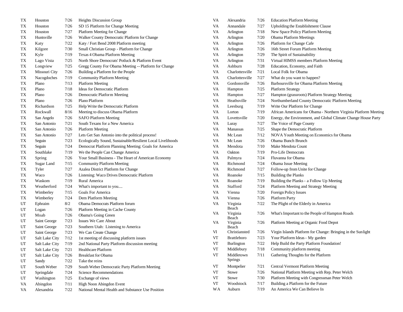| TX | Houston        | 7/26    | <b>Heights Discussion Group</b>                             | VA        | Alexandria        | 7/26 | <b>Education Platform Meeting</b>                                |
|----|----------------|---------|-------------------------------------------------------------|-----------|-------------------|------|------------------------------------------------------------------|
| TX | Houston        | 7/26    | SD 15 Platform for Change Meeting                           | <b>VA</b> | Annandale         | 7/27 | Upholding the Establishment Clause                               |
| TX | Houston        | 7/27    | Platform Meeting for Change                                 | VA        | Arlington         | 7/18 | New Space Policy Platform Meeting                                |
| TX | Huntsville     | 7/26    | Walker County Democratic Platform for Change                | VA        | Arlington         | 7/20 | <b>Obama Platform Meetings</b>                                   |
| TX | Katy           | 7/22    | Katy / Fort Bend 2008 Platform meeting                      | VA        | Arlington         | 7/26 | Platform for Change Cafe                                         |
| TX | Kilgore        | 7/30    | Small Christian Group - Platform for Change                 | <b>VA</b> | Arlington         | 7/26 | 16th Street Forum Platform Meeting                               |
| TX | Kyle           | 7/19    | Texas 4 Obama Platform Meeting                              | VA        | Arlington         | 7/29 | The Spirit of Sustainability                                     |
| TX | Lago Vista     | 7/25    | North Shore Democrats' Potluck & Platform Event             | <b>VA</b> | Arlington         | 7/31 | Virtual HIMSS members Platform Meeting                           |
| TX | Longview       | 7/25    | Gregg County For Obama Meeting -- Platform for Change       | VA        | Ashburn           | 7/28 | Education, Economy, and Faith                                    |
| TX | Missouri City  | 7/26    | Building a Platform for the People                          | <b>VA</b> | Charlottesville   | 7/21 | Local Folk for Obama                                             |
| TX | Nacogdoches    | 7/19    | <b>Community Platform Meeting</b>                           | <b>VA</b> | Charlottesville   | 7/27 | What do you want to happen?                                      |
| TX | Plano          | 7/13    | <b>Platform Meeting</b>                                     | <b>VA</b> | Gordonsville      | 7/26 | Barboursville for Obama Platform Meeting                         |
| TX | Plano          | 7/18    | Ideas for Democratic Platform                               | <b>VA</b> | Hampton           | 7/25 | <b>Platform Strategy</b>                                         |
| TX | Plano          | 7/26    | Democratic Platform Meeting                                 | <b>VA</b> | Hampton           | 7/27 | Hampton (grassroots) Platform Strategy Meeting                   |
| TX | Plano          | 7/26    | Plano Platform                                              | VA        | Heathsville       | 7/24 | Northumberland County Democratic Platform Meeting                |
| TX | Richardson     | 7/25    | Help Write the Democratic Platform                          | VA        | Leesburg          | 7/19 | Write Our Platform for Change                                    |
| TX | Rockwall       | 8/16    | Meeting to discuss Obama Platform                           | <b>VA</b> | Lorton            | 7/19 | African Americans for Obama - Northern Virginia Platform Meeting |
| TX | San Angelo     | 7/26    | <b>SAFO Platform Meeting</b>                                | <b>VA</b> | Lovettsville      | 7/20 | Energy, the Environment, and Global Climate Change House Party   |
| TX | San Antonio    | 7/21    | South Texans for a New America                              | <b>VA</b> | Luray             | 7/27 | The Voice of Page County                                         |
| TX | San Antonio    | 7/26    | <b>Platform Meeting</b>                                     | VA        | Manassas          | 7/25 | Shape the Democratic Platform                                    |
| TX | San Antonio    | 7/27    | Lets Get San Antonio into the political process!            | VA        | Mc Lean           | 7/12 | NOVA Youth Meeting on Economics for Obama                        |
| TX | Seguin         | 7/23    | Ecologically Sound, Sustainable/Resilient Local Livelihoods | <b>VA</b> | Mc Lean           | 7/26 | Obama Bunch Brunch                                               |
| TX | Seguin         | 7/24    | Democrat Platform Planning Meeting: Goals for America       | VA        | Mendota           | 7/10 | Make Mendota Count                                               |
| TX | Southlake      | 7/19    | We the People Can Change America                            | VA        | Oakton            | 7/19 | Pro-Life Democrats                                               |
| TX | Spring         | 7/26    | Your Small Business - The Heart of American Economy         | VA        | Palmyra           | 7/24 | Fluvanna for Obama                                               |
| TX | Sugar Land     | 7/15    | <b>Community Platform Meeting</b>                           | VA        | Richmond          | 7/24 | Obama Issue Meeting                                              |
| TX | Tyler          | 7/27    | Azalea District Platform for Change                         | <b>VA</b> | Richmond          | 7/27 | Follow-up from Unite for Change                                  |
| TX | Waco           | 7/26    | Listening: Waco Drives Democratic Platform                  | VA        | Roanoke           | 7/15 | <b>Building the Planks</b>                                       |
| TX | Waskom         | 7/19    | Rural America                                               | VA        | Roanoke           | 7/19 | Building the Planks - a Follow Up Meeting                        |
| TX | Weatherford    | 7/24    | What's important to you                                     | VA        | Stafford          | 7/24 | Platform Meeting and Strategy Meeting                            |
| TX | Wimberley      | 7/15    | Goals For America                                           | <b>VA</b> | Vienna            | 7/20 | Foreign Policy Issues                                            |
| TX | Wimberley      | 7/24    | Dem Platform Meeting                                        | <b>VA</b> | Vienna            | 7/26 | <b>Platform Party</b>                                            |
| UT | Ephraim        | $8/2\,$ | Obama Democrats Platform forum                              | <b>VA</b> | Virginia          | 7/22 | The Plight of the Elderly in America                             |
| UT | Logan          | 7/26    | Platform Meeting in Cache County                            |           | Beach             |      |                                                                  |
| UT | Moab           | 7/26    | Obama's Going Green                                         | VA        | Virginia          | 7/26 | What's Important to the People of Hampton Roads                  |
| UT | Saint George   | 7/23    | <b>Issues We Care About</b>                                 | VA        | Beach<br>Virginia | 7/26 | Platform Meeting at Organic Food Depot                           |
| UT | Saint George   | 7/23    | Southern Utah: Listening to America                         |           | Beach             |      |                                                                  |
| UT | Saint George   | 7/23    | We Can Create Change                                        | VI        | Christiansted     | 7/26 | Virgin Islands Platform for Change: Bringing in the Sunlight     |
| UT | Salt Lake City | 7/12    | 1st meeting of discussing platform issues                   | VT        | Brattleboro       | 7/23 | Your Platform Ideas - My garden                                  |
| UT | Salt Lake City | 7/19    | 2nd National Party Platform discussion meeting              | <b>VT</b> | Burlington        | 7/22 | Help Build the Party Platform Foundation!                        |
| UT | Salt Lake City | 7/21    | <b>Healthcare Platform</b>                                  | VT        | Middlebury        | 7/18 | Community platform meeting                                       |
| UT | Salt Lake City | 7/26    | <b>Breakfast for Obama</b>                                  | VT        | Middletown        | 7/11 | Gathering Thoughts for the Platform                              |
| UT | Sandy          | 7/22    | Take the reins                                              |           | <b>Springs</b>    |      |                                                                  |
| UT | South Weber    | 7/29    | South Weber Democratic Party Platform Meeting               | VT        | Montpelier        | 7/21 | Central Vermont Platform Meeting                                 |
| UT | Springdale     | 7/24    | Science Recommendations                                     | VT        | Stowe             | 7/26 | National Platform Meeting with Rep. Peter Welch                  |
| UT | Washington     | 7/25    | Exchange of views                                           | VT        | Stowe             | 7/30 | Platform Meeting with Congressman Peter Welch                    |
| VA | Abingdon       | 7/11    | High Noon Abingdon Event                                    | VT        | Woodstock         | 7/17 | Building a Platform for the Future                               |
| VA | Alexandria     | 7/22    | National Mental Health and Substance Use Position           | <b>WA</b> | Auburn            | 7/19 | An America We Can Believe In                                     |
|    |                |         |                                                             |           |                   |      |                                                                  |